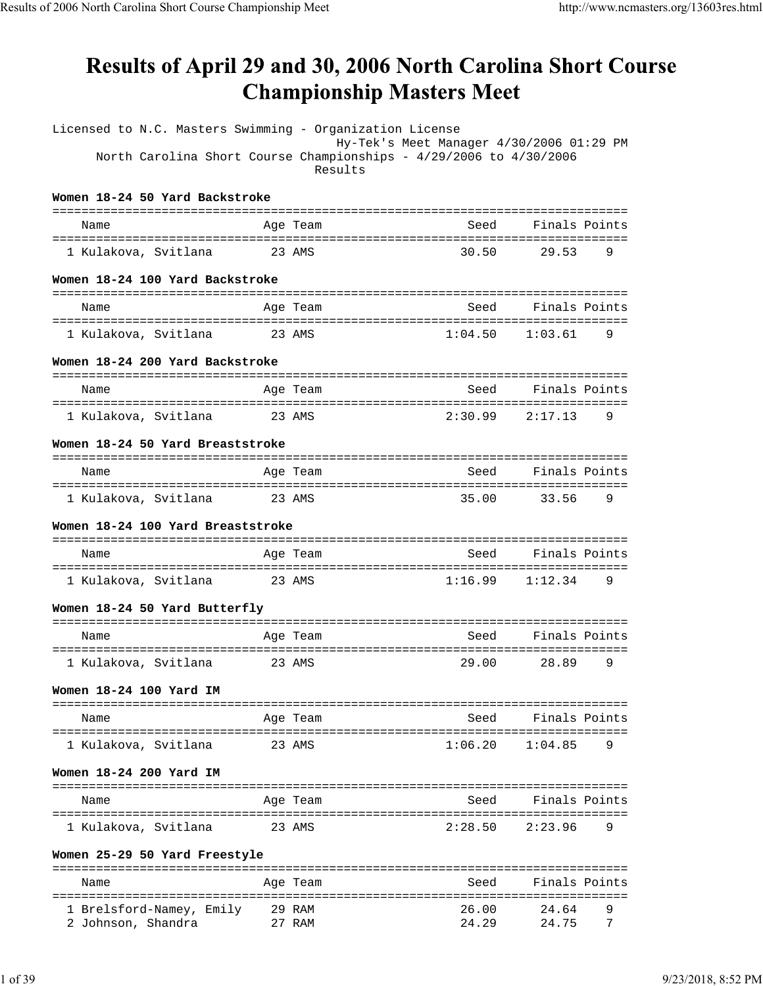# Results of April 29 and 30, 2006 North Carolina Short Course **Championship Masters Meet**

| Licensed to N.C. Masters Swimming - Organization License           |        |                                                |                                          |               |  |
|--------------------------------------------------------------------|--------|------------------------------------------------|------------------------------------------|---------------|--|
| North Carolina Short Course Championships - 4/29/2006 to 4/30/2006 |        | Results                                        | Hy-Tek's Meet Manager 4/30/2006 01:29 PM |               |  |
| Women 18-24 50 Yard Backstroke                                     |        |                                                |                                          |               |  |
| Name                                                               |        | ==========<br>Age Team                         | Seed                                     | Finals Points |  |
| 1 Kulakova, Svitlana                                               |        | 23 AMS                                         | 30.50                                    | 9<br>29.53    |  |
| Women 18-24 100 Yard Backstroke                                    |        |                                                |                                          |               |  |
| Name                                                               |        | Age Team                                       | Seed                                     | Finals Points |  |
| 1 Kulakova, Svitlana                                               |        | 23 AMS                                         | 1:04.50                                  | 1:03.61<br>9  |  |
| Women 18-24 200 Yard Backstroke                                    |        |                                                |                                          |               |  |
| ==========================<br>Name                                 |        | ----------------------------------<br>Age Team | Seed                                     | Finals Points |  |
| ----------------------------                                       |        |                                                |                                          |               |  |
| 1 Kulakova, Svitlana                                               | 23 AMS |                                                | 2:30.99                                  | 2:17.13<br>9  |  |
| Women 18-24 50 Yard Breaststroke                                   |        |                                                |                                          |               |  |
| Name                                                               |        | Age Team                                       | Seed                                     | Finals Points |  |
|                                                                    |        |                                                |                                          |               |  |
| 1 Kulakova, Svitlana                                               |        | 23 AMS                                         | 35.00                                    | 33.56<br>9    |  |
| Women 18-24 100 Yard Breaststroke<br>============================= |        | ==================================             |                                          |               |  |
| Name                                                               |        | Age Team                                       | Seed                                     | Finals Points |  |
| 1 Kulakova, Svitlana                                               | 23 AMS |                                                | 1:16.99                                  | 1:12.34<br>9  |  |
| Women 18-24 50 Yard Butterfly                                      |        |                                                |                                          |               |  |
| Name                                                               |        | Age Team                                       | Seed                                     | Finals Points |  |
| 1 Kulakova, Svitlana                                               |        | 23 AMS                                         | 29.00                                    | 28.89<br>9    |  |
| Women 18-24 100 Yard IM                                            |        |                                                |                                          |               |  |
| Name                                                               |        | Age Team                                       | Seed                                     | Finals Points |  |
| 1 Kulakova, Svitlana                                               |        | 23 AMS                                         | 1:06.20                                  | 1:04.85<br>9  |  |
| Women 18-24 200 Yard IM                                            |        |                                                |                                          |               |  |
| Name                                                               |        | Age Team                                       | Seed                                     | Finals Points |  |
| 1 Kulakova, Svitlana                                               |        | 23 AMS                                         | 2:28.50                                  | 2:23.96<br>9  |  |
| Women 25-29 50 Yard Freestyle                                      |        |                                                |                                          |               |  |
|                                                                    |        |                                                |                                          |               |  |
| Name                                                               |        | Age Team                                       | Seed                                     | Finals Points |  |
| 1 Brelsford-Namey, Emily                                           |        | 29 RAM                                         | 26.00                                    | 24.64<br>9    |  |
| 2 Johnson, Shandra                                                 |        | 27 RAM                                         | 24.29                                    | 24.75<br>7    |  |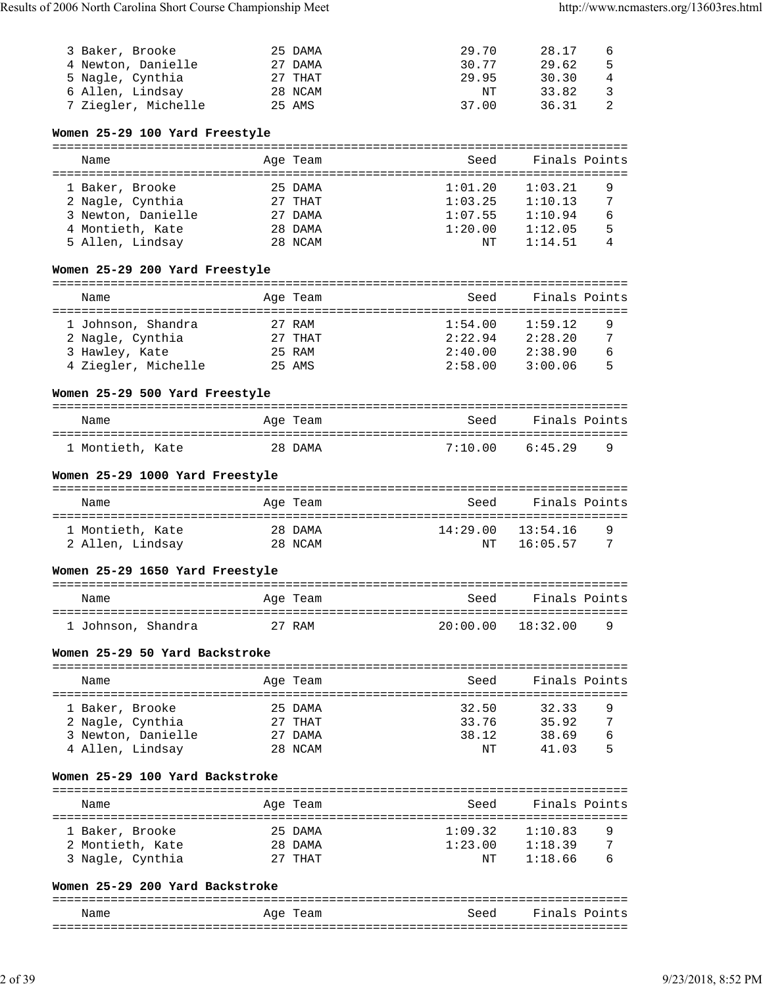| 3 Baker, Brooke     | 25 DAMA | 29.70 | 28.17 | 6 |
|---------------------|---------|-------|-------|---|
| 4 Newton, Danielle  | 27 DAMA | 30.77 | 29.62 | 5 |
| 5 Nagle, Cynthia    | 27 THAT | 29.95 | 30.30 | 4 |
| 6 Allen, Lindsay    | 28 NCAM | NΤ    | 33.82 | २ |
| 7 Ziegler, Michelle | 25 AMS  | 37.00 | 36.31 |   |

## **Women 25-29 100 Yard Freestyle**

| Name             |                    | Age Team  | Seed    |               | Finals Points |
|------------------|--------------------|-----------|---------|---------------|---------------|
|                  |                    |           |         |               |               |
| 1 Baker, Brooke  |                    | 25 DAMA   | 1:01.20 | 1:03.21       | 9             |
| 2 Nagle, Cynthia |                    | $27$ THAT | 1:03.25 | 1:10.13       | 7             |
|                  | 3 Newton, Danielle | 27 DAMA   | 1:07.55 | 1:10.94       | 6             |
| 4 Montieth, Kate |                    | 28 DAMA   | 1:20.00 | 1:12.05       | 5             |
| 5 Allen, Lindsay |                    | 28 NCAM   |         | 1:14.51<br>NΤ | 4             |

## **Women 25-29 200 Yard Freestyle**

| Name                | Age Team  | Seed    | Finals Points |  |
|---------------------|-----------|---------|---------------|--|
| 1 Johnson, Shandra  | 27 RAM    | 1:54.00 | 1:59.12<br>9  |  |
| 2 Nagle, Cynthia    | $27$ THAT | 2:22.94 | 2:28.20<br>7  |  |
| 3 Hawley, Kate      | 25 RAM    | 2:40.00 | 2:38.90<br>6  |  |
| 4 Ziegler, Michelle | 25 AMS    | 2:58.00 | 5<br>3:00.06  |  |

## **Women 25-29 500 Yard Freestyle**

| Name             | Age Team | Seed    | Finals Points       |
|------------------|----------|---------|---------------------|
| 1 Montieth, Kate | 28 DAMA  | 7:10 00 | 6:45 29<br><b>Q</b> |

## **Women 25-29 1000 Yard Freestyle**

| Name                                 | Age Team           | Seed                    | Finals Points       |  |
|--------------------------------------|--------------------|-------------------------|---------------------|--|
| 1 Montieth, Kate<br>2 Allen, Lindsay | 28 DAMA<br>28 NCAM | 14:29.00 13:54.16<br>NT | q<br>16:05.57<br>-7 |  |

# **Women 25-29 1650 Yard Freestyle**

| Name               | Age Team | Seed              | Finals Points |  |
|--------------------|----------|-------------------|---------------|--|
| 1 Johnson, Shandra | 27 RAM   | 20:00.00 18:32.00 | <b>Q</b>      |  |

## **Women 25-29 50 Yard Backstroke**

| Name               | Age Team  | Seed  | Finals Points |
|--------------------|-----------|-------|---------------|
|                    |           |       |               |
| 1 Baker, Brooke    | 25 DAMA   | 32.50 | 32.33<br>9    |
| 2 Nagle, Cynthia   | $27$ THAT | 33.76 | 7<br>35.92    |
| 3 Newton, Danielle | 27 DAMA   | 38.12 | 38.69<br>6    |
| 4 Allen, Lindsay   | 28 NCAM   | NΤ    | 5<br>41.03    |

# **Women 25-29 100 Yard Backstroke**

### =============================================================================== Name Age Team Seed Finals Points =============================================================================== 1 Baker, Brooke 25 DAMA 1:09.32 1:10.83 9 2 MONTHAT 1:23.00 1:18.39 7<br>27 THAT 1:18.66 6 3 Nagle, Cynthia 27 THAT NT 1:18.66 6

# **Women 25-29 200 Yard Backstroke**

===============================================================================

| Name<br>____ | Aqe<br>'eam<br>-<br>___ | Seed | Fina<br>nt.<br>്റ<br>-----<br>.   |
|--------------|-------------------------|------|-----------------------------------|
| ---          |                         |      | -----<br>------------------------ |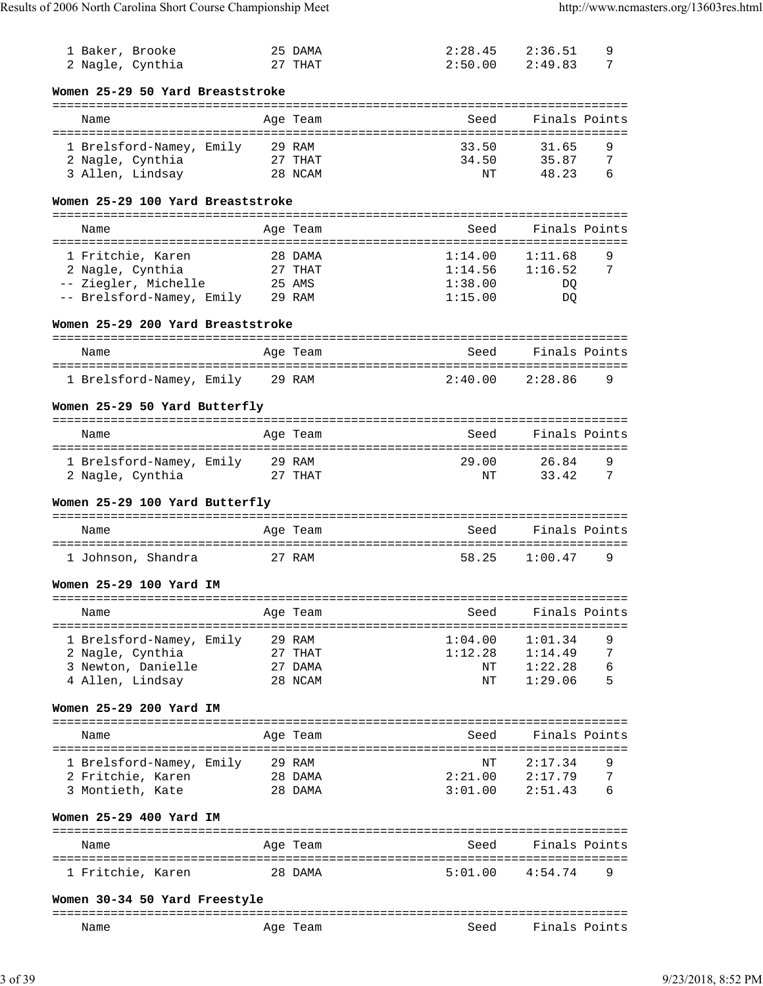| 1 Baker, Brooke                                              |        | 25 DAMA  | 2:28.45                       | 2:36.51       | 9 |
|--------------------------------------------------------------|--------|----------|-------------------------------|---------------|---|
| 2 Nagle, Cynthia                                             |        | 27 THAT  | 2:50.00                       | 2:49.83       | 7 |
| Women 25-29 50 Yard Breaststroke                             |        |          |                               |               |   |
| Name                                                         |        | Age Team | Seed                          | Finals Points |   |
| 1 Brelsford-Namey, Emily 29 RAM                              |        |          | 33.50                         | 31.65         | 9 |
| 2 Nagle, Cynthia                                             |        | 27 THAT  | 34.50                         | 35.87         | 7 |
| 3 Allen, Lindsay                                             |        | 28 NCAM  | NΤ                            | 48.23         | 6 |
| Women 25-29 100 Yard Breaststroke                            |        |          |                               |               |   |
| Name                                                         |        | Age Team | Seed                          | Finals Points |   |
| ======================================                       |        |          | ============================= |               |   |
| 1 Fritchie, Karen                                            |        | 28 DAMA  | 1:14.00                       | 1:11.68       | 9 |
| 2 Nagle, Cynthia                                             |        | 27 THAT  | 1:14.56                       | 1:16.52       | 7 |
| -- Ziegler, Michelle                                         | 25 AMS |          | 1:38.00                       | DO.           |   |
| -- Brelsford-Namey, Emily 29 RAM                             |        |          | 1:15.00                       | DQ            |   |
| Women 25-29 200 Yard Breaststroke                            |        |          |                               |               |   |
| Name                                                         |        | Age Team | Seed                          | Finals Points |   |
| 1 Brelsford-Namey, Emily 29 RAM                              |        |          | 2:40.00                       | 2:28.86       | 9 |
| Women 25-29 50 Yard Butterfly                                |        |          |                               |               |   |
|                                                              |        |          |                               |               |   |
| Name                                                         |        | Age Team | Seed                          | Finals Points |   |
| 1 Brelsford-Namey, Emily 29 RAM                              |        |          | 29.00                         | 26.84         | 9 |
| 2 Nagle, Cynthia                                             |        | 27 THAT  | NΤ                            | 33.42         | 7 |
| Women 25-29 100 Yard Butterfly                               |        |          |                               |               |   |
| Name                                                         |        | Age Team | Seed                          | Finals Points |   |
| 1 Johnson, Shandra                                           |        | 27 RAM   | 58.25                         | 1:00.47       | 9 |
| Women 25-29 100 Yard IM                                      |        |          |                               |               |   |
| Name                                                         |        | Age Team | Seed                          | Finals Points |   |
| ================================<br>1 Brelsford-Namey, Emily |        | 29 RAM   | ==============<br>1:04.00     | 1:01.34       | 9 |
| 2 Nagle, Cynthia                                             |        | 27 THAT  | 1:12.28                       | 1:14.49       | 7 |
| 3 Newton, Danielle                                           |        | 27 DAMA  | ΝT                            | 1:22.28       | 6 |
| 4 Allen, Lindsay                                             |        | 28 NCAM  | ΝT                            | 1:29.06       | 5 |
| Women 25-29 200 Yard IM                                      |        |          |                               |               |   |
| Name                                                         |        | Age Team | Seed                          | Finals Points |   |
|                                                              |        |          |                               |               |   |
| 1 Brelsford-Namey, Emily                                     |        | 29 RAM   | NΤ                            | 2:17.34       | 9 |
| 2 Fritchie, Karen                                            |        | 28 DAMA  | 2:21.00                       | 2:17.79       | 7 |
| 3 Montieth, Kate                                             |        | 28 DAMA  | 3:01.00                       | 2:51.43       | 6 |
| Women 25-29 400 Yard IM                                      |        |          |                               |               |   |
| Name                                                         |        | Age Team | Seed                          | Finals Points |   |
| 1 Fritchie, Karen                                            |        | 28 DAMA  | 5:01.00                       | 4:54.74       | 9 |
| Women 30-34 50 Yard Freestyle                                |        |          |                               |               |   |
|                                                              |        |          |                               |               |   |
| Name                                                         |        | Age Team | Seed                          | Finals Points |   |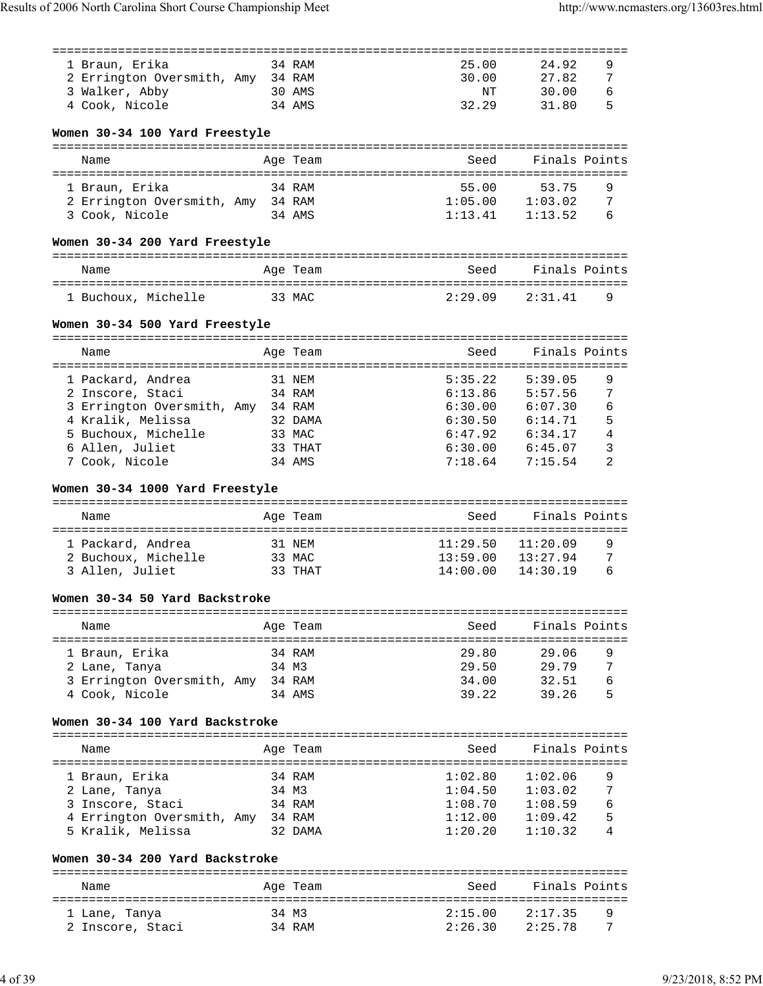| 1 Braun, Erika                                           |         | 34 RAM   | 25.00                                      | 24.92         | 9              |
|----------------------------------------------------------|---------|----------|--------------------------------------------|---------------|----------------|
| 2 Errington Oversmith, Amy 34 RAM                        |         |          | 30.00                                      | 27.82         | 7              |
| 3 Walker, Abby                                           | 30 AMS  |          | ΝT                                         | 30.00         | 6              |
| 4 Cook, Nicole                                           |         | 34 AMS   | 32.29                                      | 31.80         | 5              |
| Women 30-34 100 Yard Freestyle                           |         |          |                                            |               |                |
| Name                                                     |         | Age Team | Seed                                       | Finals Points |                |
| 1 Braun, Erika                                           |         | 34 RAM   | 55.00                                      | 53.75         | 9              |
| 2 Errington Oversmith, Amy 34 RAM                        |         |          | 1:05.00                                    | 1:03.02       | 7              |
| 3 Cook, Nicole                                           |         | 34 AMS   | 1:13.41                                    | 1:13.52       | 6              |
| Women 30-34 200 Yard Freestyle                           |         |          |                                            |               |                |
| Name                                                     |         | Age Team | Seed                                       | Finals Points |                |
|                                                          |         |          |                                            |               |                |
| 1 Buchoux, Michelle                                      | 33 MAC  |          | 2:29.09                                    | 2:31.41       | 9              |
| Women 30-34 500 Yard Freestyle                           |         |          |                                            |               |                |
| Name                                                     |         |          | Seed                                       | Finals Points |                |
|                                                          |         | Age Team |                                            |               |                |
| 1 Packard, Andrea                                        |         | 31 NEM   | 5:35.22                                    | 5:39.05       | 9              |
| 2 Inscore, Staci                                         |         | 34 RAM   | 6:13.86                                    | 5:57.56       | 7              |
| 3 Errington Oversmith, Amy 34 RAM                        |         |          | 6:30.00                                    | 6:07.30       | 6              |
| 4 Kralik, Melissa                                        | 32 DAMA |          | 6:30.50                                    | 6:14.71       | 5              |
| 5 Buchoux, Michelle                                      |         | 33 MAC   | 6:47.92                                    | 6:34.17       | $\overline{4}$ |
| 6 Allen, Juliet                                          |         | 33 THAT  | 6:30.00                                    | 6:45.07       | 3              |
| 7 Cook, Nicole                                           |         | 34 AMS   | 7:18.64                                    | 7:15.54       | 2              |
| Women 30-34 1000 Yard Freestyle                          |         |          |                                            |               |                |
| Name                                                     |         | Age Team | Seed                                       | Finals Points |                |
|                                                          |         |          |                                            |               |                |
| 1 Packard, Andrea                                        |         | 31 NEM   | 11:29.50                                   | 11:20.09      | 9              |
| 2 Buchoux, Michelle                                      | 33 MAC  |          | 13:59.00                                   | 13:27.94      | 7              |
| 3 Allen, Juliet                                          |         | 33 THAT  | 14:00.00                                   | 14:30.19      | 6              |
| Women 30-34 50 Yard Backstroke                           |         |          |                                            |               |                |
| Name                                                     |         | Age Team | Seed                                       | Finals Points |                |
| ======================================<br>1 Braun, Erika |         | 34 RAM   | =================================<br>29.80 | 29.06         | 9              |
| 2 Lane, Tanya                                            |         | 34 M3    | 29.50                                      | 29.79         | 7              |
| 3 Errington Oversmith, Amy 34 RAM                        |         |          | 34.00                                      | 32.51         | 6              |
| 4 Cook, Nicole                                           |         | 34 AMS   | 39.22                                      | 39.26         | 5              |
| Women 30-34 100 Yard Backstroke                          |         |          |                                            |               |                |
| Name                                                     |         | Age Team | Seed                                       | Finals Points |                |
|                                                          |         |          |                                            |               |                |
| 1 Braun, Erika                                           |         | 34 RAM   | 1:02.80                                    | 1:02.06       | 9              |
| 2 Lane, Tanya                                            |         | 34 M3    | 1:04.50                                    | 1:03.02       | 7              |
| 3 Inscore, Staci                                         |         | 34 RAM   | 1:08.70                                    | 1:08.59       | 6              |
| 4 Errington Oversmith, Amy 34 RAM                        |         |          | 1:12.00                                    | 1:09.42       | 5              |
| 5 Kralik, Melissa                                        |         | 32 DAMA  | 1:20.20                                    | 1:10.32       | 4              |
| Women 30-34 200 Yard Backstroke                          |         |          |                                            |               |                |
| Name                                                     |         | Age Team | Seed                                       | Finals Points |                |
|                                                          |         |          |                                            |               |                |
| 1 Lane, Tanya                                            |         | 34 M3    | 2:15.00                                    | 2:17.35       | 9              |
| 2 Inscore, Staci                                         |         | 34 RAM   | 2:26.30                                    | 2:25.78       | 7              |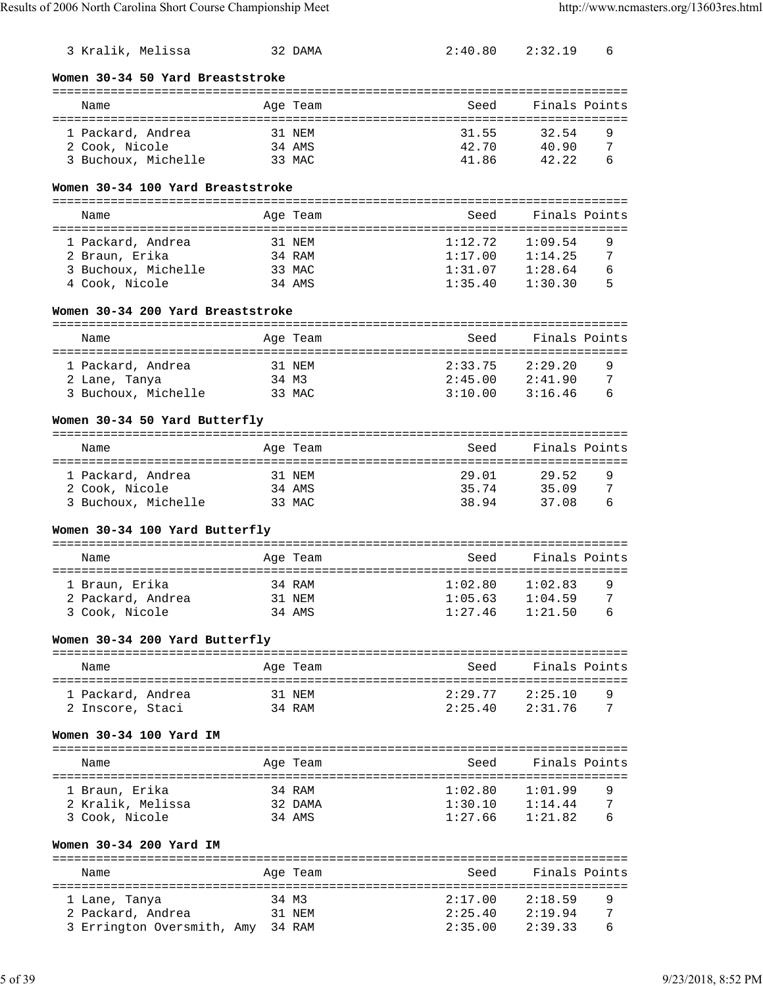| 3 Kralik, Melissa                   |       | 32 DAMA          | 2:40.80                           | 2:32.19                          | 6      |
|-------------------------------------|-------|------------------|-----------------------------------|----------------------------------|--------|
| Women 30-34 50 Yard Breaststroke    |       |                  |                                   |                                  |        |
| Name                                |       | Age Team         | Seed                              | Finals Points                    |        |
| 1 Packard, Andrea                   |       | 31 NEM           | 31.55                             | 32.54                            | 9      |
| 2 Cook, Nicole                      |       | 34 AMS           | 42.70                             | 40.90                            | 7      |
| 3 Buchoux, Michelle                 |       | 33 MAC           | 41.86                             | 42.22                            | 6      |
| Women 30-34 100 Yard Breaststroke   |       |                  |                                   |                                  |        |
|                                     |       |                  |                                   | Finals Points                    |        |
| Name                                |       | Age Team         | Seed                              |                                  |        |
| 1 Packard, Andrea                   |       | 31 NEM           | 1:12.72                           | 1:09.54                          | 9      |
| 2 Braun, Erika                      |       | 34 RAM           | 1:17.00                           | 1:14.25                          | 7      |
| 3 Buchoux, Michelle                 |       | 33 MAC           | 1:31.07                           | 1:28.64                          | 6<br>5 |
| 4 Cook, Nicole                      |       | 34 AMS           | 1:35.40                           | 1:30.30                          |        |
| Women 30-34 200 Yard Breaststroke   |       |                  |                                   |                                  |        |
| Name                                |       | Age Team         | Seed                              | Finals Points                    |        |
| 1 Packard, Andrea                   |       | 31 NEM           | 2:33.75                           | 2:29.20                          | 9      |
| 2 Lane, Tanya                       | 34 M3 |                  | 2:45.00                           | 2:41.90                          | 7      |
| 3 Buchoux, Michelle                 |       | 33 MAC           | 3:10.00                           | 3:16.46                          | 6      |
| Women 30-34 50 Yard Butterfly       |       |                  |                                   |                                  |        |
| Name                                |       | Age Team         | Seed                              | Finals Points                    |        |
|                                     |       |                  | ================================= |                                  |        |
| 1 Packard, Andrea<br>2 Cook, Nicole |       | 31 NEM<br>34 AMS | 29.01<br>35.74                    | 29.52<br>35.09                   | 9<br>7 |
| 3 Buchoux, Michelle                 |       | 33 MAC           | 38.94                             | 37.08                            | 6      |
| Women 30-34 100 Yard Butterfly      |       |                  |                                   |                                  |        |
| Name                                |       | Age Team         | Seed                              | Finals Points                    |        |
|                                     |       |                  |                                   |                                  |        |
| 1 Braun, Erika<br>2 Packard, Andrea |       | 34 RAM<br>31 NEM | 1:02.80                           | 1:02.83<br>$1:05.63$ $1:04.59$ 7 | 9      |
| 3 Cook, Nicole                      |       | 34 AMS           | 1:27.46                           | 1:21.50                          | 6      |
|                                     |       |                  |                                   |                                  |        |
| Women 30-34 200 Yard Butterfly      |       |                  |                                   |                                  |        |
| Name                                |       | Age Team         | Seed                              | Finals Points                    |        |
| 1 Packard, Andrea                   |       | 31 NEM           | 2:29.77                           | 2:25.10                          | 9      |
| 2 Inscore, Staci                    |       | 34 RAM           | 2:25.40                           | 2:31.76                          | 7      |
| Women 30-34 100 Yard IM             |       |                  |                                   |                                  |        |
| Name                                |       | Age Team         | Seed                              | Finals Points                    |        |
| 1 Braun, Erika                      |       | 34 RAM           | 1:02.80                           | 1:01.99                          | 9      |
| 2 Kralik, Melissa                   |       | 32 DAMA          | 1:30.10                           | 1:14.44                          | 7      |
| 3 Cook, Nicole                      |       | 34 AMS           | 1:27.66                           | 1:21.82                          | 6      |
| Women 30-34 200 Yard IM             |       |                  |                                   |                                  |        |
| Name                                |       | Age Team         | Seed                              | Finals Points                    |        |
|                                     |       |                  |                                   |                                  |        |
| 1 Lane, Tanya                       | 34 M3 |                  | 2:17.00                           | 2:18.59                          | 9      |
| 2 Packard, Andrea                   |       | 31 NEM           | 2:25.40                           | 2:19.94                          | 7      |
| 3 Errington Oversmith, Amy 34 RAM   |       |                  | 2:35.00                           | 2:39.33                          | 6      |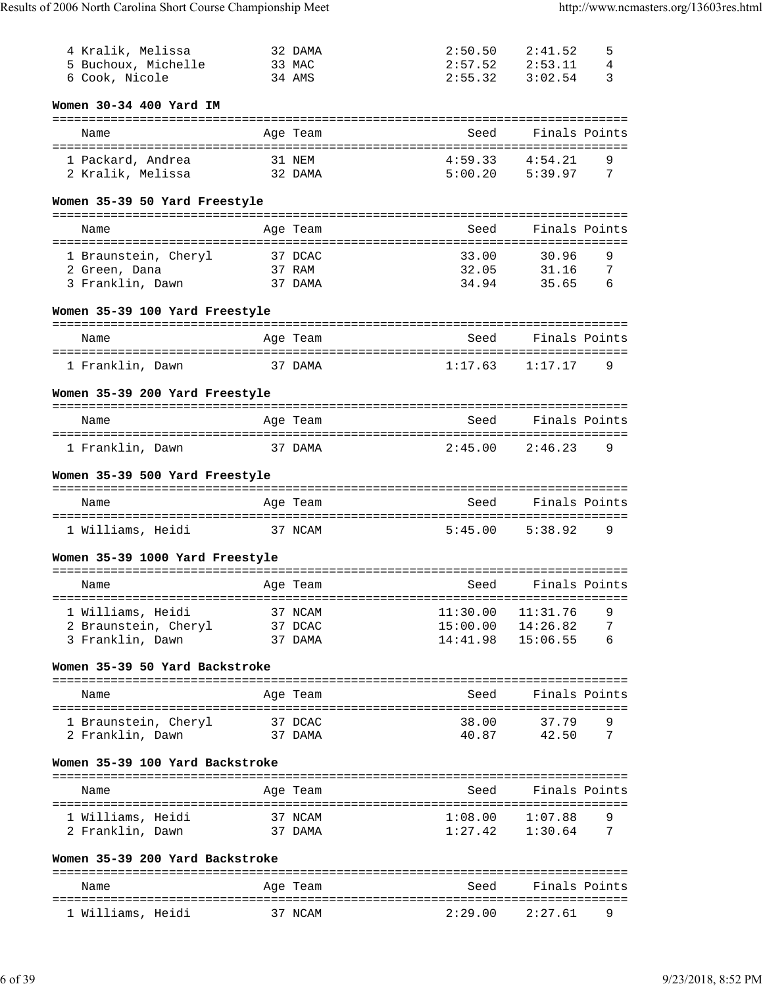| 4 Kralik, Melissa<br>5 Buchoux, Michelle            |         | 32 DAMA<br>33 MAC | 2:50.50<br>2:57.52                | 2:41.52<br>2:53.11    | 5<br>4 |
|-----------------------------------------------------|---------|-------------------|-----------------------------------|-----------------------|--------|
| 6 Cook, Nicole                                      |         | 34 AMS            | 2:55.32                           | 3:02.54               | 3      |
| Women 30-34 400 Yard IM                             |         |                   | ================================= |                       |        |
| Name                                                |         | Age Team          | Seed                              | Finals Points         |        |
| 1 Packard, Andrea<br>2 Kralik, Melissa              |         | 31 NEM<br>32 DAMA | 4:59.33<br>5:00.20                | 4:54.21<br>5:39.97    | 9<br>7 |
| Women 35-39 50 Yard Freestyle                       |         |                   |                                   |                       |        |
| Name                                                |         | Age Team          | Seed                              | Finals Points         |        |
| 1 Braunstein, Cheryl                                |         | 37 DCAC           | 33.00                             | 30.96                 | 9      |
| 2 Green, Dana                                       |         | 37 RAM            | 32.05                             | 31.16                 | 7      |
| 3 Franklin, Dawn                                    |         | 37 DAMA           | 34.94                             | 35.65                 | 6      |
| Women 35-39 100 Yard Freestyle                      |         |                   |                                   |                       |        |
| Name                                                |         | Age Team          | Seed                              | Finals Points         |        |
| 1 Franklin, Dawn                                    | 37 DAMA |                   | 1:17.63                           | 1:17.17               | 9      |
| Women 35-39 200 Yard Freestyle                      |         |                   |                                   |                       |        |
| Name                                                |         | Age Team          | Seed                              | Finals Points         |        |
| 1 Franklin, Dawn                                    |         | 37 DAMA           | 2:45.00                           | 2:46.23               | 9      |
|                                                     |         |                   |                                   |                       |        |
| Women 35-39 500 Yard Freestyle                      |         | ==========        |                                   |                       |        |
| Name                                                |         | Age Team          | Seed                              | Finals Points         |        |
| 1 Williams, Heidi 37 NCAM                           |         |                   | 5:45.00                           | 5:38.92               | 9      |
| Women 35-39 1000 Yard Freestyle                     |         |                   |                                   |                       |        |
| Name                                                |         | Age Team          | Seed                              | Finals Points         |        |
| ------------------------------<br>1 Williams, Heidi |         | 37 NCAM           | 11:30.00                          | 11:31.76              | 9      |
| 2 Braunstein, Cheryl 37 DCAC                        |         |                   |                                   | $15:00.00$ $14:26.82$ | 7      |
| 3 Franklin, Dawn                                    | 37 DAMA |                   | 14:41.98                          | 15:06.55              | 6      |
| Women 35-39 50 Yard Backstroke                      |         |                   |                                   |                       |        |
| Name                                                |         | Age Team          | Seed                              | Finals Points         |        |
| 1 Braunstein, Cheryl                                | 37 DCAC |                   | 38.00                             | 37.79                 | 9      |
| 2 Franklin, Dawn                                    | 37 DAMA |                   |                                   | 40.87 42.50           | 7      |
| Women 35-39 100 Yard Backstroke                     |         |                   |                                   |                       |        |
| Name                                                |         | Age Team          | Seed                              | Finals Points         |        |
| 1 Williams, Heidi                                   | 37 NCAM |                   |                                   | $1:08.00$ $1:07.88$   | 9      |
| 2 Franklin, Dawn                                    | 37 DAMA |                   |                                   | $1:27.42$ $1:30.64$   | 7      |
| Women 35-39 200 Yard Backstroke                     |         |                   |                                   |                       |        |
| Name                                                |         | Age Team          | Seed                              | Finals Points         |        |
|                                                     |         |                   |                                   |                       |        |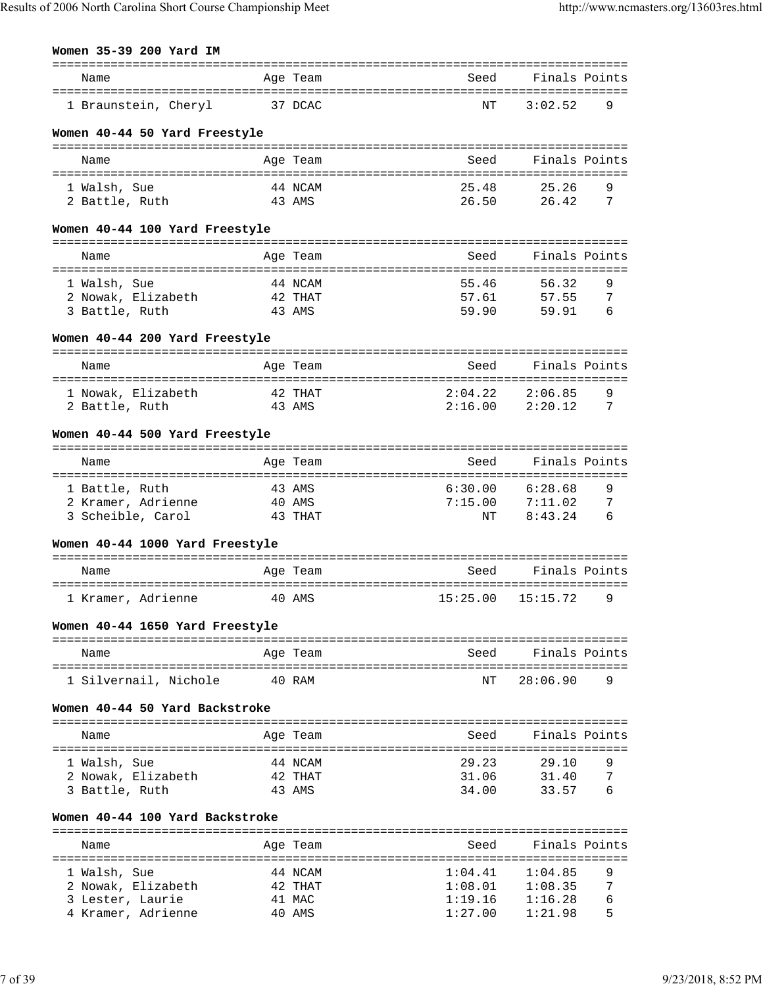# **Women 35-39 200 Yard IM**

| Name                                                    |           | Age Team          | Seed                                | Finals Points  |        |
|---------------------------------------------------------|-----------|-------------------|-------------------------------------|----------------|--------|
| ===============================<br>1 Braunstein, Cheryl |           | 37 DCAC           | ======================<br>NΤ        | 3:02.52        | 9      |
| Women 40-44 50 Yard Freestyle                           |           |                   |                                     |                |        |
|                                                         |           |                   |                                     |                |        |
| Name                                                    |           | Age Team          | Seed                                | Finals Points  |        |
|                                                         |           |                   | 25.48                               |                |        |
| 1 Walsh, Sue<br>2 Battle, Ruth                          |           | 44 NCAM<br>43 AMS | 26.50                               | 25.26<br>26.42 | 9<br>7 |
|                                                         |           |                   |                                     |                |        |
| Women 40-44 100 Yard Freestyle                          |           |                   |                                     |                |        |
| Name                                                    |           | Age Team          | Seed                                | Finals Points  |        |
|                                                         |           |                   |                                     |                |        |
| 1 Walsh, Sue                                            |           | 44 NCAM           | 55.46                               | 56.32          | 9      |
| 2 Nowak, Elizabeth                                      |           | 42 THAT           | 57.61                               | 57.55          | 7      |
| 3 Battle, Ruth                                          |           | 43 AMS            | 59.90                               | 59.91          | 6      |
| Women 40-44 200 Yard Freestyle                          |           |                   |                                     |                |        |
|                                                         |           |                   |                                     |                |        |
| Name                                                    |           | Age Team          | Seed                                | Finals Points  |        |
| 1 Nowak, Elizabeth                                      |           | 42 THAT           | 2:04.22                             | 2:06.85        | 9      |
| 2 Battle, Ruth                                          |           | 43 AMS            | 2:16.00                             | 2:20.12        | 7      |
|                                                         |           |                   |                                     |                |        |
| Women 40-44 500 Yard Freestyle                          |           |                   |                                     |                |        |
| Name                                                    |           | Age Team          | Seed                                | Finals Points  |        |
|                                                         | :======== |                   |                                     |                |        |
| 1 Battle, Ruth                                          |           | 43 AMS            | 6:30.00                             | 6:28.68        | 9      |
| 2 Kramer, Adrienne                                      |           | 40 AMS            | 7:15.00                             | 7:11.02        | 7      |
| 3 Scheible, Carol                                       |           | 43 THAT           | NΤ                                  | 8:43.24        | 6      |
| Women 40-44 1000 Yard Freestyle                         |           |                   |                                     |                |        |
|                                                         |           |                   |                                     |                |        |
| Name                                                    |           | Age Team          | Seed                                | Finals Points  |        |
| 1 Kramer, Adrienne                                      |           | 40 AMS            | 15:25.00                            | 15:15.72       | 9      |
| Women 40-44 1650 Yard Freestyle                         |           |                   |                                     |                |        |
| Name                                                    |           | Age Team          | Seed                                | Finals Points  |        |
|                                                         |           |                   |                                     |                |        |
| 1 Silvernail, Nichole                                   |           | 40 RAM            | ΝT                                  | 28:06.90       | 9      |
| Women 40-44 50 Yard Backstroke                          |           |                   |                                     |                |        |
| Name                                                    |           | Age Team          | Seed                                | Finals Points  |        |
|                                                         |           |                   |                                     |                |        |
| 1 Walsh, Sue                                            |           | 44 NCAM           | 29.23                               | 29.10          | 9      |
| 2 Nowak, Elizabeth                                      |           | 42 THAT           | 31.06                               | 31.40          | 7      |
| 3 Battle, Ruth                                          |           | 43 AMS            | 34.00                               | 33.57          | 6      |
| Women 40-44 100 Yard Backstroke                         |           |                   |                                     |                |        |
| Name                                                    |           | Age Team          | Seed                                | Finals Points  |        |
|                                                         |           |                   | =================================== |                |        |
| 1 Walsh, Sue                                            |           | 44 NCAM           | 1:04.41                             | 1:04.85        | 9      |
| 2 Nowak, Elizabeth                                      |           | 42 THAT           | 1:08.01                             | 1:08.35        | 7      |
| 3 Lester, Laurie                                        |           | 41 MAC            | 1:19.16                             | 1:16.28        | 6      |
| 4 Kramer, Adrienne                                      |           | 40 AMS            | 1:27.00                             | 1:21.98        | 5      |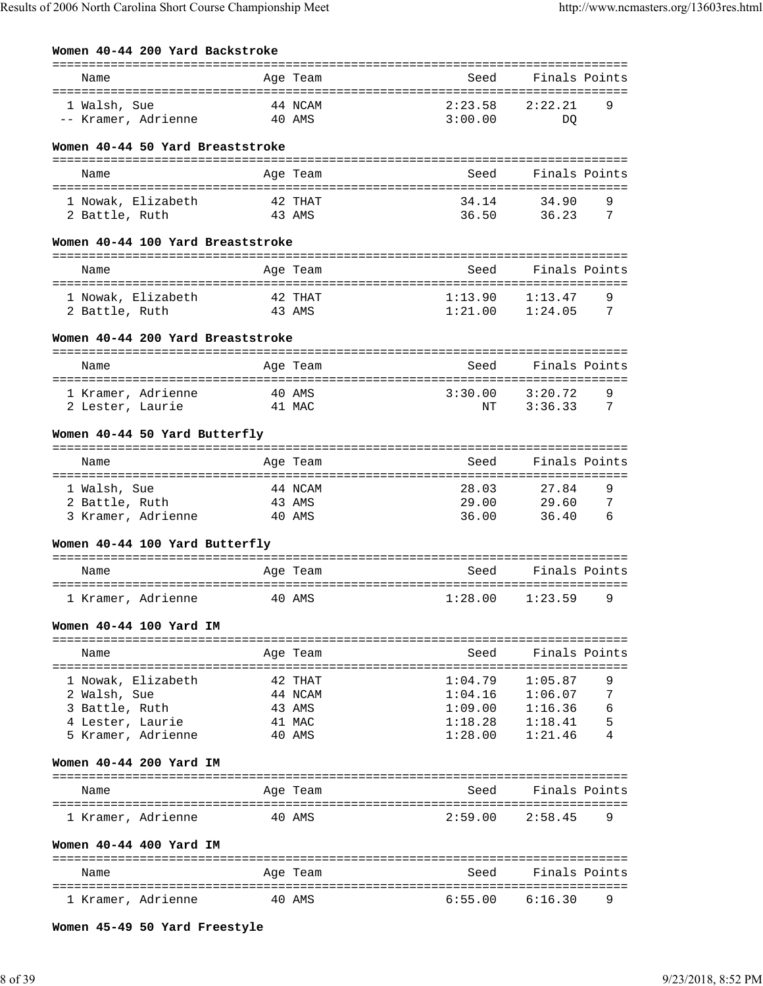| Women 40-44 200 Yard Backstroke      |                   |                  |                                                                                     |                    |        |
|--------------------------------------|-------------------|------------------|-------------------------------------------------------------------------------------|--------------------|--------|
| Name                                 |                   | Age Team         | Seed                                                                                | Finals Points      |        |
|                                      |                   |                  |                                                                                     |                    |        |
| 1 Walsh, Sue                         | 44 NCAM<br>40 AMS |                  | 2:23.58<br>3:00.00                                                                  | 2:22.21            | 9      |
| -- Kramer, Adrienne                  |                   |                  |                                                                                     | DO                 |        |
| Women 40-44 50 Yard Breaststroke     |                   |                  |                                                                                     |                    |        |
| Name                                 |                   | Age Team         | Seed                                                                                | Finals Points      |        |
|                                      |                   |                  |                                                                                     |                    |        |
| 1 Nowak, Elizabeth                   |                   | 42 THAT          | 34.14                                                                               | 34.90              | 9      |
| 2 Battle, Ruth                       | 43 AMS            |                  |                                                                                     | 36.50 36.23        | 7      |
| Women 40-44 100 Yard Breaststroke    |                   |                  |                                                                                     |                    |        |
| Name                                 |                   | Age Team         | Seed                                                                                | Finals Points      |        |
| 1 Nowak, Elizabeth                   | 42 THAT           |                  | 1:13.90                                                                             | 1:13.47            | 9      |
| 2 Battle, Ruth                       | 43 AMS            |                  | 1:21.00                                                                             | 1:24.05            | 7      |
|                                      |                   |                  |                                                                                     |                    |        |
| Women 40-44 200 Yard Breaststroke    |                   |                  |                                                                                     |                    |        |
| Name                                 |                   | Age Team         | Seed                                                                                | Finals Points      |        |
| 1 Kramer, Adrienne                   | 40 AMS            |                  | 3:30.00                                                                             | 3:20.72            | 9      |
| 2 Lester, Laurie                     | 41 MAC            |                  | ΝT                                                                                  | 3:36.33            | 7      |
|                                      |                   |                  |                                                                                     |                    |        |
| Women 40-44 50 Yard Butterfly        |                   |                  |                                                                                     |                    |        |
| Name                                 |                   | Age Team         | Seed                                                                                | Finals Points      |        |
|                                      |                   |                  |                                                                                     |                    |        |
| 1 Walsh, Sue                         |                   | 44 NCAM          | 28.03                                                                               | 27.84              | 9      |
| 2 Battle, Ruth<br>3 Kramer, Adrienne |                   | 43 AMS<br>40 AMS | 29.00<br>36.00                                                                      | 29.60<br>36.40     | 7<br>6 |
|                                      |                   |                  |                                                                                     |                    |        |
| Women 40-44 100 Yard Butterfly       |                   |                  |                                                                                     |                    |        |
| Name                                 |                   | Age Team         | Seed                                                                                | Finals Points      |        |
|                                      |                   |                  |                                                                                     |                    |        |
|                                      |                   |                  | 1 Kramer, Adrienne             40 AMS                     1:28.00     1:23.59     9 |                    |        |
| Women 40-44 100 Yard IM              |                   |                  |                                                                                     |                    |        |
| Name                                 |                   |                  |                                                                                     | Seed Finals Points |        |
|                                      |                   | Age Team         |                                                                                     |                    |        |
| 1 Nowak, Elizabeth                   |                   | 42 THAT          | 1:04.79                                                                             | 1:05.87            | 9      |
| 2 Walsh, Sue                         |                   | 44 NCAM          | 1:04.16                                                                             | 1:06.07            | 7      |
| 3 Battle, Ruth<br>4 Lester, Laurie   |                   | 43 AMS           | 1:09.00<br>1:18.28                                                                  | 1:16.36            | 6      |
| 5 Kramer, Adrienne                   | 41 MAC            | 40 AMS           | 1:28.00                                                                             | 1:18.41<br>1:21.46 | 5      |
|                                      |                   |                  |                                                                                     |                    |        |
| Women 40-44 200 Yard IM              |                   |                  |                                                                                     |                    |        |
| Name                                 |                   | Age Team         | Seed                                                                                | Finals Points      |        |
| 1 Kramer, Adrienne                   |                   | 40 AMS           | 2:59.00                                                                             | 2:58.45            | 9      |
| Women 40-44 400 Yard IM              |                   |                  |                                                                                     |                    |        |
| Name                                 |                   | Age Team         | Seed                                                                                | Finals Points      |        |
|                                      |                   |                  |                                                                                     |                    |        |
| 1 Kramer, Adrienne                   |                   | 40 AMS           | 6:55.00                                                                             | 6:16.30            | 9      |

**Women 45-49 50 Yard Freestyle**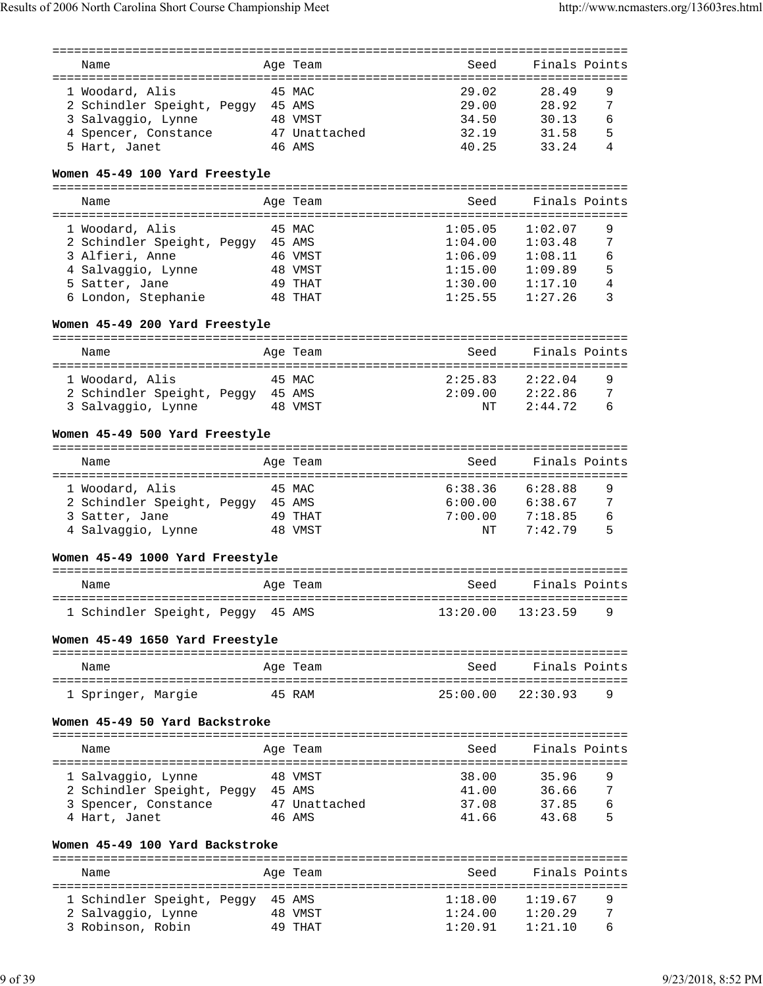|                                   |         | ============== |                                  |                  |   |
|-----------------------------------|---------|----------------|----------------------------------|------------------|---|
| Name                              |         | Age Team       | Seed                             | Finals Points    |   |
|                                   |         |                |                                  |                  |   |
| 1 Woodard, Alis                   |         | 45 MAC         | 29.02                            | 28.49            | 9 |
| 2 Schindler Speight, Peggy 45 AMS |         |                | 29.00                            | 28.92            | 7 |
| 3 Salvaggio, Lynne                | 48 VMST |                | 34.50                            | 30.13            | 6 |
| 4 Spencer, Constance              |         | 47 Unattached  | 32.19                            | 31.58            | 5 |
| 5 Hart, Janet                     |         | 46 AMS         | 40.25                            | 33.24            | 4 |
| Women 45-49 100 Yard Freestyle    |         |                |                                  |                  |   |
| Name                              |         | Age Team       | Seed                             | Finals Points    |   |
|                                   |         |                |                                  |                  |   |
| 1 Woodard, Alis                   |         | 45 MAC         | 1:05.05                          | 1:02.07          | 9 |
| 2 Schindler Speight, Peggy 45 AMS |         |                | 1:04.00                          | 1:03.48          | 7 |
|                                   |         |                | 1:06.09                          | 1:08.11          | 6 |
| 3 Alfieri, Anne                   |         | 46 VMST        |                                  |                  |   |
| 4 Salvaggio, Lynne                |         | 48 VMST        | 1:15.00                          | 1:09.89          | 5 |
| 5 Satter, Jane                    |         | 49 THAT        | 1:30.00                          | 1:17.10          | 4 |
| 6 London, Stephanie               |         | 48 THAT        | 1:25.55                          | 1:27.26          | 3 |
| Women 45-49 200 Yard Freestyle    |         |                |                                  |                  |   |
| Name                              |         | Age Team       | Seed                             | Finals Points    |   |
|                                   |         |                |                                  |                  |   |
| 1 Woodard, Alis                   |         | 45 MAC         | 2:25.83                          | 2:22.04          | 9 |
| 2 Schindler Speight, Peggy 45 AMS |         |                | 2:09.00                          | 2:22.86          | 7 |
|                                   |         | 48 VMST        | NΤ                               | 2:44.72          | 6 |
| 3 Salvaggio, Lynne                |         |                |                                  |                  |   |
| Women 45-49 500 Yard Freestyle    |         | ==========     |                                  |                  |   |
| Name                              |         | Age Team       | Seed                             | Finals Points    |   |
|                                   |         |                |                                  |                  |   |
| 1 Woodard, Alis                   |         | 45 MAC         | 6:38.36                          | 6:28.88          | 9 |
| 2 Schindler Speight, Peggy 45 AMS |         |                | 6:00.00                          | 6:38.67          | 7 |
| 3 Satter, Jane                    |         | 49 THAT        | 7:00.00                          | 7:18.85          | 6 |
| 4 Salvaggio, Lynne                |         | 48 VMST        | ΝT                               | 7:42.79          | 5 |
|                                   |         |                |                                  |                  |   |
| Women 45-49 1000 Yard Freestyle   |         |                |                                  |                  |   |
|                                   |         |                |                                  |                  |   |
| Name                              |         | Age Team       | Seed                             | Finals Points    |   |
|                                   |         |                |                                  |                  |   |
| 1 Schindler Speight, Peggy 45 AMS |         |                | 13:20.00                         | 13:23.59         | 9 |
| Women 45-49 1650 Yard Freestyle   |         |                |                                  |                  |   |
|                                   |         |                | -------------------------------- |                  |   |
| Name                              |         | Age Team       | Seed                             | Finals Points    |   |
| 1 Springer, Margie                |         | 45 RAM         | 25:00.00                         | 22:30.93         | 9 |
| Women 45-49 50 Yard Backstroke    |         |                |                                  |                  |   |
|                                   |         |                |                                  |                  |   |
| Name                              |         | Age Team       | Seed                             | Finals Points    |   |
|                                   |         |                |                                  |                  |   |
| 1 Salvaggio, Lynne                |         | 48 VMST        | 38.00                            | 35.96            | 9 |
| 2 Schindler Speight, Peggy 45 AMS |         |                | 41.00                            | 36.66            | 7 |
| 3 Spencer, Constance              |         | 47 Unattached  | 37.08                            | 37.85            | 6 |
| 4 Hart, Janet                     |         | 46 AMS         | 41.66                            | 43.68            | 5 |
| Women 45-49 100 Yard Backstroke   |         |                |                                  |                  |   |
|                                   |         |                |                                  | ---------------- |   |
| Name                              |         | Age Team       | Seed                             | Finals Points    |   |
| 1 Schindler Speight, Peggy 45 AMS |         |                | 1:18.00                          | 1:19.67          | 9 |
|                                   |         |                |                                  |                  |   |
| 2 Salvaggio, Lynne                |         | 48 VMST        | 1:24.00                          | 1:20.29          | 7 |
| 3 Robinson, Robin                 |         | 49 THAT        | 1:20.91                          | 1:21.10          | 6 |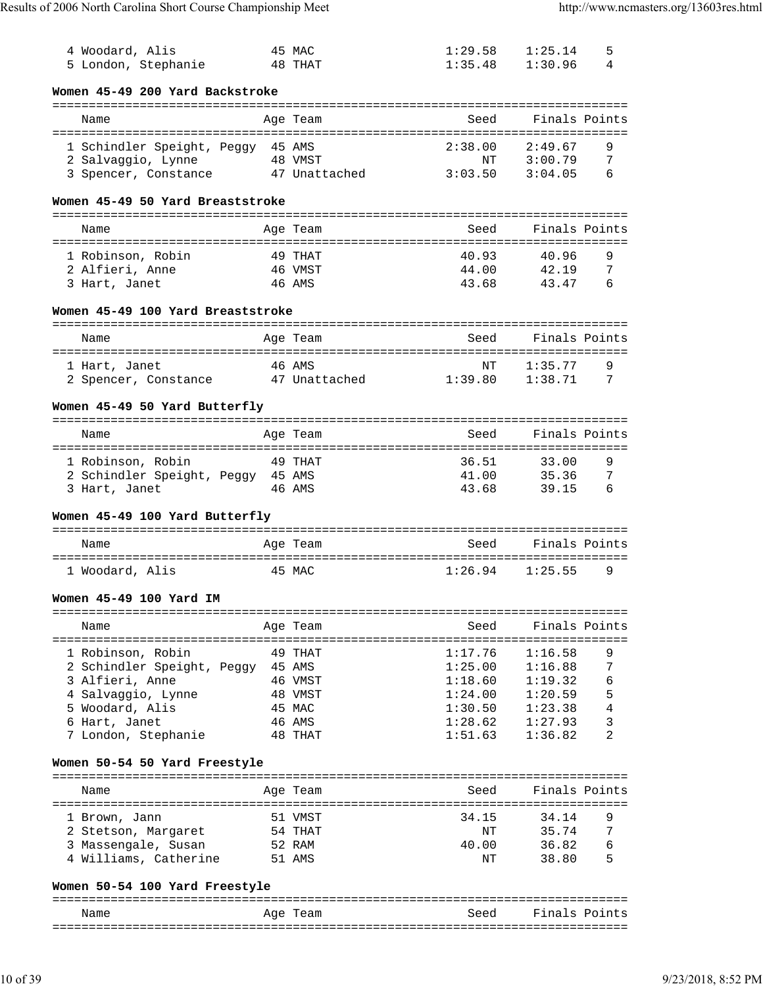| 4 Woodard, Alis<br>5 London, Stephanie                               | 45 MAC<br>48 THAT | 1:29.58<br>1:35.48 | 1:25.14<br>1:30.96 | 5<br>4         |
|----------------------------------------------------------------------|-------------------|--------------------|--------------------|----------------|
| Women 45-49 200 Yard Backstroke                                      |                   |                    |                    |                |
| Name                                                                 | Age Team          | Seed               | Finals Points      |                |
| 1 Schindler Speight, Peggy 45 AMS                                    |                   | 2:38.00            | 2:49.67            | 9              |
| 2 Salvaggio, Lynne                                                   | 48 VMST           | ΝT                 | 3:00.79            | 7              |
| 3 Spencer, Constance 47 Unattached                                   |                   | 3:03.50            | 3:04.05            | 6              |
| Women 45-49 50 Yard Breaststroke                                     |                   |                    |                    |                |
| Name                                                                 | Age Team          | Seed               | Finals Points      |                |
|                                                                      |                   |                    |                    |                |
| 1 Robinson, Robin                                                    | 49 THAT           | 40.93              | 40.96              | 9              |
| 2 Alfieri, Anne                                                      | 46 VMST           | 44.00              | 42.19              | 7              |
| 3 Hart, Janet                                                        | 46 AMS            | 43.68              | 43.47              | 6              |
| Women 45-49 100 Yard Breaststroke                                    |                   |                    |                    |                |
| Name                                                                 | Age Team          | Seed               | Finals Points      |                |
|                                                                      |                   |                    |                    |                |
| 1 Hart, Janet                                                        | 46 AMS            | NΤ                 | 1:35.77            | 9              |
| 2 Spencer, Constance                                                 | 47 Unattached     | 1:39.80            | 1:38.71            | 7              |
| Women 45-49 50 Yard Butterfly                                        |                   |                    |                    |                |
| Name                                                                 | Age Team          | Seed               | Finals Points      |                |
| ======================================                               |                   |                    |                    |                |
| 1 Robinson, Robin                                                    | 49 THAT           | 36.51              | 33.00              | 9              |
| 2 Schindler Speight, Peggy 45 AMS                                    |                   | 41.00              | 35.36              | 7              |
| 3 Hart, Janet                                                        | 46 AMS            | 43.68              | 39.15              | 6              |
| Women 45-49 100 Yard Butterfly                                       |                   |                    |                    |                |
| Name                                                                 | Age Team          | Seed               | Finals Points      |                |
|                                                                      |                   |                    |                    |                |
| 1 Woodard, Alis                                                      | 45 MAC            | 1:26.94            | 1:25.55            | 9              |
| Women 45-49 100 Yard IM                                              |                   |                    |                    |                |
| Name                                                                 | Age Team          | Seed               | Finals Points      |                |
|                                                                      |                   |                    |                    |                |
| 1 Robinson, Robin                                                    | 49 THAT           | 1:17.76            | 1:16.58            | 9              |
| 2 Schindler Speight, Peggy 45 AMS                                    |                   | 1:25.00            | 1:16.88            | 7              |
| 3 Alfieri, Anne                                                      | 46 VMST           | 1:18.60            | 1:19.32            | 6              |
| 4 Salvaggio, Lynne                                                   | 48 VMST           | 1:24.00            | 1:20.59            | 5              |
| 5 Woodard, Alis                                                      | 45 MAC            | 1:30.50            | 1:23.38            | 4              |
| 6 Hart, Janet                                                        | 46 AMS            | 1:28.62            | 1:27.93            | 3              |
| 7 London, Stephanie                                                  | 48 THAT           | 1:51.63            | 1:36.82            | $\overline{2}$ |
| Women 50-54 50 Yard Freestyle                                        |                   |                    |                    |                |
| Name                                                                 | Age Team          | Seed               | Finals Points      |                |
| 1 Brown, Jann                                                        | 51 VMST           | 34.15              | 34.14              | 9              |
| 2 Stetson, Margaret                                                  | 54 THAT           | ΝT                 | 35.74              | 7              |
| 3 Massengale, Susan                                                  | 52 RAM            | 40.00              | 36.82              | 6              |
| 4 Williams, Catherine                                                | 51 AMS            | NΤ                 | 38.80              | 5              |
| Women 50-54 100 Yard Freestyle<br>================================== |                   |                    |                    |                |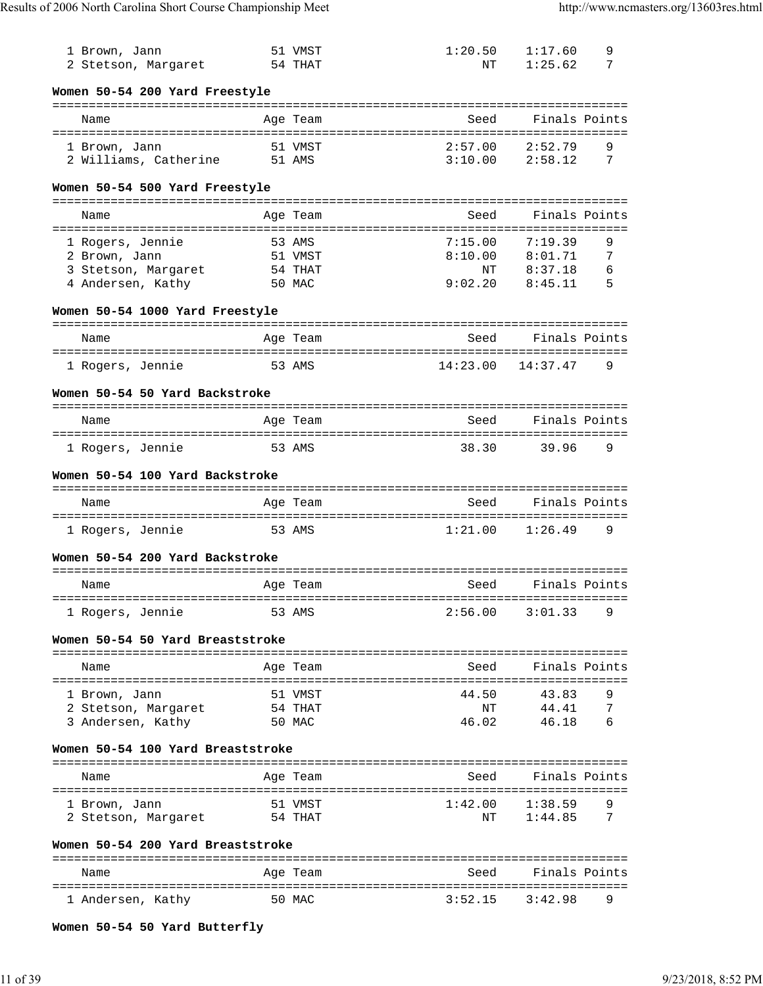| 1 Brown, Jann<br>2 Stetson, Margaret                                          | 51 VMST<br>54 THAT                     | 1:20.50<br>NΤ                       | 1:17.60<br>9<br>1:25.62<br>7                                 |
|-------------------------------------------------------------------------------|----------------------------------------|-------------------------------------|--------------------------------------------------------------|
| Women 50-54 200 Yard Freestyle                                                |                                        |                                     |                                                              |
| Name                                                                          | Age Team                               | Seed                                | Finals Points                                                |
| 1 Brown, Jann<br>2 Williams, Catherine                                        | 51 VMST<br>51 AMS                      | 2:57.00<br>3:10.00                  | 9<br>2:52.79<br>2:58.12<br>7                                 |
| Women 50-54 500 Yard Freestyle                                                |                                        |                                     | -----------------------------------                          |
| Name                                                                          | Age Team                               | Seed                                | Finals Points                                                |
| 1 Rogers, Jennie<br>2 Brown, Jann<br>3 Stetson, Margaret<br>4 Andersen, Kathy | 53 AMS<br>51 VMST<br>54 THAT<br>50 MAC | 7:15.00<br>8:10.00<br>NΤ<br>9:02.20 | 9<br>7:19.39<br>8:01.71<br>7<br>8:37.18<br>6<br>5<br>8:45.11 |
| Women 50-54 1000 Yard Freestyle                                               | ==========                             |                                     |                                                              |
| Name                                                                          | Age Team                               | Seed                                | Finals Points                                                |
| 1 Rogers, Jennie                                                              | 53 AMS                                 | 14:23.00                            | 9<br>14:37.47                                                |
| Women 50-54 50 Yard Backstroke                                                |                                        |                                     |                                                              |
| Name                                                                          | Age Team                               | Seed                                | Finals Points                                                |
| 1 Rogers, Jennie                                                              | 53 AMS                                 | 38.30                               | 39.96<br>9                                                   |
| Women 50-54 100 Yard Backstroke                                               |                                        |                                     |                                                              |
| Name                                                                          | Age Team                               | Seed                                | Finals Points                                                |
| 1 Rogers, Jennie                                                              | 53 AMS                                 | 1:21.00                             | 9<br>1:26.49                                                 |
| Women 50-54 200 Yard Backstroke<br>==================                         |                                        |                                     |                                                              |
| Name                                                                          | Age Team                               | Seed                                | Finals Points                                                |
| =========<br>l Rogers, Jennie                                                 | =============<br>53 AMS                | 2:56.00                             | 3:01.33<br>9                                                 |
| Women 50-54 50 Yard Breaststroke                                              |                                        |                                     |                                                              |
| Name                                                                          | Age Team                               | Seed                                | Finals Points                                                |
| 1 Brown, Jann<br>2 Stetson, Margaret<br>3 Andersen, Kathy                     | 51 VMST<br>54 THAT<br>50 MAC           | 44.50<br>ΝT<br>46.02                | 43.83<br>9<br>44.41<br>7<br>46.18<br>6                       |
| Women 50-54 100 Yard Breaststroke                                             |                                        | ===================                 |                                                              |
| Name                                                                          | Age Team                               | Seed                                | Finals Points                                                |
| 1 Brown, Jann<br>2 Stetson, Margaret                                          | 51 VMST<br>54 THAT                     | 1:42.00<br>ΝT                       | 1:38.59<br>9<br>7<br>1:44.85                                 |
| Women 50-54 200 Yard Breaststroke                                             |                                        |                                     |                                                              |
| Name                                                                          | Age Team                               | Seed                                | Finals Points                                                |
| 1 Andersen, Kathy                                                             | 50 MAC                                 | 3:52.15                             | 3:42.98<br>9                                                 |

**Women 50-54 50 Yard Butterfly**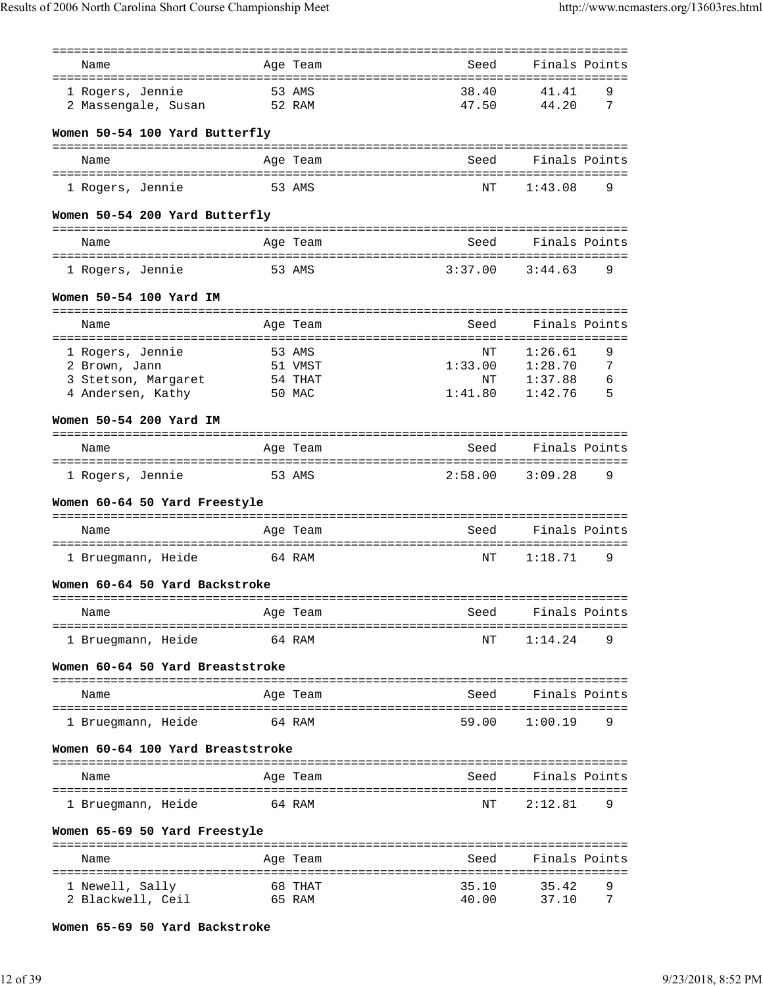| Name                              |          | Age Team | Seed    | Finals Points                       |   |
|-----------------------------------|----------|----------|---------|-------------------------------------|---|
| 1 Rogers, Jennie                  | 53 AMS   |          | 38.40   | 41.41                               | 9 |
| 2 Massengale, Susan               | 52 RAM   |          | 47.50   | 44.20                               | 7 |
|                                   |          |          |         |                                     |   |
| Women 50-54 100 Yard Butterfly    |          |          |         |                                     |   |
| Name                              |          | Age Team | Seed    | Finals Points                       |   |
| 1 Rogers, Jennie                  | 53 AMS   |          | NΤ      | 1:43.08                             | 9 |
| Women 50-54 200 Yard Butterfly    |          |          |         |                                     |   |
| Name                              |          | Age Team | Seed    | Finals Points                       |   |
| 1 Rogers, Jennie                  | 53 AMS   |          | 3:37.00 | 3:44.63                             | 9 |
| Women 50-54 100 Yard IM           |          |          |         |                                     |   |
| Name                              |          | Age Team | Seed    | Finals Points                       |   |
| 1 Rogers, Jennie                  | 53 AMS   |          | NΤ      | 1:26.61                             | 9 |
| 2 Brown, Jann                     |          | 51 VMST  | 1:33.00 | 1:28.70                             | 7 |
| 3 Stetson, Margaret               |          | 54 THAT  | NΤ      | 1:37.88                             | 6 |
| 4 Andersen, Kathy                 | 50 MAC   |          | 1:41.80 | 1:42.76                             | 5 |
| Women 50-54 200 Yard IM           |          |          |         |                                     |   |
|                                   |          |          |         |                                     |   |
| Name                              |          | Age Team | Seed    | Finals Points                       |   |
| 1 Rogers, Jennie                  | 53 AMS   |          | 2:58.00 | 3:09.28                             | 9 |
| Women 60-64 50 Yard Freestyle     |          |          |         |                                     |   |
| Name                              | Age Team |          | Seed    | Finals Points                       |   |
| 1 Bruegmann, Heide                | 64 RAM   |          | ΝT      | 1:18.71                             | 9 |
| Women 60-64 50 Yard Backstroke    |          |          |         |                                     |   |
| Name                              | Age Team |          | Seed    | ------------------<br>Finals Points |   |
| ========================          |          |          |         |                                     |   |
| 1 Bruegmann, Heide                | 64 RAM   |          | NΤ      | 1:14.24                             | 9 |
| Women 60-64 50 Yard Breaststroke  |          |          |         |                                     |   |
| Name                              | Age Team |          | Seed    | Finals Points                       |   |
| 1 Bruegmann, Heide                |          | 64 RAM   | 59.00   | 1:00.19                             | 9 |
| Women 60-64 100 Yard Breaststroke |          |          |         |                                     |   |
| Name                              |          | Age Team | Seed    | Finals Points                       |   |
| 1 Bruegmann, Heide                | 64 RAM   |          | NΤ      | ==================<br>2:12.81       | 9 |
| Women 65-69 50 Yard Freestyle     |          |          |         |                                     |   |
| Name                              |          | Age Team | Seed    | Finals Points                       |   |
| 1 Newell, Sally                   |          | 68 THAT  | 35.10   | 35.42                               | 9 |
| 2 Blackwell, Ceil                 | 65 RAM   |          | 40.00   | 37.10                               | 7 |

**Women 65-69 50 Yard Backstroke**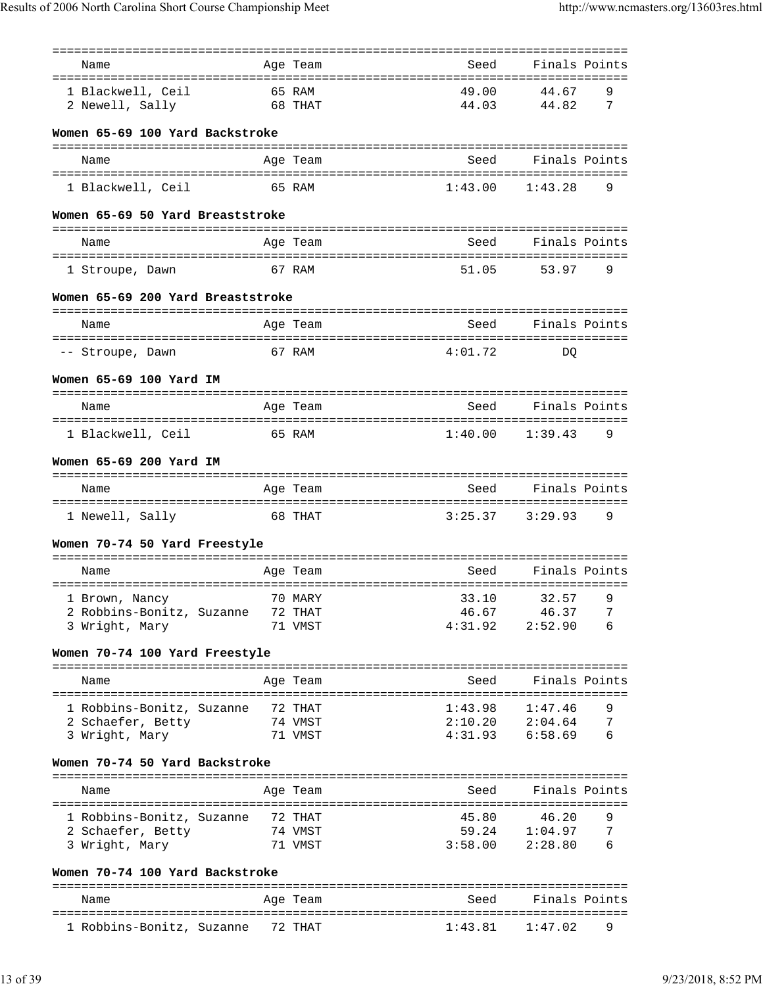| Name                                | Age Team           | Seed           | Finals Points              |
|-------------------------------------|--------------------|----------------|----------------------------|
| 1 Blackwell, Ceil                   | 65 RAM             | 49.00          | 44.67<br>9                 |
| 2 Newell, Sally                     | 68 THAT            | 44.03          | 7<br>44.82                 |
| Women 65-69 100 Yard Backstroke     |                    |                |                            |
| Name                                | Age Team           | Seed           | Finals Points              |
|                                     |                    |                |                            |
| 1 Blackwell, Ceil                   | 65 RAM             | 1:43.00        | 9<br>1:43.28               |
| Women 65-69 50 Yard Breaststroke    |                    |                |                            |
| Name                                | Age Team           | Seed           | Finals Points              |
| 1 Stroupe, Dawn                     | 67 RAM             | 51.05          | 9<br>53.97                 |
|                                     |                    |                |                            |
| Women 65-69 200 Yard Breaststroke   |                    |                |                            |
| Name                                | Age Team           | Seed           | Finals Points              |
|                                     |                    |                |                            |
| -- Stroupe, Dawn                    | 67 RAM             | 4:01.72        | DO                         |
| Women 65-69 100 Yard IM             |                    |                |                            |
| Name                                | Age Team           | Seed           | Finals Points              |
| 1 Blackwell, Ceil                   | 65 RAM             | 1:40.00        | 1:39.43<br>9               |
|                                     |                    |                |                            |
| Women 65-69 200 Yard IM             |                    |                |                            |
| Name                                | Age Team           | Seed           | Finals Points              |
| 1 Newell, Sally                     | 68 THAT            | 3:25.37        | 3:29.93<br>9               |
|                                     |                    |                |                            |
| Women 70-74 50 Yard Freestyle       |                    |                |                            |
| Name                                | Age Team           | Seed           | Finals Points              |
| 1 Brown, Nancy                      | 70 MARY            | 33.10          | 32.57<br>9                 |
| 2 Robbins-Bonitz, Suzanne           | 72 THAT            | 46.67          | 46.37<br>7                 |
| 3 Wright, Mary                      | 71 VMST            | 4:31.92        | 2:52.90<br>6               |
| Women 70-74 100 Yard Freestyle      |                    |                |                            |
| Name                                | Age Team           | Seed           | Finals Points              |
| 1 Robbins-Bonitz, Suzanne 72 THAT   |                    | 1:43.98        | 1:47.46<br>9               |
| 2 Schaefer, Betty                   | 74 VMST            | 2:10.20        | 7<br>2:04.64               |
| 3 Wright, Mary                      | 71 VMST            | 4:31.93        | 6<br>6:58.69               |
| Women 70-74 50 Yard Backstroke      |                    |                |                            |
| Name                                | Age Team           | Seed           | Finals Points              |
|                                     |                    |                |                            |
| 1 Robbins-Bonitz, Suzanne           | 72 THAT<br>74 VMST | 45.80<br>59.24 | 46.20<br>9<br>7<br>1:04.97 |
| 2 Schaefer, Betty<br>3 Wright, Mary | 71 VMST            | 3:58.00        | 2:28.80<br>6               |
|                                     |                    |                |                            |
|                                     |                    |                |                            |
| Women 70-74 100 Yard Backstroke     |                    |                |                            |
| Name                                | Age Team           | Seed           | Finals Points              |

1 Robbins-Bonitz, Suzanne 72 THAT 1:43.81 1:47.02 9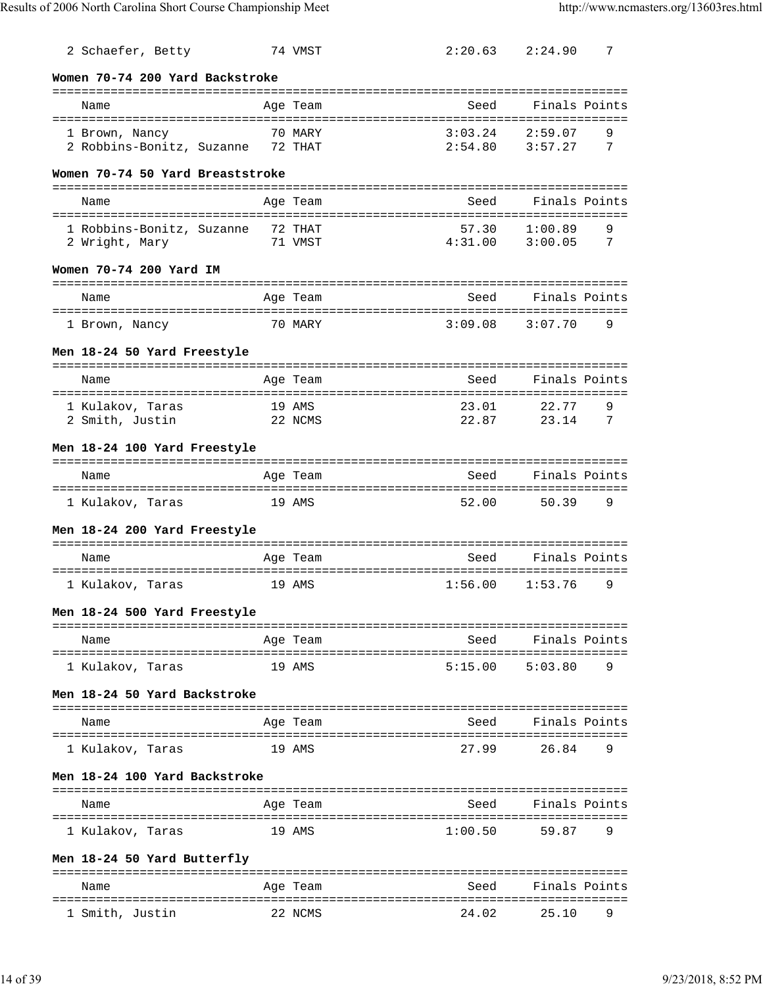| 2 Schaefer, Betty                 |          | 74 VMST        | 2:20.63 | 2:24.90       | 7 |
|-----------------------------------|----------|----------------|---------|---------------|---|
| Women 70-74 200 Yard Backstroke   |          |                |         |               |   |
| Name                              | Age Team |                | Seed    | Finals Points |   |
| 1 Brown, Nancy                    |          | 70 MARY        | 3:03.24 | 2:59.07       | 9 |
| 2 Robbins-Bonitz, Suzanne 72 THAT |          |                | 2:54.80 | 3:57.27       | 7 |
| Women 70-74 50 Yard Breaststroke  |          |                |         |               |   |
| Name                              | Age Team |                | Seed    | Finals Points |   |
| 1 Robbins-Bonitz, Suzanne         | 72 THAT  |                | 57.30   | 1:00.89       | 9 |
| 2 Wright, Mary                    |          | 71 VMST        | 4:31.00 | 3:00.05       | 7 |
| Women 70-74 200 Yard IM           |          |                |         |               |   |
| Name                              | Age Team |                | Seed    | Finals Points |   |
| 1 Brown, Nancy                    |          | 70 MARY        | 3:09.08 | 3:07.70       | 9 |
| Men 18-24 50 Yard Freestyle       |          |                |         |               |   |
| Name                              | Age Team |                | Seed    | Finals Points |   |
| 1 Kulakov, Taras                  | 19 AMS   |                | 23.01   | 22.77         | 9 |
| 2 Smith, Justin                   | 22 NCMS  |                | 22.87   | 23.14         | 7 |
| Men 18-24 100 Yard Freestyle      |          |                |         |               |   |
| Name                              | Age Team |                | Seed    | Finals Points |   |
| 1 Kulakov, Taras                  | 19 AMS   |                | 52.00   | 50.39         | 9 |
| Men 18-24 200 Yard Freestyle      |          |                |         |               |   |
| Name                              | Age Team |                | Seed    | Finals Points |   |
| 1 Kulakov, Taras                  | 19 AMS   |                | 1:56.00 | 1:53.76       | 9 |
| Men 18-24 500 Yard Freestyle      |          |                |         |               |   |
| -------------------<br>Name       |          | ============== | Seed    | Finals Points |   |
|                                   | Age Team |                |         |               |   |
| 1 Kulakov, Taras                  | 19 AMS   |                | 5:15.00 | 5:03.80       | 9 |
| Men 18-24 50 Yard Backstroke      |          |                |         |               |   |
| Name                              | Age Team |                | Seed    | Finals Points |   |
| 1 Kulakov, Taras                  | 19 AMS   |                | 27.99   | 26.84         | 9 |
| Men 18-24 100 Yard Backstroke     |          |                |         |               |   |
| Name                              | Age Team |                | Seed    | Finals Points |   |
| 1 Kulakov, Taras                  | 19 AMS   |                | 1:00.50 | 59.87         | 9 |
|                                   |          |                |         |               |   |
| Men 18-24 50 Yard Butterfly       |          |                |         |               |   |
| Name                              | Age Team |                | Seed    | Finals Points |   |
| 1 Smith, Justin                   |          | 22 NCMS        | 24.02   | 25.10         | 9 |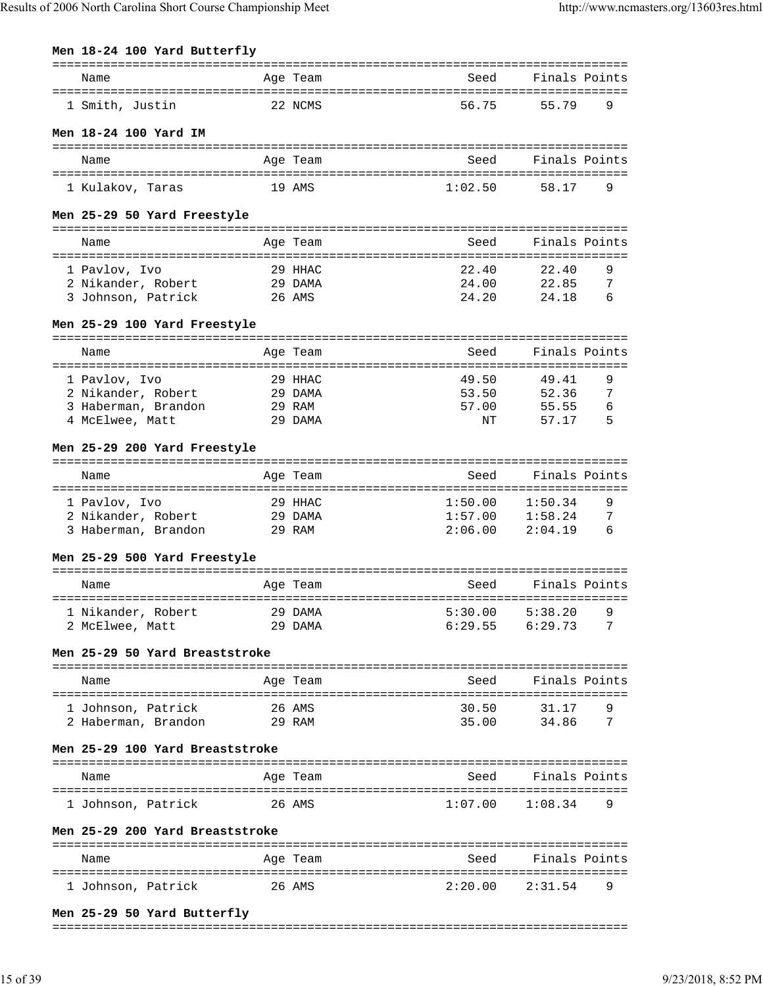| Name                                      |                  | Age Team | Seed                                | Finals Points       |        |
|-------------------------------------------|------------------|----------|-------------------------------------|---------------------|--------|
| 1 Smith, Justin                           | 22 NCMS          |          | 56.75                               | 55.79               | 9      |
| Men 18-24 100 Yard IM                     |                  |          |                                     |                     |        |
| Name                                      |                  | Age Team | Seed                                | Finals Points       |        |
|                                           |                  |          |                                     |                     |        |
| 1 Kulakov, Taras                          | 19 AMS           |          | 1:02.50                             | 58.17               | 9      |
| Men 25-29 50 Yard Freestyle               |                  |          |                                     |                     |        |
| Name                                      |                  | Age Team | Seed                                | Finals Points       |        |
| 1 Pavlov, Ivo                             |                  | 29 HHAC  | 22.40                               | 22.40               | 9      |
| 2 Nikander, Robert                        | 29 DAMA          |          | 24.00                               | 22.85               | 7      |
| 3 Johnson, Patrick                        | 26 AMS           |          | 24.20                               | 24.18               | 6      |
| Men 25-29 100 Yard Freestyle              |                  |          | ----------------------------------- |                     |        |
| Name                                      |                  | Age Team | Seed                                | Finals Points       |        |
| 1 Pavlov, Ivo                             | 29 HHAC          |          | 49.50                               | 49.41               | 9      |
| 2 Nikander, Robert 29 DAMA                |                  |          | 53.50                               | 52.36               | 7      |
| 3 Haberman, Brandon 29 RAM                |                  |          | 57.00                               | 55.55               | 6      |
| 4 McElwee, Matt                           | 29 DAMA          |          | ΝT                                  | 57.17               | 5      |
|                                           |                  |          |                                     |                     |        |
| Men 25-29 200 Yard Freestyle              |                  |          |                                     |                     |        |
| Name                                      |                  | Age Team | Seed                                | Finals Points       |        |
| 1 Pavlov, Ivo                             |                  | 29 HHAC  |                                     | 1:50.34             | 9      |
| 2 Nikander, Robert                        | 29 DAMA          |          | 1:50.00                             | $1:57.00$ $1:58.24$ | 7      |
| 3 Haberman, Brandon                       | 29 RAM           |          | 2:06.00                             | 2:04.19             | б      |
| Men 25-29 500 Yard Freestyle              |                  |          |                                     |                     |        |
| Name                                      |                  | Age Team | Seed                                | Finals Points       |        |
| 1 Nikander, Robert                        |                  | 29 DAMA  | 5:30.00                             | 5:38.20             | 9      |
| 2 McElwee, Matt                           | 29 DAMA          |          |                                     | $6:29.55$ $6:29.73$ | 7      |
| Men 25-29 50 Yard Breaststroke            |                  |          |                                     |                     |        |
| Name                                      |                  | Age Team |                                     | Seed Finals Points  |        |
|                                           |                  |          |                                     |                     |        |
| 1 Johnson, Patrick<br>2 Haberman, Brandon | 26 AMS<br>29 RAM |          | 30.50<br>35.00                      | 31.17<br>34.86      | 9<br>7 |
| Men 25-29 100 Yard Breaststroke           |                  |          |                                     |                     |        |
| Name                                      |                  | Age Team | Seed                                | Finals Points       |        |
| 1 Johnson, Patrick                        | 26 AMS           |          | 1:07.00                             | 1:08.34             | 9      |
| Men 25-29 200 Yard Breaststroke           |                  |          |                                     |                     |        |
| Name                                      |                  | Age Team |                                     | Seed Finals Points  |        |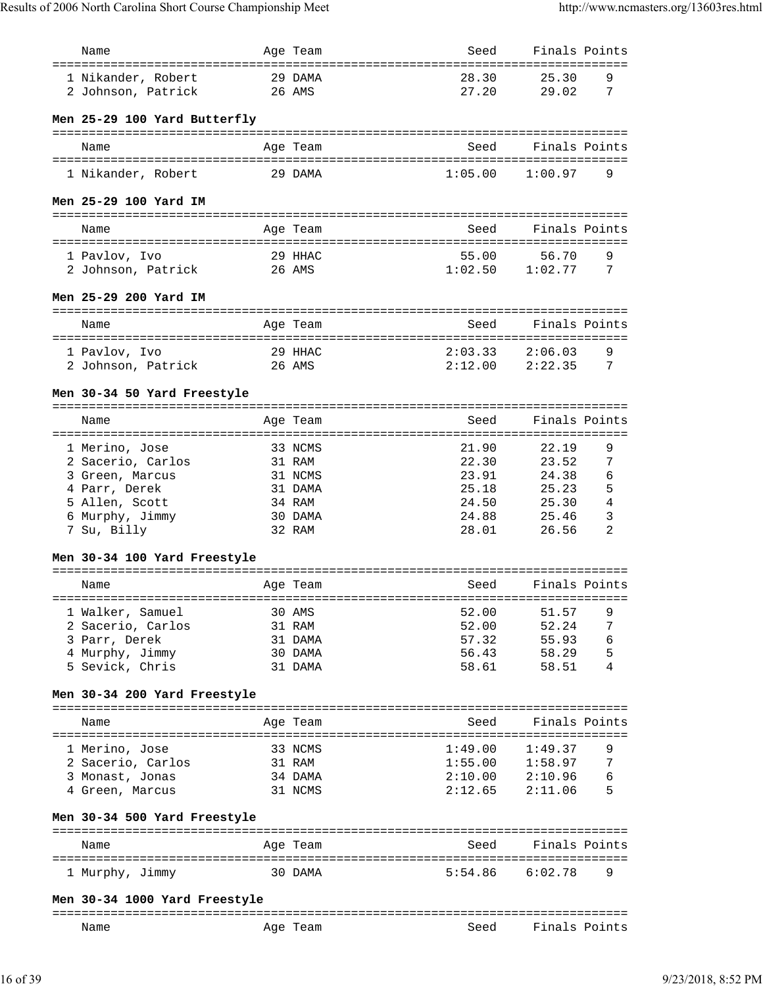| Name                          |                | Age Team | Seed                                          | Finals Points                  |
|-------------------------------|----------------|----------|-----------------------------------------------|--------------------------------|
|                               |                |          |                                               |                                |
| 1 Nikander, Robert            |                | 29 DAMA  | 28.30                                         | 25.30<br>9                     |
| 2 Johnson, Patrick            |                | 26 AMS   | 27.20                                         | 7<br>29.02                     |
|                               |                |          |                                               |                                |
| Men 25-29 100 Yard Butterfly  |                |          |                                               |                                |
| Name                          |                | Age Team | Seed                                          | Finals Points                  |
|                               |                |          |                                               |                                |
| 1 Nikander, Robert            |                | 29 DAMA  | 1:05.00                                       | 1:00.97<br>9                   |
|                               |                |          |                                               |                                |
| Men 25-29 100 Yard IM         |                |          |                                               |                                |
|                               |                |          |                                               |                                |
| Name                          |                | Age Team | Seed                                          | Finals Points                  |
|                               |                |          |                                               |                                |
| 1 Pavlov, Ivo                 |                | 29 HHAC  | 55.00<br>1:02.50                              | 56.70<br>9<br>7<br>1:02.77     |
| 2 Johnson, Patrick            |                | 26 AMS   |                                               |                                |
| Men 25-29 200 Yard IM         |                |          |                                               |                                |
|                               |                |          |                                               |                                |
| Name                          |                | Age Team | Seed                                          | Finals Points                  |
|                               |                |          |                                               |                                |
| 1 Pavlov, Ivo                 |                | 29 HHAC  | 2:03.33                                       | 9<br>2:06.03                   |
| 2 Johnson, Patrick            |                | 26 AMS   | 2:12.00                                       | 2:22.35<br>7                   |
|                               |                |          |                                               |                                |
| Men 30-34 50 Yard Freestyle   |                |          |                                               |                                |
| Name                          |                | Age Team | -------------------------------------<br>Seed | Finals Points                  |
| ====================          | ============== |          |                                               | ============================== |
| 1 Merino, Jose                |                | 33 NCMS  | 21.90                                         | 9<br>22.19                     |
| 2 Sacerio, Carlos             |                | 31 RAM   | 22.30                                         | 23.52<br>7                     |
| 3 Green, Marcus               |                | 31 NCMS  | 23.91                                         | 6<br>24.38                     |
| 4 Parr, Derek                 |                | 31 DAMA  | 25.18                                         | 5<br>25.23                     |
| 5 Allen, Scott                |                | 34 RAM   | 24.50                                         | 4<br>25.30                     |
| 6 Murphy, Jimmy               |                | 30 DAMA  | 24.88                                         | 3<br>25.46                     |
| 7 Su, Billy                   |                | 32 RAM   | 28.01                                         | $\overline{2}$<br>26.56        |
|                               |                |          |                                               |                                |
| Men 30-34 100 Yard Freestyle  |                |          |                                               |                                |
|                               |                |          |                                               |                                |
| Name                          |                | Age Team | Seed                                          | Finals Points                  |
|                               |                |          |                                               |                                |
| 1 Walker, Samuel              |                | 30 AMS   | 52.00                                         | 51.57<br>9                     |
| 2 Sacerio, Carlos             |                | 31 RAM   | 52.00                                         | 52.24<br>7                     |
| 3 Parr, Derek                 |                | 31 DAMA  | 57.32                                         | 6<br>55.93                     |
| 4 Murphy, Jimmy               |                | 30 DAMA  | 56.43                                         | 5<br>58.29                     |
| 5 Sevick, Chris               |                | 31 DAMA  | 58.61                                         | 58.51<br>4                     |
|                               |                |          |                                               |                                |
| Men 30-34 200 Yard Freestyle  |                |          |                                               |                                |
| Name                          |                | Age Team | Seed                                          | Finals Points                  |
|                               |                |          |                                               |                                |
| 1 Merino, Jose                |                | 33 NCMS  | 1:49.00                                       | 1:49.37<br>9                   |
| 2 Sacerio, Carlos             |                | 31 RAM   | 1:55.00                                       | 1:58.97<br>7                   |
| 3 Monast, Jonas               |                | 34 DAMA  | 2:10.00                                       | 2:10.96<br>6                   |
| 4 Green, Marcus               |                | 31 NCMS  | 2:12.65                                       | 2:11.06<br>5                   |
|                               |                |          |                                               |                                |
| Men 30-34 500 Yard Freestyle  |                |          |                                               |                                |
|                               |                |          |                                               |                                |
| Name                          |                | Age Team | Seed                                          | Finals Points                  |
|                               |                |          |                                               | 9                              |
| 1 Murphy, Jimmy               |                | 30 DAMA  | 5:54.86                                       | 6:02.78                        |
| Men 30-34 1000 Yard Freestyle |                |          |                                               |                                |
|                               |                |          |                                               |                                |
| Name                          |                | Age Team | Seed                                          | Finals Points                  |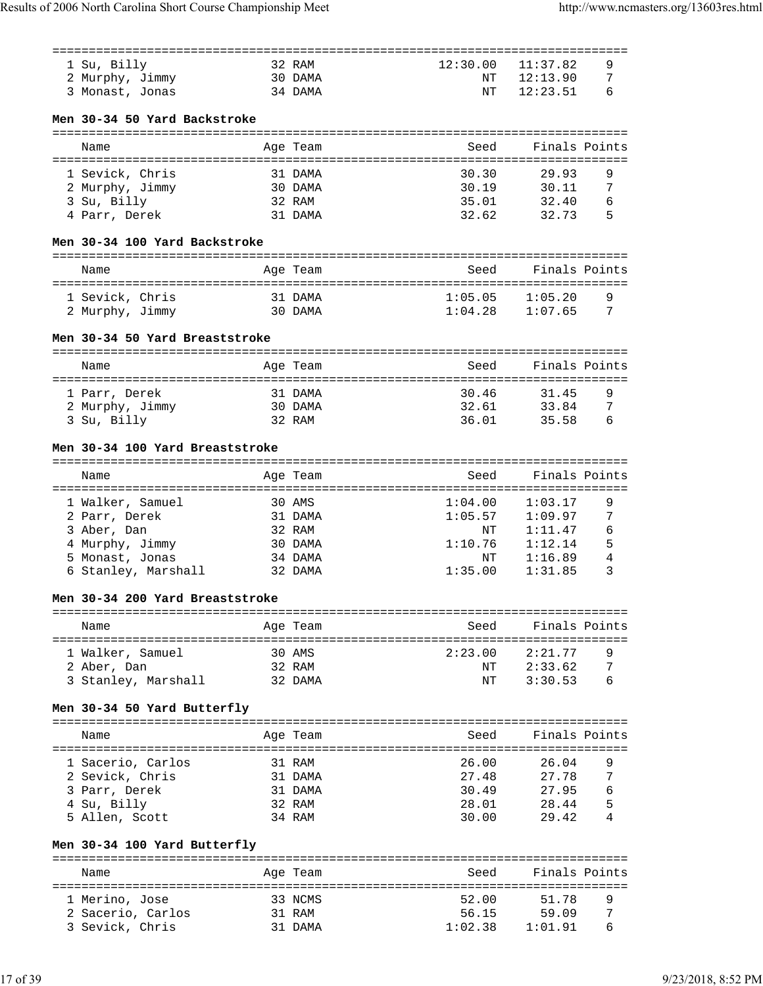|                                 |         |          | -------- |                     |   |
|---------------------------------|---------|----------|----------|---------------------|---|
| 1 Su, Billy                     |         | 32 RAM   | 12:30.00 | 11:37.82            | 9 |
| 2 Murphy, Jimmy                 | 30 DAMA |          | NT       | 12:13.90            | 7 |
|                                 |         |          |          |                     | 6 |
| 3 Monast, Jonas                 |         | 34 DAMA  | ΝT       | 12:23.51            |   |
|                                 |         |          |          |                     |   |
| Men 30-34 50 Yard Backstroke    |         |          |          |                     |   |
|                                 |         |          |          |                     |   |
| Name                            |         | Age Team | Seed     | Finals Points       |   |
|                                 |         |          |          |                     |   |
| 1 Sevick, Chris                 |         | 31 DAMA  | 30.30    | 29.93               | 9 |
|                                 |         |          |          |                     |   |
| 2 Murphy, Jimmy                 |         | 30 DAMA  | 30.19    | 30.11               | 7 |
| 3 Su, Billy                     |         | 32 RAM   | 35.01    | 32.40               | 6 |
| 4 Parr, Derek                   |         | 31 DAMA  | 32.62    | 32.73               | 5 |
|                                 |         |          |          |                     |   |
| Men 30-34 100 Yard Backstroke   |         |          |          |                     |   |
|                                 |         |          |          |                     |   |
| Name                            |         | Age Team | Seed     | Finals Points       |   |
|                                 |         |          |          |                     |   |
|                                 |         |          |          |                     |   |
| 1 Sevick, Chris                 | 31 DAMA |          | 1:05.05  | 1:05.20             | 9 |
| 2 Murphy, Jimmy                 | 30 DAMA |          |          | $1:04.28$ $1:07.65$ | 7 |
|                                 |         |          |          |                     |   |
| Men 30-34 50 Yard Breaststroke  |         |          |          |                     |   |
|                                 |         |          |          |                     |   |
| Name                            |         | Age Team | Seed     | Finals Points       |   |
|                                 |         |          |          |                     |   |
|                                 |         |          |          |                     |   |
| 1 Parr, Derek                   |         | 31 DAMA  | 30.46    | 31.45               | 9 |
| 2 Murphy, Jimmy                 | 30 DAMA |          | 32.61    | 33.84               | 7 |
| 3 Su, Billy                     |         | 32 RAM   | 36.01    | 35.58               | 6 |
|                                 |         |          |          |                     |   |
| Men 30-34 100 Yard Breaststroke |         |          |          |                     |   |
|                                 |         |          |          |                     |   |
|                                 |         |          | Seed     | Finals Points       |   |
| Name                            |         | Age Team |          |                     |   |
|                                 |         |          |          |                     |   |
| 1 Walker, Samuel                |         | 30 AMS   | 1:04.00  | 1:03.17             | 9 |
| 2 Parr, Derek                   |         | 31 DAMA  | 1:05.57  | 1:09.97             | 7 |
| 3 Aber, Dan                     |         | 32 RAM   | ΝT       | 1:11.47             | 6 |
| 4 Murphy, Jimmy                 |         | 30 DAMA  | 1:10.76  | 1:12.14             | 5 |
| 5 Monast, Jonas                 |         | 34 DAMA  | ΝT       | 1:16.89             | 4 |
|                                 |         |          |          |                     |   |
| 6 Stanley, Marshall             |         | 32 DAMA  | 1:35.00  | 1:31.85             | 3 |
|                                 |         |          |          |                     |   |
| Men 30-34 200 Yard Breaststroke |         |          |          |                     |   |
|                                 |         |          |          |                     |   |
| Name                            |         | Age Team | Seed     | Finals Points       |   |
|                                 |         |          |          |                     |   |
| 1 Walker, Samuel                |         | 30 AMS   | 2:23.00  | 2:21.77             | 9 |
|                                 |         |          |          |                     | 7 |
| 2 Aber, Dan                     |         | 32 RAM   |          | NT 2:33.62          |   |
| 3 Stanley, Marshall 32 DAMA     |         |          | NΤ       | 3:30.53             | 6 |
|                                 |         |          |          |                     |   |
| Men 30-34 50 Yard Butterfly     |         |          |          |                     |   |
|                                 |         |          |          |                     |   |
| Name                            |         | Age Team | Seed     | Finals Points       |   |
|                                 |         |          |          |                     |   |
| 1 Sacerio, Carlos               |         | 31 RAM   | 26.00    | 26.04               | 9 |
|                                 |         |          |          |                     |   |
| 2 Sevick, Chris                 |         | 31 DAMA  | 27.48    | 27.78               | 7 |
| 3 Parr, Derek                   |         | 31 DAMA  | 30.49    | 27.95               | 6 |
| 4 Su, Billy                     |         | 32 RAM   |          | 28.01 28.44         | 5 |
| 5 Allen, Scott                  |         | 34 RAM   | 30.00    | 29.42               | 4 |
|                                 |         |          |          |                     |   |
| Men 30-34 100 Yard Butterfly    |         |          |          |                     |   |
|                                 |         |          |          |                     |   |
|                                 |         |          |          |                     |   |
| Name                            |         | Age Team | Seed     | Finals Points       |   |
|                                 |         |          |          |                     |   |
| 1 Merino, Jose                  |         | 33 NCMS  | 52.00    | 51.78               | 9 |
| 2 Sacerio, Carlos               |         | 31 RAM   |          | 56.15 59.09         | 7 |
| 3 Sevick, Chris                 |         | 31 DAMA  |          | $1:02.38$ $1:01.91$ | 6 |
|                                 |         |          |          |                     |   |
|                                 |         |          |          |                     |   |
|                                 |         |          |          |                     |   |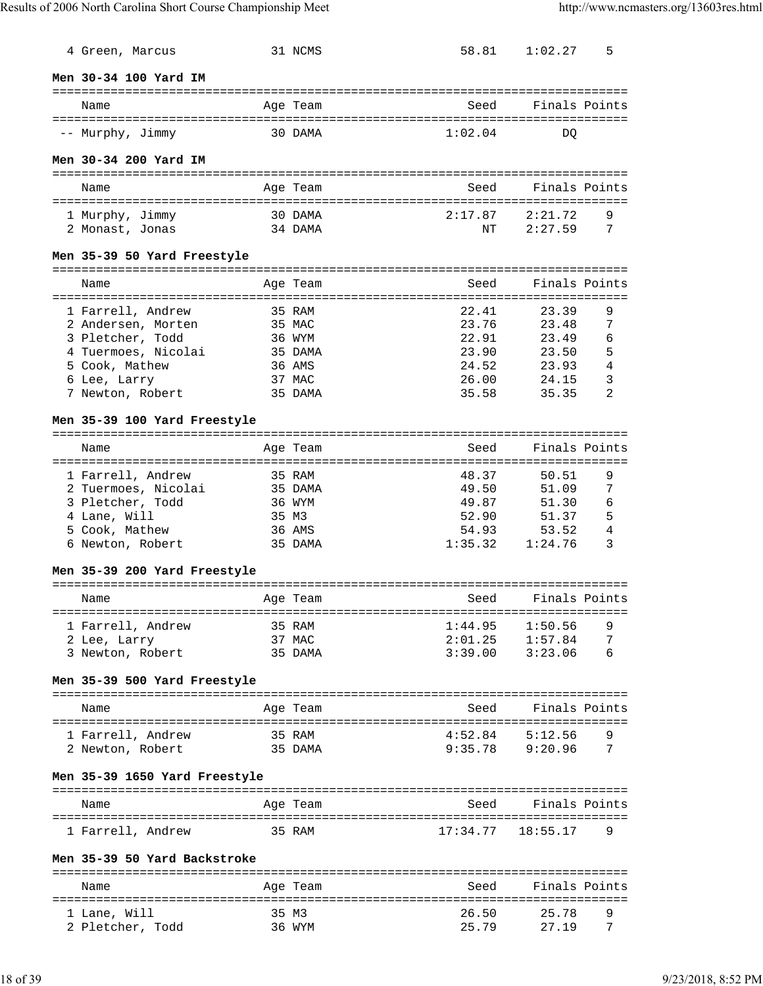| 4 Green, Marcus                                |                | 31 NCMS  |          | 58.81 1:02.27       | 5              |
|------------------------------------------------|----------------|----------|----------|---------------------|----------------|
| Men 30-34 100 Yard IM                          |                |          |          |                     |                |
| Name                                           |                | Age Team | Seed     | Finals Points       |                |
| -- Murphy, Jimmy                               | 30 DAMA        |          | 1:02.04  | DO                  |                |
| Men 30-34 200 Yard IM                          |                |          |          |                     |                |
| Name                                           |                | Age Team | Seed     | Finals Points       |                |
| 1 Murphy, Jimmy                                |                | 30 DAMA  | 2:17.87  | 2:21.72             | 9              |
| 2 Monast, Jonas                                |                | 34 DAMA  | NΤ       | 2:27.59             | 7              |
| Men 35-39 50 Yard Freestyle                    |                |          |          |                     |                |
| Name                                           |                | Age Team | Seed     | Finals Points       |                |
| 1 Farrell, Andrew                              |                | 35 RAM   | 22.41    | 23.39               | 9              |
| 2 Andersen, Morten                             |                | 35 MAC   | 23.76    | 23.48               | 7              |
|                                                |                |          | 22.91    | 23.49               | 6              |
| 3 Pletcher, Todd                               |                | 36 WYM   |          |                     |                |
| 4 Tuermoes, Nicolai                            |                | 35 DAMA  | 23.90    | 23.50               | 5              |
| 5 Cook, Mathew                                 |                | 36 AMS   | 24.52    | 23.93               | 4              |
| 6 Lee, Larry                                   |                | 37 MAC   | 26.00    | 24.15               | 3              |
| 7 Newton, Robert                               |                | 35 DAMA  | 35.58    | 35.35               | $\overline{2}$ |
| Men 35-39 100 Yard Freestyle                   |                |          |          |                     |                |
| Name                                           |                | Age Team | Seed     | Finals Points       |                |
| 1 Farrell, Andrew                              |                | 35 RAM   | 48.37    | 50.51               | 9              |
|                                                |                |          | 49.50    | 51.09               |                |
| 2 Tuermoes, Nicolai                            |                | 35 DAMA  |          |                     | 7              |
| 3 Pletcher, Todd                               |                | 36 WYM   | 49.87    | 51.30               | 6              |
| 4 Lane, Will                                   | 35 M3          |          | 52.90    | 51.37               | 5              |
| 5 Cook, Mathew                                 |                | 36 AMS   | 54.93    | 53.52               | 4              |
| 6 Newton, Robert                               |                | 35 DAMA  | 1:35.32  | 1:24.76             | 3              |
| Men 35-39 200 Yard Freestyle                   |                |          |          |                     |                |
| Name                                           |                | Age Team | Seed     | Finals Points       |                |
| :========================<br>1 Farrell, Andrew | ============== | 35 RAM   | 1:44.95  | 1:50.56             | 9              |
| 2 Lee, Larry                                   |                | 37 MAC   | 2:01.25  | 1:57.84             | 7              |
| 3 Newton, Robert                               |                | 35 DAMA  | 3:39.00  | 3:23.06             | 6              |
| Men 35-39 500 Yard Freestyle                   |                |          |          |                     |                |
| Name                                           |                | Age Team |          | Seed Finals Points  |                |
| 1 Farrell, Andrew                              | 35 RAM         |          |          | $4:52.84$ $5:12.56$ | 9              |
| 2 Newton, Robert                               | 35 DAMA        |          | 9:35.78  | 9:20.96             | 7              |
| Men 35-39 1650 Yard Freestyle                  |                |          |          |                     |                |
|                                                |                |          |          |                     |                |
| Name                                           |                | Age Team | Seed     | Finals Points       |                |
| 1 Farrell, Andrew                              |                | 35 RAM   | 17:34.77 | 18:55.17            | 9              |
| Men 35-39 50 Yard Backstroke                   |                |          |          |                     |                |
| Name                                           |                | Age Team | Seed     | Finals Points       |                |
|                                                |                |          |          |                     |                |
| 1 Lane, Will                                   | 35 M3          |          | 26.50    | 25.78               | 9              |
| 2 Pletcher, Todd                               |                | 36 WYM   | 25.79    | 27.19               | 7              |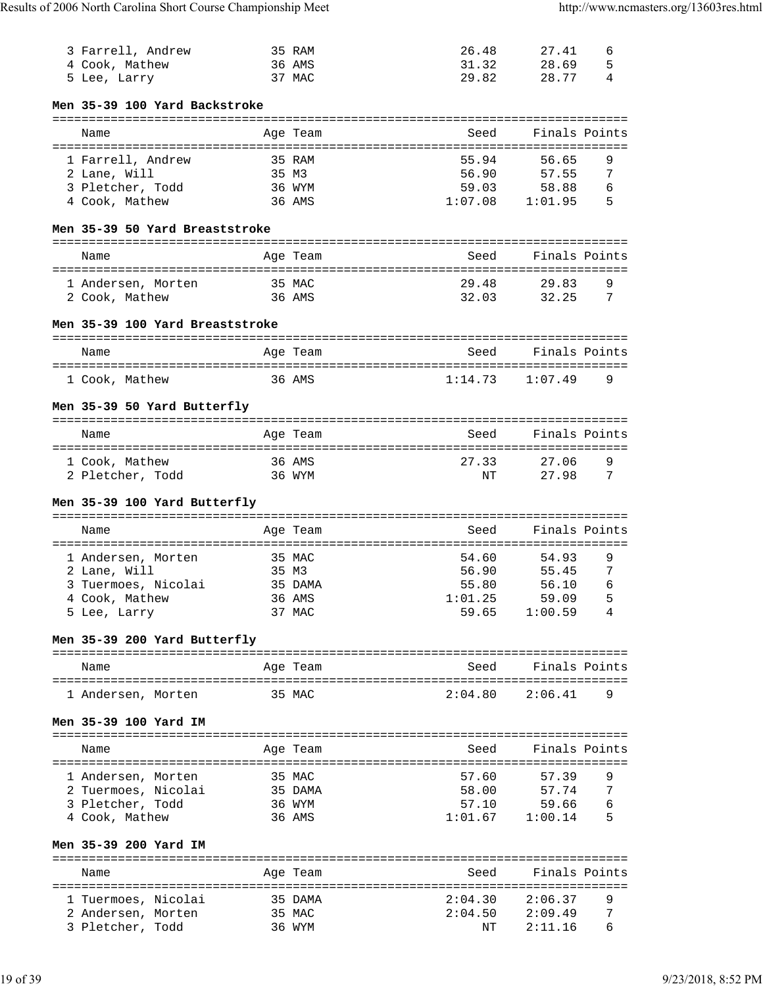| 3 Farrell, Andrew                      |             | 35 RAM   | 26.48                         | 27.41              | 6 |
|----------------------------------------|-------------|----------|-------------------------------|--------------------|---|
| 4 Cook, Mathew                         |             | 36 AMS   | 31.32                         | 28.69              | 5 |
| 5 Lee, Larry                           |             | 37 MAC   | 29.82                         | 28.77              | 4 |
|                                        |             |          |                               |                    |   |
| Men 35-39 100 Yard Backstroke          |             |          |                               |                    |   |
|                                        |             |          |                               |                    |   |
| Name                                   |             | Age Team | Seed                          | Finals Points      |   |
|                                        |             |          |                               |                    |   |
| 1 Farrell, Andrew                      |             | 35 RAM   | 55.94                         | 56.65              | 9 |
| 2 Lane, Will                           |             | 35 M3    | 56.90                         | 57.55              | 7 |
| 3 Pletcher, Todd                       |             | 36 WYM   | 59.03                         | 58.88              | 6 |
| 4 Cook, Mathew                         |             | 36 AMS   | 1:07.08                       | 1:01.95            | 5 |
|                                        |             |          |                               |                    |   |
| Men 35-39 50 Yard Breaststroke         |             |          |                               |                    |   |
|                                        |             |          |                               |                    |   |
| Name                                   |             | Age Team | Seed                          | Finals Points      |   |
|                                        |             |          |                               |                    |   |
| 1 Andersen, Morten                     |             | 35 MAC   | 29.48                         | 29.83              | 9 |
| 2 Cook, Mathew                         |             | 36 AMS   | 32.03                         | 32.25              | 7 |
|                                        |             |          |                               |                    |   |
| Men 35-39 100 Yard Breaststroke        |             |          |                               |                    |   |
|                                        |             |          |                               |                    |   |
| Name                                   |             | Age Team | Seed                          | Finals Points      |   |
|                                        |             |          |                               |                    |   |
| 1 Cook, Mathew                         |             | 36 AMS   | 1:14.73                       | 1:07.49            | 9 |
|                                        |             |          |                               |                    |   |
| Men 35-39 50 Yard Butterfly            |             |          |                               |                    |   |
|                                        |             |          |                               |                    |   |
| Name                                   |             | Age Team | Seed                          | Finals Points      |   |
|                                        |             |          |                               |                    |   |
| 1 Cook, Mathew                         |             | 36 AMS   | 27.33                         | 27.06              | 9 |
| 2 Pletcher, Todd                       |             | 36 WYM   | ΝT                            | 27.98              | 7 |
|                                        |             |          |                               |                    |   |
|                                        |             |          |                               |                    |   |
| Men 35-39 100 Yard Butterfly           |             |          |                               |                    |   |
|                                        |             |          |                               |                    |   |
| Name                                   |             | Age Team | Seed                          | Finals Points      |   |
|                                        | :========== |          | ============================= |                    |   |
| 1 Andersen, Morten                     |             | 35 MAC   | 54.60                         | 54.93              | 9 |
| 2 Lane, Will                           | 35 M3       |          | 56.90                         | 55.45              | 7 |
| 3 Tuermoes, Nicolai                    |             | 35 DAMA  | 55.80                         | 56.10              | 6 |
| 4 Cook, Mathew                         |             | 36 AMS   | 1:01.25                       | 59.09              | 5 |
| 5 Lee, Larry                           |             | 37 MAC   | 59.65                         | 1:00.59            | 4 |
|                                        |             |          |                               |                    |   |
| Men 35-39 200 Yard Butterfly           |             |          |                               |                    |   |
|                                        |             |          |                               |                    |   |
| Name                                   |             | Age Team | Seed                          | Finals Points      |   |
|                                        |             |          |                               |                    |   |
| 1 Andersen, Morten                     | 35 MAC      |          | 2:04.80                       | 2:06.41            | 9 |
|                                        |             |          |                               |                    |   |
| Men 35-39 100 Yard IM                  |             |          |                               |                    |   |
|                                        |             |          |                               |                    |   |
| Name                                   |             | Age Team | Seed                          | Finals Points      |   |
|                                        |             |          |                               |                    |   |
| 1 Andersen, Morten                     |             | 35 MAC   | 57.60                         | 57.39              | 9 |
| 2 Tuermoes, Nicolai                    |             | 35 DAMA  | 58.00                         | 57.74              | 7 |
| 3 Pletcher, Todd                       |             | 36 WYM   | 57.10                         | 59.66              | 6 |
| 4 Cook, Mathew                         |             | 36 AMS   | $1:01.67$ $1:00.14$           |                    | 5 |
|                                        |             |          |                               |                    |   |
| Men 35-39 200 Yard IM                  |             |          |                               |                    |   |
|                                        |             |          |                               |                    |   |
| Name                                   |             | Age Team |                               | Seed Finals Points |   |
|                                        |             |          |                               |                    |   |
| 1 Tuermoes, Nicolai                    |             | 35 DAMA  | 2:04.30                       | 2:06.37            | 9 |
| 2 Andersen, Morten<br>3 Pletcher, Todd |             | 35 MAC   | 2:04.50                       | 2:09.49<br>2:11.16 | 7 |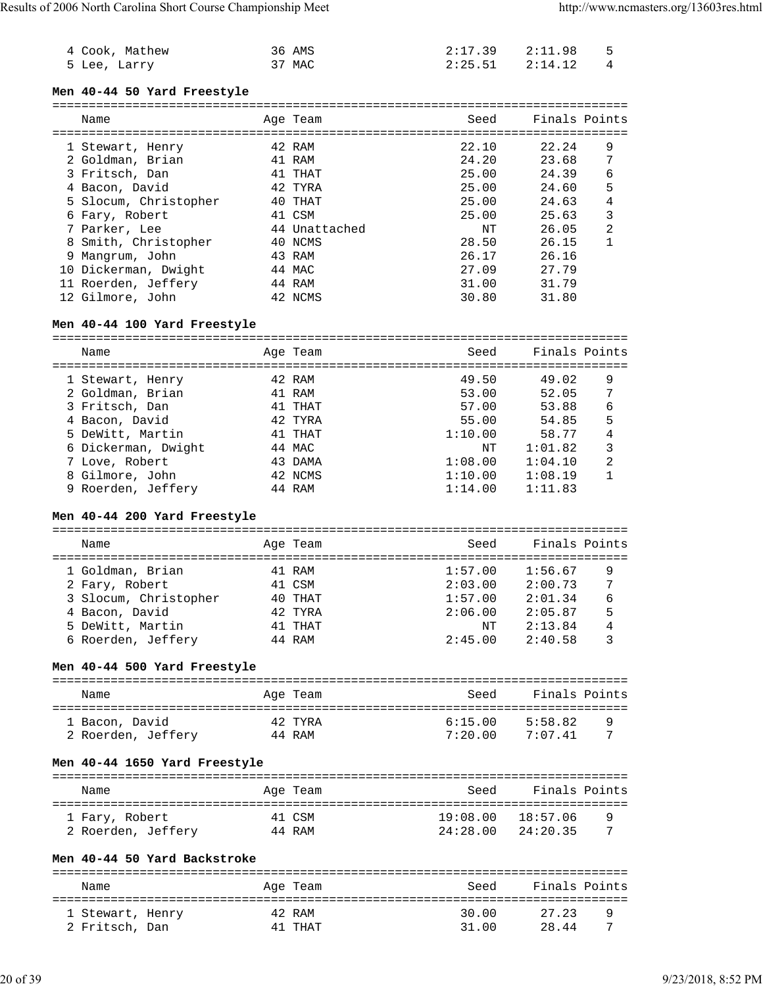| 4 Cook, Mathew | 36 AMS | 2:17.39 2:11.98 5     |  |
|----------------|--------|-----------------------|--|
| 5 Lee, Larry   | 37 MAC | $2:25.51$ $2:14.12$ 4 |  |

#### **Men 40-44 50 Yard Freestyle**

| Name                  |  | Age Team      | Seed  | Finals Points |                |
|-----------------------|--|---------------|-------|---------------|----------------|
|                       |  | 42 RAM        | 22.10 | 22.24         | 9              |
| 1 Stewart, Henry      |  |               |       |               |                |
| 2 Goldman, Brian      |  | 41 RAM        | 24.20 | 23.68         | 7              |
| 3 Fritsch, Dan        |  | 41 THAT       | 25.00 | 24.39         | 6              |
| 4 Bacon, David        |  | 42 TYRA       | 25.00 | 24.60         | 5              |
| 5 Slocum, Christopher |  | 40 THAT       | 25.00 | 24.63         | 4              |
| 6 Fary, Robert        |  | 41 CSM        | 25.00 | 25.63         | 3              |
| 7 Parker, Lee         |  | 44 Unattached | NT    | 26.05         | $\mathfrak{D}$ |
| 8 Smith, Christopher  |  | 40 NCMS       | 28.50 | 26.15         |                |
| 9 Mangrum, John       |  | 43 RAM        | 26.17 | 26.16         |                |
| 10 Dickerman, Dwight  |  | 44 MAC        | 27.09 | 27.79         |                |
| 11 Roerden, Jeffery   |  | 44 RAM        | 31.00 | 31.79         |                |
| 12 Gilmore, John      |  | 42 NCMS       | 30.80 | 31.80         |                |

#### **Men 40-44 100 Yard Freestyle**

| Name                | Age Team | Seed    | Finals Points |   |
|---------------------|----------|---------|---------------|---|
| 1 Stewart, Henry    | 42 RAM   | 49.50   | 49.02         | 9 |
| 2 Goldman, Brian    | 41 RAM   | 53.00   | 52.05         | 7 |
| 3 Fritsch, Dan      | 41 THAT  | 57.00   | 53.88         | 6 |
| 4 Bacon, David      | 42 TYRA  | 55.00   | 54.85         | 5 |
| 5 DeWitt, Martin    | 41 THAT  | 1:10.00 | 58.77         | 4 |
| 6 Dickerman, Dwight | 44 MAC   | NΤ      | 1:01.82       | 3 |
| 7 Love, Robert      | 43 DAMA  | 1:08.00 | 1:04.10       | 2 |
| 8 Gilmore, John     | 42 NCMS  | 1:10.00 | 1:08.19       |   |
| 9 Roerden, Jeffery  | 44 RAM   | 1:14.00 | 1:11.83       |   |
|                     |          |         |               |   |

## **Men 40-44 200 Yard Freestyle**

=============================================================================== Name **Age Team** Age Team Seed Finals Points =============================================================================== 1 Goldman, Brian 141 RAM<br>2 Fary, Robert 11 CSM 2 Fary, Robert 41 CSM 2:03.00 2:00.73 7 3 Slocum, Christopher 40 THAT 1:57.00 2:01.34 6 4 Bacon, David<br>
42 TYRA<br>
5 DeWitt, Martin 41 THAT<br>
6 Roerden, Jeffery 44 RAM<br>
44 RAM<br>
44 RAM<br>
2:45.00 2:40.58 3 5 DeWitt, Martin 41 THAT NT 2:13.84 4 6 Roerden, Jeffery 44 RAM 2:45.00 2:40.58 3

#### **Men 40-44 500 Yard Freestyle**

| Name               | Age Team | Seed    | Finals Points |   |
|--------------------|----------|---------|---------------|---|
| 1 Bacon, David     | 42 TYRA  | 6:15.00 | 5:58.82       | q |
| 2 Roerden, Jeffery | 44 RAM   | 7:20.00 | 7:07 41       |   |

#### **Men 40-44 1650 Yard Freestyle**

| Name               | Age Team | Seed              | Finals Points |
|--------------------|----------|-------------------|---------------|
| 1 Fary, Robert     | 41 CSM   | 19:08.00 18:57.06 | q             |
| 2 Roerden, Jeffery | 44 RAM   | 24:28.00          | 24:20.35      |

#### **Men 40-44 50 Yard Backstroke**

| Name             | Age Team | Seed  | Finals Points |   |
|------------------|----------|-------|---------------|---|
| 1 Stewart, Henry | 42 RAM   | 30.00 | 27.23         | q |
| 2 Fritsch, Dan   | 41 THAT  | 31.00 | 28.44         |   |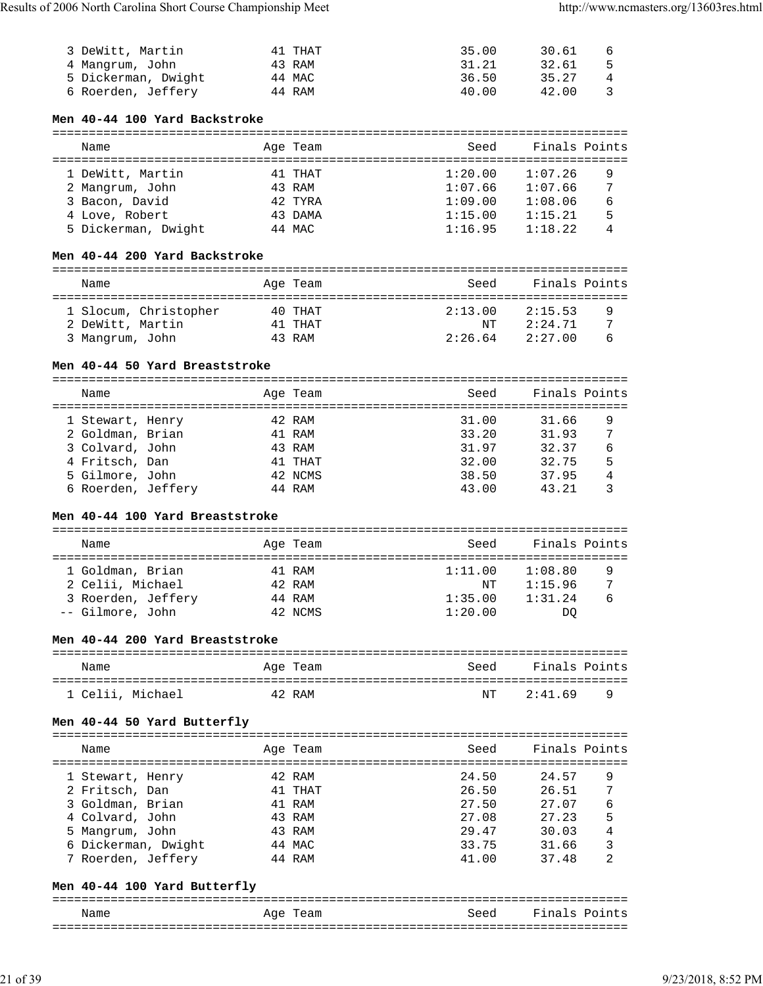| 3 DeWitt, Martin    | 41 THAT | 35.00 | 30.61 | 6 |
|---------------------|---------|-------|-------|---|
| 4 Mangrum, John     | 43 RAM  | 31.21 | 32.61 |   |
| 5 Dickerman, Dwight | 44 MAC  | 36.50 | 35.27 |   |
| 6 Roerden, Jeffery  | 44 RAM  | 40.00 | 42.00 |   |

## **Men 40-44 100 Yard Backstroke**

| Name                | Age Team | Seed    | Finals Points |  |  |  |  |  |  |
|---------------------|----------|---------|---------------|--|--|--|--|--|--|
|                     |          |         |               |  |  |  |  |  |  |
| 1 DeWitt, Martin    | 41 THAT  | 1:20.00 | 1:07.26<br>9  |  |  |  |  |  |  |
| 2 Mangrum, John     | 43 RAM   | 1:07.66 | 7<br>1:07.66  |  |  |  |  |  |  |
| 3 Bacon, David      | 42 TYRA  | 1:09.00 | 1:08.06<br>6  |  |  |  |  |  |  |
| 4 Love, Robert      | 43 DAMA  | 1:15.00 | 5<br>1:15.21  |  |  |  |  |  |  |
| 5 Dickerman, Dwight | 44 MAC   | 1:16.95 | 1:18.22<br>4  |  |  |  |  |  |  |

## **Men 40-44 200 Yard Backstroke**

| Name                                      | Age Team           | Seed          | Finals Points      |        |
|-------------------------------------------|--------------------|---------------|--------------------|--------|
| 1 Slocum, Christopher<br>2 DeWitt, Martin | 40 THAT<br>41 THAT | 2:13.00<br>NΤ | 2:15.53<br>2:24.71 | 9<br>7 |
| 3 Mangrum, John                           | 43 RAM             | 2:26.64       | 2:27.00            | 6      |

#### **Men 40-44 50 Yard Breaststroke**

| Name               |  | Age Team | Seed  | Finals Points |   |
|--------------------|--|----------|-------|---------------|---|
| 1 Stewart, Henry   |  | 42 RAM   | 31.00 | 31.66         | 9 |
| 2 Goldman, Brian   |  | 41 RAM   | 33.20 | 31.93         | 7 |
| 3 Colvard, John    |  | 43 RAM   | 31.97 | 32.37         | 6 |
| 4 Fritsch, Dan     |  | 41 THAT  | 32.00 | 32.75         | 5 |
| 5 Gilmore, John    |  | 42 NCMS  | 38.50 | 37.95         | 4 |
| 6 Roerden, Jeffery |  | 44 RAM   | 43.00 | 43.21         |   |

# **Men 40-44 100 Yard Breaststroke**

| Name               |  | Age Team | Seed    | Finals Points |  |  |  |
|--------------------|--|----------|---------|---------------|--|--|--|
|                    |  |          |         |               |  |  |  |
| 1 Goldman, Brian   |  | 41 RAM   | 1:11.00 | 1:08.80<br>9  |  |  |  |
| 2 Celii, Michael   |  | 42 RAM   | NΤ      | 7<br>1:15.96  |  |  |  |
| 3 Roerden, Jeffery |  | 44 RAM   | 1:35.00 | 1:31.24<br>6  |  |  |  |
| -- Gilmore, John   |  | 42 NCMS  | 1:20.00 | DO            |  |  |  |

# **Men 40-44 200 Yard Breaststroke**

| Name             | Age Team | Seed | Finals Points |          |
|------------------|----------|------|---------------|----------|
| 1 Celii, Michael | 42 RAM   | NT   | 2:41.69       | <u>y</u> |

## **Men 40-44 50 Yard Butterfly**

| Name                | Age Team | Seed  | Finals Points |
|---------------------|----------|-------|---------------|
| 1 Stewart, Henry    | 42 RAM   | 24.50 | 24.57<br>9    |
| 2 Fritsch, Dan      | 41 THAT  | 26.50 | 7<br>26.51    |
| 3 Goldman, Brian    | 41 RAM   | 27.50 | 27.07<br>6    |
| 4 Colvard, John     | 43 RAM   | 27.08 | 5<br>27.23    |
| 5 Mangrum, John     | 43 RAM   | 29.47 | 30.03<br>4    |
| 6 Dickerman, Dwight | 44 MAC   | 33.75 | 3<br>31.66    |
| 7 Roerden, Jeffery  | 44 RAM   | 41.00 | 37.48<br>2    |

### **Men 40-44 100 Yard Butterfly**

| Name | Aqe<br>'l'eam | Seed | Finals Points |
|------|---------------|------|---------------|
|      |               |      |               |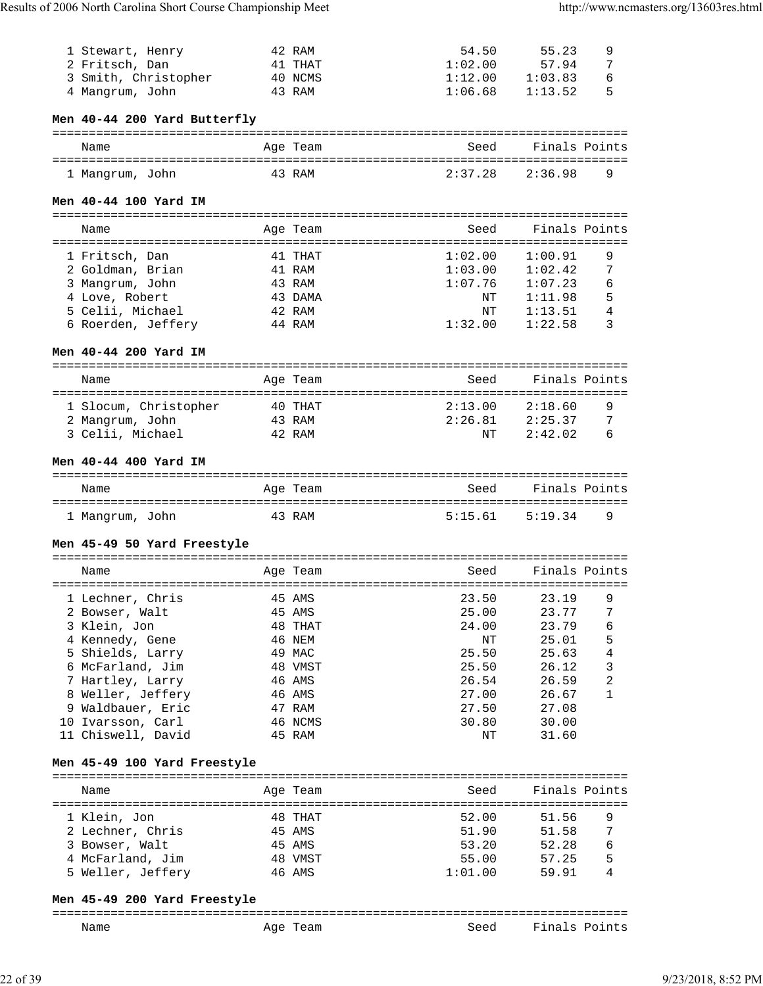| 1 Stewart, Henry             |           | 42 RAM   | 54.50   | 55.23         | 9 |
|------------------------------|-----------|----------|---------|---------------|---|
| 2 Fritsch, Dan               |           | 41 THAT  | 1:02.00 | 57.94         | 7 |
| 3 Smith, Christopher         |           | 40 NCMS  | 1:12.00 | 1:03.83       | 6 |
| 4 Mangrum, John              |           | 43 RAM   | 1:06.68 | 1:13.52       | 5 |
|                              |           |          |         |               |   |
| Men 40-44 200 Yard Butterfly |           |          |         |               |   |
|                              |           |          |         |               |   |
|                              |           |          | Seed    | Finals Points |   |
| Name                         |           | Age Team |         |               |   |
|                              |           |          |         |               |   |
| 1 Mangrum, John              |           | 43 RAM   | 2:37.28 | 2:36.98       | 9 |
|                              |           |          |         |               |   |
| Men 40-44 100 Yard IM        |           |          |         |               |   |
|                              |           |          |         |               |   |
| Name                         |           | Age Team | Seed    | Finals Points |   |
|                              |           |          |         |               |   |
| 1 Fritsch, Dan               |           | 41 THAT  | 1:02.00 | 1:00.91       | 9 |
| 2 Goldman, Brian             |           | 41 RAM   | 1:03.00 | 1:02.42       | 7 |
| 3 Mangrum, John              |           | 43 RAM   | 1:07.76 | 1:07.23       | 6 |
| 4 Love, Robert               |           | 43 DAMA  | NΤ      | 1:11.98       | 5 |
| 5 Celii, Michael             |           | 42 RAM   | NΤ      | 1:13.51       | 4 |
|                              |           | 44 RAM   | 1:32.00 | 1:22.58       | 3 |
| 6 Roerden, Jeffery           |           |          |         |               |   |
|                              |           |          |         |               |   |
| Men 40-44 200 Yard IM        |           |          |         |               |   |
|                              |           |          |         |               |   |
| Name                         |           | Age Team | Seed    | Finals Points |   |
|                              | --------- |          |         |               |   |
| 1 Slocum, Christopher        |           | 40 THAT  | 2:13.00 | 2:18.60       | 9 |
| 2 Mangrum, John              |           | 43 RAM   | 2:26.81 | 2:25.37       | 7 |
| 3 Celii, Michael             |           | 42 RAM   | ΝT      | 2:42.02       | 6 |
|                              |           |          |         |               |   |
|                              |           |          |         |               |   |
|                              |           |          |         |               |   |
| Men 40-44 400 Yard IM        |           |          |         |               |   |
|                              |           |          |         |               |   |
| Name                         |           | Age Team | Seed    | Finals Points |   |
|                              |           |          |         |               |   |
| 1 Mangrum, John              |           | 43 RAM   | 5:15.61 | 5:19.34       | 9 |
|                              |           |          |         |               |   |
| Men 45-49 50 Yard Freestyle  |           |          |         |               |   |
|                              |           |          |         |               |   |
| Name                         |           | Age Team | Seed    | Finals Points |   |
|                              |           |          |         |               |   |
| 1 Lechner, Chris             |           | 45 AMS   | 23.50   | 23.19         | 9 |
| 2 Bowser, Walt               |           | 45 AMS   | 25.00   | 23.77         | 7 |
| 3 Klein, Jon                 |           | 48 THAT  | 24.00   | 23.79         | 6 |
|                              |           |          |         |               |   |
| 4 Kennedy, Gene              |           | 46 NEM   | ΝT      | 25.01         | 5 |
| 5 Shields, Larry             |           | 49 MAC   | 25.50   | 25.63         | 4 |
| 6 McFarland, Jim             |           | 48 VMST  | 25.50   | 26.12         | 3 |
| 7 Hartley, Larry             |           | 46 AMS   | 26.54   | 26.59         | 2 |
| 8 Weller, Jeffery            |           | 46 AMS   | 27.00   | 26.67         | 1 |
| 9 Waldbauer, Eric            |           | 47 RAM   | 27.50   | 27.08         |   |
| 10 Ivarsson, Carl            |           | 46 NCMS  | 30.80   | 30.00         |   |
| 11 Chiswell, David           |           | 45 RAM   | NΤ      | 31.60         |   |
|                              |           |          |         |               |   |
|                              |           |          |         |               |   |
| Men 45-49 100 Yard Freestyle |           |          |         |               |   |
|                              |           |          |         |               |   |
| Name                         |           | Age Team | Seed    | Finals Points |   |
|                              |           |          |         |               |   |
| 1 Klein, Jon                 |           | 48 THAT  | 52.00   | 51.56         | 9 |
| 2 Lechner, Chris             |           | 45 AMS   | 51.90   | 51.58         | 7 |
| 3 Bowser, Walt               |           | 45 AMS   | 53.20   | 52.28         | 6 |
| 4 McFarland, Jim             |           | 48 VMST  | 55.00   | 57.25         | 5 |
| 5 Weller, Jeffery            |           | 46 AMS   | 1:01.00 | 59.91         | 4 |

#### **Men 45-49 200 Yard Freestyle**

#### =============================================================================== Seed Finals Points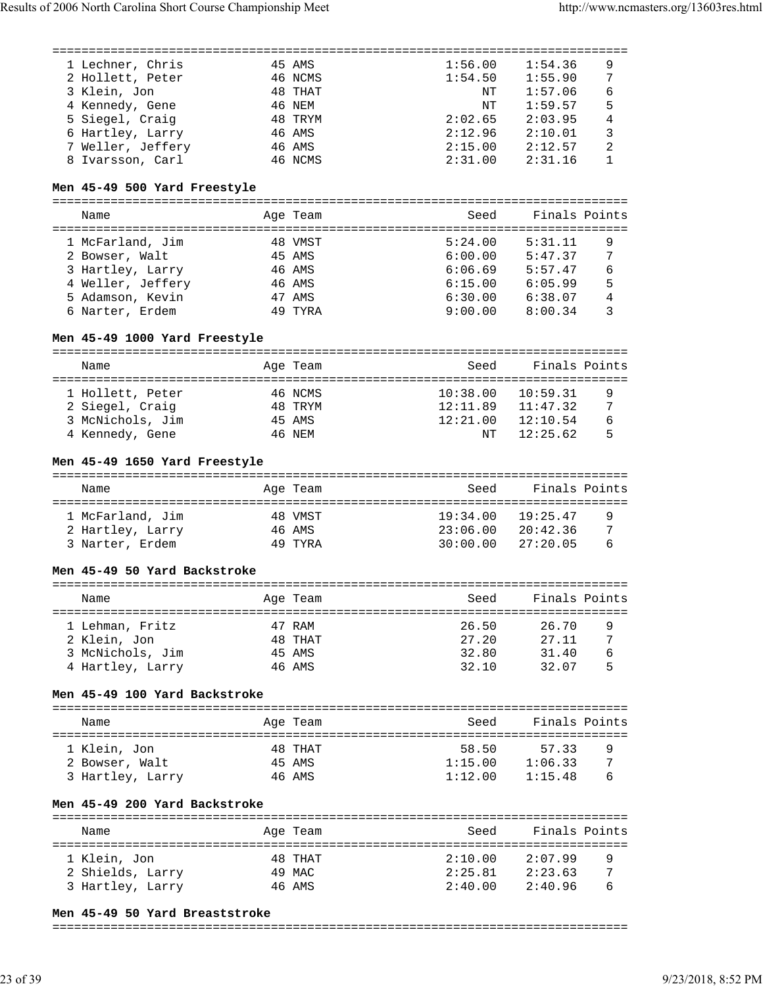| 1 Lechner, Chris  | 45 AMS  | 1:56.00 | 1:54.36 | 9 |
|-------------------|---------|---------|---------|---|
| 2 Hollett, Peter  | 46 NCMS | 1:54.50 | 1:55.90 | 7 |
| 3 Klein, Jon      | 48 THAT | NΤ      | 1:57.06 | 6 |
| 4 Kennedy, Gene   | 46 NEM  | NT      | 1:59.57 | 5 |
| 5 Siegel, Craig   | 48 TRYM | 2:02.65 | 2:03.95 | 4 |
| 6 Hartley, Larry  | 46 AMS  | 2:12.96 | 2:10.01 | 3 |
| 7 Weller, Jeffery | 46 AMS  | 2:15.00 | 2:12.57 | 2 |
| 8 Ivarsson, Carl  | 46 NCMS | 2:31.00 | 2:31.16 |   |

#### **Men 45-49 500 Yard Freestyle**

===============================================================================

| Name              |  | Age Team | Seed    | Finals Points |   |
|-------------------|--|----------|---------|---------------|---|
| 1 McFarland, Jim  |  | 48 VMST  | 5:24.00 | 5:31.11       | 9 |
| 2 Bowser, Walt    |  | 45 AMS   | 6:00.00 | 5:47.37       | 7 |
| 3 Hartley, Larry  |  | 46 AMS   | 6:06.69 | 5:57.47       | 6 |
| 4 Weller, Jeffery |  | 46 AMS   | 6:15.00 | 6:05.99       | 5 |
| 5 Adamson, Kevin  |  | 47 AMS   | 6:30.00 | 6:38.07       | 4 |
| 6 Narter, Erdem   |  | 49 TYRA  | 9:00.00 | 8:00.34       |   |

#### **Men 45-49 1000 Yard Freestyle**

| Name             | Age Team |         | Seed     | Finals Points |   |  |  |
|------------------|----------|---------|----------|---------------|---|--|--|
| 1 Hollett, Peter |          | 46 NCMS | 10:38.00 | 10:59.31      | 9 |  |  |
| 2 Siegel, Craig  |          | 48 TRYM | 12:11.89 | 11:47.32      | 7 |  |  |
| 3 McNichols, Jim | 45 AMS   |         | 12:21.00 | 12:10.54      | 6 |  |  |
| 4 Kennedy, Gene  | 46 NEM   |         | NT       | 12:25.62      | 5 |  |  |

#### **Men 45-49 1650 Yard Freestyle**

| Name             | Age Team | Seed     | Finals Points |   |
|------------------|----------|----------|---------------|---|
| 1 McFarland, Jim | 48 VMST  | 19:34.00 | 19:25.47      | q |
| 2 Hartley, Larry | 46 AMS   | 23:06.00 | 20:42:36      | 7 |
| 3 Narter, Erdem  | 49 TYRA  | 30:00.00 | 27:20.05      | 6 |

#### **Men 45-49 50 Yard Backstroke**

| Name             | Age Team | Seed  | Finals Points |   |
|------------------|----------|-------|---------------|---|
|                  | 47 RAM   | 26.50 | 26.70         |   |
| 1 Lehman, Fritz  |          |       |               | 9 |
| 2 Klein, Jon     | 48 THAT  | 27.20 | 27.11         | 7 |
| 3 McNichols, Jim | 45 AMS   | 32.80 | 31.40         | 6 |
| 4 Hartley, Larry | 46 AMS   | 32.10 | 32.07         |   |

#### **Men 45-49 100 Yard Backstroke**

| Name                           | Age Team          | Seed             | Finals Points    |        |
|--------------------------------|-------------------|------------------|------------------|--------|
| 1 Klein, Jon<br>2 Bowser, Walt | 48 THAT<br>45 AMS | 58.50<br>1:15.00 | 57.33<br>1:06.33 | 9<br>7 |
| 3 Hartley, Larry               | 46 AMS            | 1:12.00          | 1:15.48          | 6      |

# **Men 45-49 200 Yard Backstroke**

| Name                             | Age Team          | Seed               | Finals Points      |   |
|----------------------------------|-------------------|--------------------|--------------------|---|
| 1 Klein, Jon<br>2 Shields, Larry | 48 THAT<br>49 MAC | 2:10.00<br>2:25.81 | 2:07.99<br>2:23.63 | 9 |
| 3 Hartley, Larry                 | 46 AMS            | 2:40.00            | 2:40.96            | 6 |

#### **Men 45-49 50 Yard Breaststroke**

#### ===============================================================================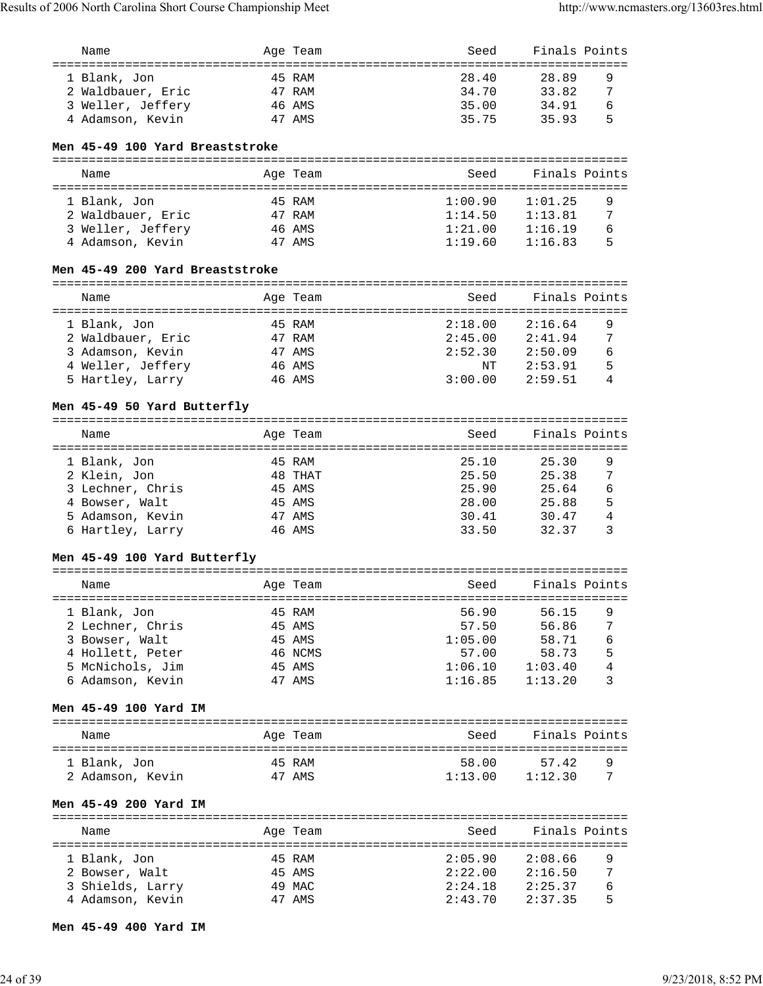| Name |                   | Age Team | Seed  | Finals Points |   |
|------|-------------------|----------|-------|---------------|---|
|      | 1 Blank, Jon      | 45 RAM   | 28.40 | 28.89         | 9 |
|      | 2 Waldbauer, Eric | 47 RAM   | 34.70 | 33.82         | 7 |
|      | 3 Weller, Jeffery | 46 AMS   | 35.00 | 34.91         | 6 |
|      | 4 Adamson, Kevin  | 47 AMS   | 35.75 | 3593          | 5 |

## **Men 45-49 100 Yard Breaststroke**

| Name              | Age Team | Seed    | Finals Points |   |
|-------------------|----------|---------|---------------|---|
|                   |          |         |               |   |
| 1 Blank, Jon      | 45 RAM   | 1:00.90 | 1:01.25       | 9 |
| 2 Waldbauer, Eric | 47 RAM   | 1:14.50 | 1:13.81       | 7 |
| 3 Weller, Jeffery | 46 AMS   | 1:21.00 | 1:16.19       | 6 |
| 4 Adamson, Kevin  | 47 AMS   | 1:19.60 | 1:16.83       | 5 |

## **Men 45-49 200 Yard Breaststroke**

| Name              |  | Age Team | Seed    | Finals Points |   |  |  |  |
|-------------------|--|----------|---------|---------------|---|--|--|--|
|                   |  |          |         |               |   |  |  |  |
| 1 Blank, Jon      |  | 45 RAM   | 2:18.00 | 2:16.64       | 9 |  |  |  |
| 2 Waldbauer, Eric |  | 47 RAM   | 2:45.00 | 2:41.94       | 7 |  |  |  |
| 3 Adamson, Kevin  |  | 47 AMS   | 2:52.30 | 2:50.09       | 6 |  |  |  |
| 4 Weller, Jeffery |  | 46 AMS   | NΤ      | 2:53.91       | 5 |  |  |  |
| 5 Hartley, Larry  |  | 46 AMS   | 3:00.00 | 2:59.51       | 4 |  |  |  |

#### **Men 45-49 50 Yard Butterfly**

| Name             | Age Team | Seed  | Finals Points |
|------------------|----------|-------|---------------|
| 1 Blank, Jon     | 45 RAM   | 25.10 | 25.30<br>9    |
| 2 Klein, Jon     | 48 THAT  | 25.50 | 7<br>25.38    |
| 3 Lechner, Chris | 45 AMS   | 25.90 | 6<br>25.64    |
| 4 Bowser, Walt   | 45 AMS   | 28.00 | 5<br>25.88    |
| 5 Adamson, Kevin | 47 AMS   | 30.41 | 30.47<br>4    |
| 6 Hartley, Larry | 46 AMS   | 33.50 | 32.37         |

## **Men 45-49 100 Yard Butterfly**

| Name             | Age Team | Seed    | Finals Points |   |
|------------------|----------|---------|---------------|---|
| 1 Blank, Jon     | 45 RAM   | 56.90   | 56.15         | 9 |
| 2 Lechner, Chris | 45 AMS   | 57.50   | 56.86         | 7 |
| 3 Bowser, Walt   | 45 AMS   | 1:05.00 | 58.71         | 6 |
| 4 Hollett, Peter | 46 NCMS  | 57.00   | 58.73         | 5 |
| 5 McNichols, Jim | 45 AMS   | 1:06.10 | 1:03.40       | 4 |
| 6 Adamson, Kevin | 47 AMS   | 1:16.85 | 1:13.20       |   |

#### **Men 45-49 100 Yard IM**

| Name             | Age Team | Seed    | Finals Points |   |
|------------------|----------|---------|---------------|---|
| 1 Blank, Jon     | 45 RAM   | 58.00   | 57.42         | q |
| 2 Adamson, Kevin | 47 AMS   | 1:13.00 | 1:12.30       |   |

# **Men 45-49 200 Yard IM**

| Name             | Age Team | Seed    | Finals Points |   |
|------------------|----------|---------|---------------|---|
| 1 Blank, Jon     | 45 RAM   | 2:05.90 | 2:08.66       | 9 |
| 2 Bowser, Walt   | 45 AMS   | 2:22.00 | 2:16.50       | 7 |
| 3 Shields, Larry | 49 MAC   | 2:24.18 | 2:25.37       | 6 |
| 4 Adamson, Kevin | 47 AMS   | 2:43.70 | 2:37.35       | 5 |

#### **Men 45-49 400 Yard IM**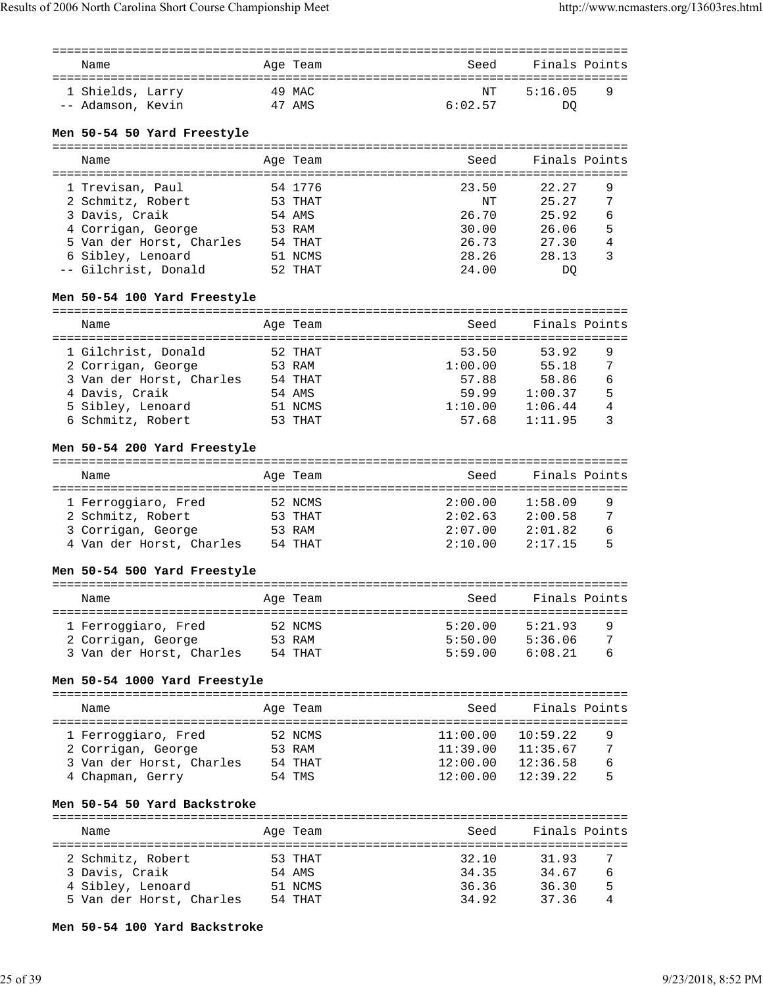| Name                                                          |         | Age Team |                    | Seed Finals Points           |                |
|---------------------------------------------------------------|---------|----------|--------------------|------------------------------|----------------|
|                                                               |         |          |                    |                              |                |
| 1 Shields, Larry 49 MAC                                       |         |          | NΤ                 | 5:16.05                      | 9              |
| 47 AMS<br>-- Adamson, Kevin                                   |         |          | 6:02.57            | <b>DQ</b>                    |                |
| Men 50-54 50 Yard Freestyle                                   |         |          |                    |                              |                |
|                                                               |         |          |                    |                              |                |
| Name                                                          |         | Age Team | Seed               | Finals Points                |                |
|                                                               |         |          |                    |                              |                |
| 1 Trevisan, Paul                                              |         | 54 1776  | 23.50              | 22.27                        | 9              |
| 2 Schmitz, Robert                                             |         | 53 THAT  | ΝT                 | 25.27                        | 7              |
| 3 Davis, Craik                                                |         | 54 AMS   | 26.70              | 25.92                        | 6              |
| 4 Corrigan, George                                            |         | 53 RAM   | 30.00              | 26.06                        | 5              |
| 5 Van der Horst, Charles 54 THAT<br>6 Sibley. Lenoard 51 NCMS |         |          | 26.73              | 27.30                        | $\overline{4}$ |
| 6 Sibley, Lenoard                                             |         | 51 NCMS  | 28.26              | 28.13                        | 3              |
| -- Gilchrist, Donald                                          |         | 52 THAT  | 24.00              | DQ                           |                |
| Men 50-54 100 Yard Freestyle                                  |         |          |                    |                              |                |
|                                                               |         |          |                    |                              |                |
| Name                                                          |         | Age Team | Seed               | Finals Points                |                |
|                                                               | 52 THAT |          | 53.50              | 53.92                        |                |
| 1 Gilchrist, Donald<br>2 Corrigan, George                     |         | 53 RAM   | 1:00.00            | 55.18                        | 9<br>7         |
| 3 Van der Horst, Charles 54 THAT                              |         |          | 57.88              | 58.86                        | 6              |
| 4 Davis, Craik                                                |         | 54 AMS   |                    |                              | 5              |
| 5 Sibley, Lenoard                                             |         | 51 NCMS  | 1:10.00            | 59.99 1:00.37<br>1:06.44     | $\,4$          |
| 6 Schmitz, Robert                                             |         | 53 THAT  | 57.68              | 1:11.95                      | 3              |
|                                                               |         |          |                    |                              |                |
| Men 50-54 200 Yard Freestyle                                  |         |          |                    |                              |                |
| Name                                                          |         | Age Team | Seed               | Finals Points                |                |
|                                                               |         |          |                    |                              |                |
| 1 Ferroggiaro, Fred                                           |         | 52 NCMS  | 2:00.00            | 1:58.09                      | 9              |
| 2 Schmitz, Robert                                             |         | 53 THAT  | 2:02.63            | 2:00.58                      | 7              |
| 3 Corrigan, George 53 RAM                                     |         |          |                    | $2:07.00$ $2:01.82$          | 6              |
| 4 Van der Horst, Charles 54 THAT                              |         |          | 2:10.00            | 2:17.15                      | 5              |
|                                                               |         |          |                    |                              |                |
| Men 50-54 500 Yard Freestyle                                  |         |          |                    |                              |                |
| <b>Example 2</b> Aqe Team<br>Name                             |         |          | Seed Finals Points |                              |                |
|                                                               |         |          |                    |                              |                |
| 1 Ferroqqiaro, Fred                                           |         | 52 NCMS  | 5:20.00            | 5:21.93                      | 9              |
| 2 Corrigan, George 53 RAM                                     |         |          |                    | 5:50.00 5:36.06 7            |                |
| 3 Van der Horst, Charles 54 THAT                              |         |          |                    | $5:59.00$ $6:08.21$          | 6              |
|                                                               |         |          |                    |                              |                |
| Men 50-54 1000 Yard Freestyle                                 |         |          |                    |                              |                |
| Name                                                          |         | Age Team | Seed               | Finals Points                |                |
|                                                               |         |          |                    |                              |                |
| 1 Ferroggiaro, Fred 52 NCMS<br>2 Corrigan, George 53 RAM      |         |          |                    | $11:00.00$ $10:59.22$        | 9              |
|                                                               |         |          |                    | $11:39.00$ $11:35.67$ 7      |                |
| 3 Van der Horst, Charles 54 THAT                              |         |          |                    | $12:00.00$ $12:36.58$ 6      |                |
| 4 Chapman, Gerry 54 TMS                                       |         |          |                    | $12:00.00$ $12:39.22$        | 5              |
| Men 50-54 50 Yard Backstroke                                  |         |          |                    |                              |                |
|                                                               |         |          |                    |                              |                |
| Name                                                          |         | Age Team | Seed Finals Points |                              |                |
|                                                               |         |          |                    | 32.10 31.93                  |                |
| 2 Schmitz, Robert 53 THAT                                     |         |          |                    |                              | 7              |
| 3 Davis, Craik<br>54 AMS                                      |         |          |                    | 34.35 34.67 6                |                |
| 4 Sibley, Lenoard 51 NCMS<br>5 Van der Horst, Charles 54 THAT |         |          |                    | 36.36 36.30 5<br>34.92 37.36 | 4              |
|                                                               |         |          |                    |                              |                |
| Men 50-54 100 Yard Backstroke                                 |         |          |                    |                              |                |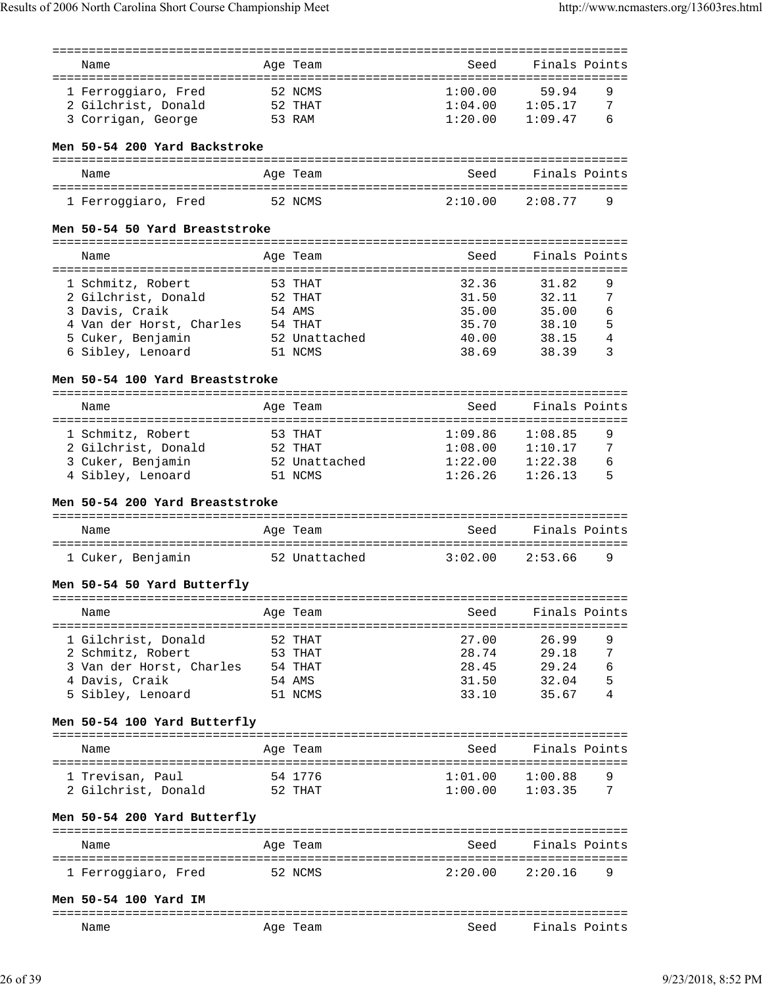| Name                                          |            | Age Team      | Seed                         | Finals Points |   |
|-----------------------------------------------|------------|---------------|------------------------------|---------------|---|
| -------------------<br>====================== |            |               | ---------------------------- |               |   |
|                                               |            |               |                              |               |   |
| 1 Ferroggiaro, Fred                           |            | 52 NCMS       | 1:00.00                      | 59.94         | 9 |
| 2 Gilchrist, Donald                           |            | 52 THAT       | 1:04.00                      | 1:05.17       | 7 |
| 3 Corrigan, George                            |            | 53 RAM        | 1:20.00                      | 1:09.47       | 6 |
|                                               |            |               |                              |               |   |
| Men 50-54 200 Yard Backstroke                 |            |               |                              |               |   |
|                                               |            |               |                              |               |   |
|                                               |            |               |                              |               |   |
| Name                                          |            | Age Team      | Seed                         | Finals Points |   |
|                                               |            |               |                              |               |   |
| 1 Ferroggiaro, Fred                           |            | 52 NCMS       | 2:10.00                      | 2:08.77       | 9 |
|                                               |            |               |                              |               |   |
| Men 50-54 50 Yard Breaststroke                |            |               |                              |               |   |
|                                               |            |               |                              |               |   |
|                                               |            |               |                              |               |   |
| Name                                          |            | Age Team      | Seed                         | Finals Points |   |
|                                               | :========= |               | . = = = = = = = = = =        |               |   |
| 1 Schmitz, Robert                             |            | 53 THAT       | 32.36                        | 31.82         | 9 |
| 2 Gilchrist, Donald                           |            | 52 THAT       | 31.50                        | 32.11         | 7 |
| 3 Davis, Craik                                |            | 54 AMS        | 35.00                        | 35.00         | 6 |
| 4 Van der Horst, Charles 54 THAT              |            |               |                              |               | 5 |
|                                               |            |               | 35.70                        | 38.10         |   |
| 5 Cuker, Benjamin                             |            | 52 Unattached | 40.00                        | 38.15         | 4 |
| 6 Sibley, Lenoard                             |            | 51 NCMS       | 38.69                        | 38.39         | 3 |
|                                               |            |               |                              |               |   |
| Men 50-54 100 Yard Breaststroke               |            |               |                              |               |   |
|                                               |            |               |                              |               |   |
|                                               |            |               |                              |               |   |
| Name                                          |            | Age Team      | Seed                         | Finals Points |   |
|                                               |            |               |                              |               |   |
| 1 Schmitz, Robert                             |            | 53 THAT       | 1:09.86                      | 1:08.85       | 9 |
| 2 Gilchrist, Donald                           |            | 52 THAT       | 1:08.00                      | 1:10.17       | 7 |
| 3 Cuker, Benjamin                             |            | 52 Unattached | 1:22.00                      | 1:22.38       | 6 |
| 4 Sibley, Lenoard                             |            | 51 NCMS       | 1:26.26                      | 1:26.13       | 5 |
|                                               |            |               |                              |               |   |
|                                               |            |               |                              |               |   |
|                                               |            |               |                              |               |   |
| Men 50-54 200 Yard Breaststroke               |            |               |                              |               |   |
|                                               |            |               |                              |               |   |
| Name                                          |            | Age Team      | Seed                         | Finals Points |   |
|                                               |            |               |                              |               |   |
|                                               |            |               |                              |               |   |
| 1 Cuker, Benjamin                             |            | 52 Unattached | 3:02.00                      | 2:53.66       | 9 |
|                                               |            |               |                              |               |   |
| Men 50-54 50 Yard Butterfly                   |            |               |                              |               |   |
|                                               |            |               |                              |               |   |
| Name                                          |            |               | Seed                         |               |   |
|                                               |            | Age Team      |                              | Finals Points |   |
|                                               |            |               |                              |               |   |
| 1 Gilchrist, Donald                           |            | 52 THAT       | 27.00                        | 26.99         | 9 |
| 2 Schmitz, Robert                             |            | 53 THAT       | 28.74                        | 29.18         | 7 |
| 3 Van der Horst, Charles                      |            | 54 THAT       | 28.45                        | 29.24         | 6 |
| 4 Davis, Craik                                |            | 54 AMS        | 31.50                        | 32.04         | 5 |
|                                               |            | 51 NCMS       | 33.10                        | 35.67         | 4 |
| 5 Sibley, Lenoard                             |            |               |                              |               |   |
|                                               |            |               |                              |               |   |
| Men 50-54 100 Yard Butterfly                  |            |               |                              |               |   |
|                                               |            |               |                              |               |   |
| Name                                          |            | Age Team      | Seed                         | Finals Points |   |
|                                               |            |               |                              |               |   |
|                                               |            |               |                              |               | 9 |
| 1 Trevisan, Paul                              |            | 54 1776       | 1:01.00                      | 1:00.88       |   |
| 2 Gilchrist, Donald                           |            | 52 THAT       | 1:00.00                      | 1:03.35       | 7 |
|                                               |            |               |                              |               |   |
| Men 50-54 200 Yard Butterfly                  |            |               |                              |               |   |
|                                               |            |               |                              |               |   |
| Name                                          |            | Age Team      | Seed                         | Finals Points |   |
|                                               |            |               |                              |               |   |
|                                               |            |               |                              |               |   |
| 1 Ferroggiaro, Fred                           |            | 52 NCMS       | 2:20.00                      | 2:20.16       | 9 |
|                                               |            |               |                              |               |   |
| Men 50-54 100 Yard IM                         |            |               |                              |               |   |
|                                               |            |               |                              |               |   |
| Name                                          |            | Age Team      | Seed                         | Finals Points |   |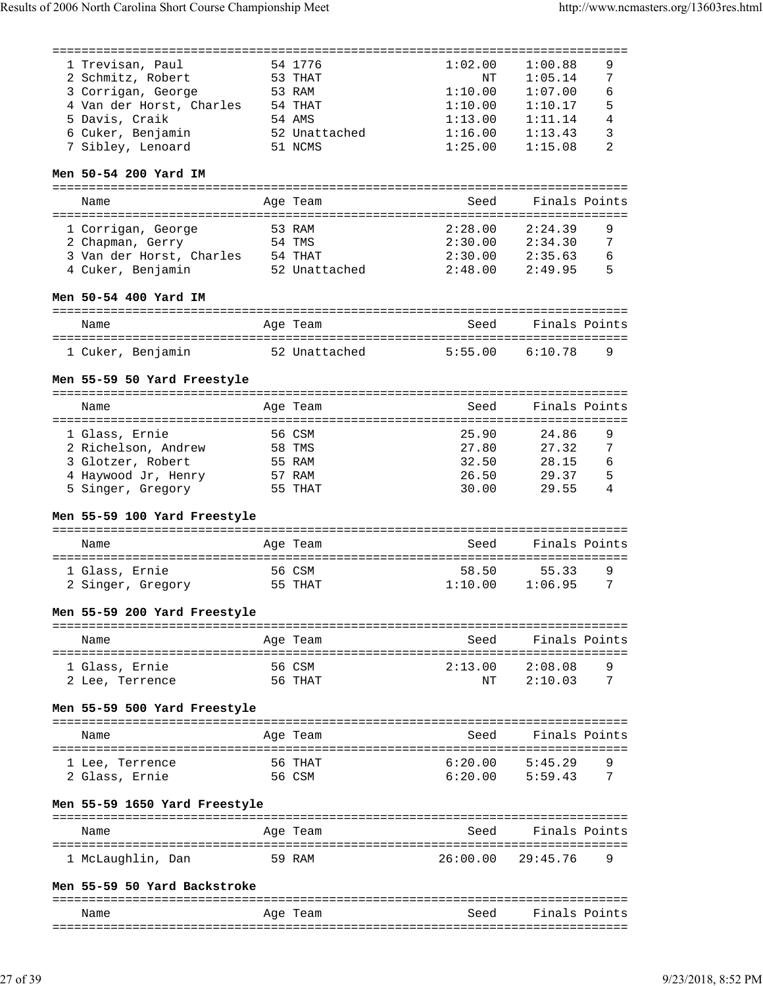| 1 Trevisan, Paul                  |        | 54 1776       | 1:02.00  | 1:00.88                        | 9 |
|-----------------------------------|--------|---------------|----------|--------------------------------|---|
| 2 Schmitz, Robert                 |        | 53 THAT       | NΤ       | 1:05.14                        | 7 |
| 3 Corrigan, George                |        | 53 RAM        | 1:10.00  | 1:07.00                        | 6 |
| 4 Van der Horst, Charles          |        | 54 THAT       | 1:10.00  | 1:10.17                        | 5 |
| 5 Davis, Craik                    |        | 54 AMS        | 1:13.00  | 1:11.14                        | 4 |
| 6 Cuker, Benjamin                 |        | 52 Unattached | 1:16.00  | 1:13.43                        | 3 |
| 7 Sibley, Lenoard                 |        | 51 NCMS       | 1:25.00  | 1:15.08                        | 2 |
| Men 50-54 200 Yard IM             |        |               |          |                                |   |
| Name                              |        | Age Team      | Seed     | Finals Points                  |   |
|                                   |        |               |          |                                |   |
| 1 Corrigan, George                |        | 53 RAM        | 2:28.00  | 2:24.39                        | 9 |
| 2 Chapman, Gerry                  |        | 54 TMS        | 2:30.00  | 2:34.30                        | 7 |
| 3 Van der Horst, Charles 54 THAT  |        |               | 2:30.00  | 2:35.63                        | 6 |
| 4 Cuker, Benjamin                 |        | 52 Unattached | 2:48.00  | 2:49.95                        | 5 |
| Men 50-54 400 Yard IM             |        |               |          |                                |   |
| Name                              |        | Age Team      | Seed     | Finals Points                  |   |
|                                   |        |               |          |                                |   |
| 1 Cuker, Benjamin                 |        | 52 Unattached | 5:55.00  | 6:10.78                        | 9 |
| Men 55-59 50 Yard Freestyle       |        |               |          |                                |   |
|                                   |        |               |          |                                |   |
| Name                              |        | Age Team      | Seed     | Finals Points                  |   |
|                                   |        |               |          |                                |   |
| 1 Glass, Ernie                    |        | 56 CSM        | 25.90    | 24.86                          | 9 |
| 2 Richelson, Andrew               |        | 58 TMS        | 27.80    | 27.32                          | 7 |
| 3 Glotzer, Robert                 |        | 55 RAM        | 32.50    | 28.15                          | 6 |
| 4 Haywood Jr, Henry               |        | 57 RAM        | 26.50    | 29.37                          | 5 |
| 5 Singer, Gregory                 |        | 55 THAT       | 30.00    | 29.55                          | 4 |
| Men 55-59 100 Yard Freestyle      |        |               |          |                                |   |
| Name                              |        | Age Team      | Seed     | Finals Points                  |   |
|                                   |        |               |          |                                |   |
| 1 Glass, Ernie                    |        | 56 CSM        | 58.50    | 55.33                          | 9 |
| 2 Singer, Gregory                 |        | 55 THAT       | 1:10.00  | 1:06.95                        | 7 |
| Men 55-59 200 Yard Freestyle      |        |               |          |                                |   |
|                                   |        |               |          |                                |   |
| Name                              |        | Age Team      | Seed     | Finals Points                  |   |
|                                   |        |               |          |                                |   |
| 1 Glass, Ernie                    |        | 56 CSM        | 2:13.00  | 2:08.08                        | 9 |
| 2 Lee, Terrence                   |        | 56 THAT       | ΝT       | 2:10.03                        | 7 |
| Men 55-59 500 Yard Freestyle      |        |               |          |                                |   |
|                                   |        |               |          |                                |   |
| Name                              |        | Age Team      | Seed     | Finals Points                  |   |
|                                   |        |               |          |                                | 9 |
|                                   |        |               |          |                                |   |
| l Lee, Terrence<br>2 Glass, Ernie | 56 CSM | 56 THAT       | 6:20.00  | 5:45.29<br>$6:20.00$ $5:59.43$ | 7 |
| Men 55-59 1650 Yard Freestyle     |        |               |          |                                |   |
|                                   |        |               |          |                                |   |
| Name                              |        | Age Team      | Seed     | Finals Points<br>==========    |   |
| 1 McLaughlin, Dan<br>59 RAM       |        |               | 26:00.00 | 29:45.76                       | 9 |
|                                   |        |               |          |                                |   |
| Men 55-59 50 Yard Backstroke      |        |               |          |                                |   |
| Name                              |        | Age Team      | Seed     | Finals Points                  |   |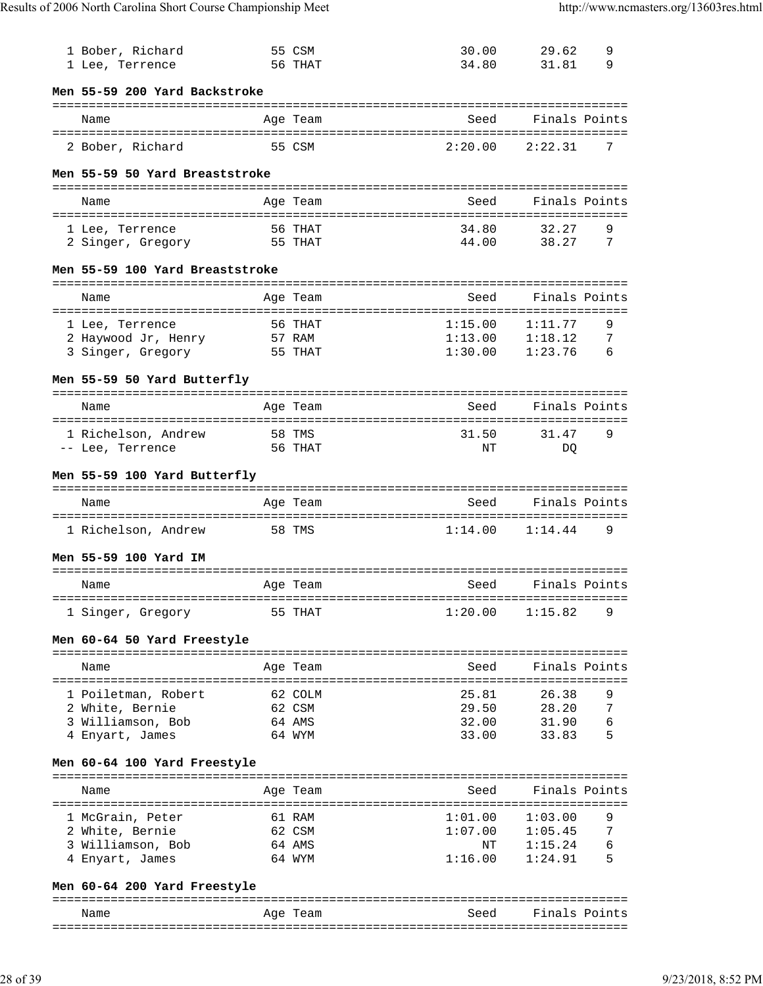| 1 Bober, Richard<br>1 Lee, Terrence      |         | 55 CSM<br>56 THAT  | 30.00<br>34.80                                                                  | 29.62<br>31.81                 | 9<br>9 |
|------------------------------------------|---------|--------------------|---------------------------------------------------------------------------------|--------------------------------|--------|
| Men 55-59 200 Yard Backstroke            |         |                    |                                                                                 |                                |        |
| Name                                     |         | Age Team           | ================================<br>Seed<br>=================================== | Finals Points                  |        |
| 2 Bober, Richard                         |         | 55 CSM             | 2:20.00                                                                         | 2:22.31                        | 7      |
| Men 55-59 50 Yard Breaststroke           |         |                    |                                                                                 |                                |        |
| Name                                     |         | Age Team           | Seed                                                                            | Finals Points                  |        |
| 1 Lee, Terrence<br>2 Singer, Gregory     |         | 56 THAT<br>55 THAT | 34.80<br>44.00                                                                  | 32.27<br>38.27                 | 9<br>7 |
| Men 55-59 100 Yard Breaststroke          |         |                    |                                                                                 |                                |        |
| Name                                     |         | Age Team           | Seed                                                                            | Finals Points                  |        |
| 1 Lee, Terrence                          |         | 56 THAT            | ===================================<br>1:15.00                                  | 1:11.77                        | 9      |
| 2 Haywood Jr, Henry<br>3 Singer, Gregory |         | 57 RAM<br>55 THAT  | 1:13.00<br>1:30.00                                                              | 1:18.12<br>1:23.76             | 7<br>6 |
| Men 55-59 50 Yard Butterfly              |         |                    |                                                                                 |                                |        |
| Name                                     |         | Age Team           | Seed                                                                            | Finals Points                  |        |
| 1 Richelson, Andrew<br>-- Lee, Terrence  |         | 58 TMS<br>56 THAT  | 31.50<br>NΤ                                                                     | 31.47<br>DO                    | 9      |
| Men 55-59 100 Yard Butterfly             |         |                    |                                                                                 |                                |        |
| Name                                     |         | Age Team           | Seed                                                                            | Finals Points                  |        |
| 1 Richelson, Andrew                      |         | 58 TMS             | 1:14.00                                                                         | 1:14.44                        | 9      |
| Men 55-59 100 Yard IM                    |         |                    |                                                                                 |                                |        |
| Name                                     |         | Age Team           | Seed<br>===========================                                             | Finals Points                  |        |
| 1 Singer, Gregory                        |         | 55 THAT            | 1:20.00                                                                         | 1:15.82                        | 9      |
| Men 60-64 50 Yard Freestyle              |         |                    |                                                                                 |                                |        |
| Name                                     |         | Age Team           | Seed                                                                            | Finals Points                  |        |
| 1 Poiletman, Robert<br>2 White, Bernie   | 62 COLM | 62 CSM             | 25.81                                                                           | 26.38<br>29.50 28.20           | 9<br>7 |
| 3 Williamson, Bob                        | 64 AMS  |                    | 32.00                                                                           | 31.90                          | 6      |
| 4 Enyart, James                          |         | 64 WYM             | 33.00                                                                           | 33.83                          | 5      |
| Men 60-64 100 Yard Freestyle             |         |                    |                                                                                 |                                |        |
| Name                                     |         | Age Team           | Seed                                                                            | Finals Points                  |        |
| 1 McGrain, Peter<br>2 White, Bernie      |         | 61 RAM<br>62 CSM   | 1:01.00                                                                         | 1:03.00<br>$1:07.00$ $1:05.45$ | 9<br>7 |
| 3 Williamson, Bob<br>4 Enyart, James     |         | 64 AMS<br>64 WYM   | ΝT<br>1:16.00                                                                   | 1:15.24<br>1:24.91             | 6<br>5 |
| Men 60-64 200 Yard Freestyle             |         |                    |                                                                                 |                                |        |

Name Mage Team Age Team Seed Finals Points ===============================================================================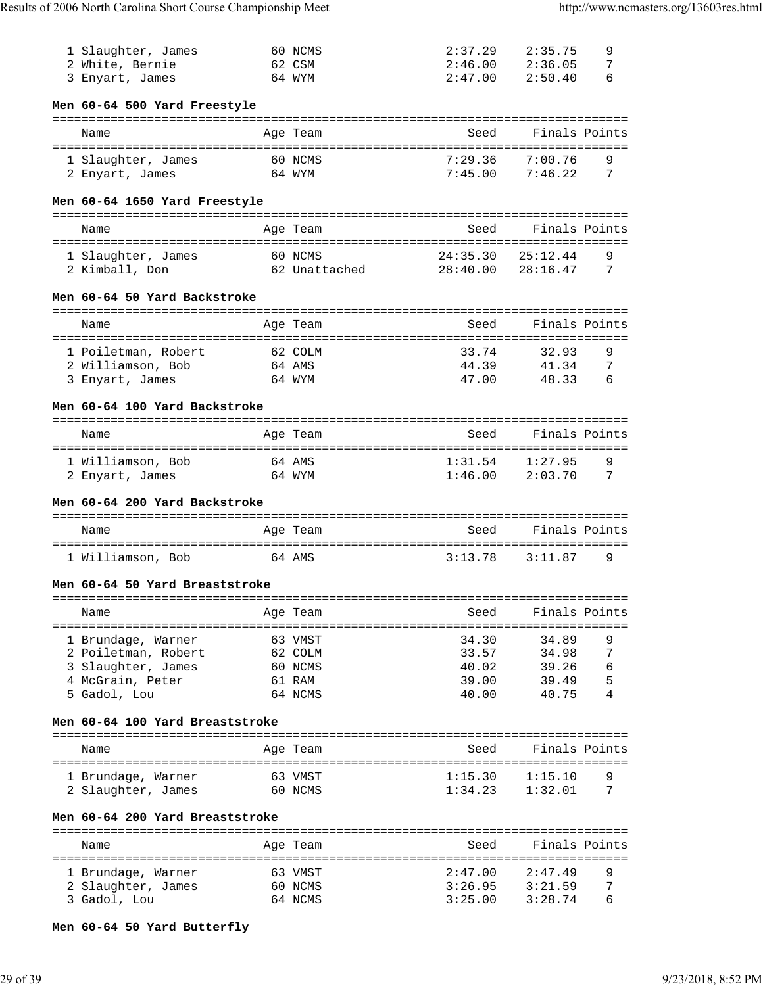| 1 Slaughter, James                              |              | 60 NCMS                     | 2:37.29                               | 2:35.75                           | 9<br>7 |
|-------------------------------------------------|--------------|-----------------------------|---------------------------------------|-----------------------------------|--------|
| 2 White, Bernie<br>3 Enyart, James              |              | 62 CSM<br>64 WYM            | 2:46.00<br>2:47.00                    | 2:36.05<br>2:50.40                | 6      |
|                                                 |              |                             |                                       |                                   |        |
| Men 60-64 500 Yard Freestyle                    |              |                             |                                       |                                   |        |
|                                                 |              |                             | ===================================== |                                   |        |
| Name                                            |              | Age Team                    | Seed                                  | Finals Points                     |        |
| =========================<br>1 Slaughter, James | ============ | 60 NCMS                     | ======================<br>7:29.36     | 7:00.76                           | 9      |
| 2 Enyart, James                                 |              | 64 WYM                      | 7:45.00                               | 7:46.22                           | 7      |
|                                                 |              |                             |                                       |                                   |        |
| Men 60-64 1650 Yard Freestyle                   |              |                             |                                       |                                   |        |
|                                                 |              |                             |                                       |                                   |        |
| Name                                            |              | Age Team                    | Seed                                  | Finals Points                     |        |
| 1 Slaughter, James                              |              | 60 NCMS                     | 24:35.30                              | 25:12.44                          | 9      |
| 2 Kimball, Don                                  |              | 62 Unattached               | 28:40.00                              | 28:16.47                          | 7      |
|                                                 |              |                             |                                       |                                   |        |
| Men 60-64 50 Yard Backstroke                    |              |                             |                                       |                                   |        |
| =============================                   |              | . = = = = = = = =           |                                       |                                   |        |
| Name<br>=========================               |              | Age Team<br>:============== | Seed<br>:========= <b>:</b>           | Finals Points<br>================ |        |
| 1 Poiletman, Robert                             |              | 62 COLM                     | 33.74                                 | 32.93                             | 9      |
| 2 Williamson, Bob                               |              | 64 AMS                      | 44.39                                 | 41.34                             | 7      |
| 3 Enyart, James                                 |              | 64 WYM                      | 47.00                                 | 48.33                             | 6      |
|                                                 |              |                             |                                       |                                   |        |
| Men 60-64 100 Yard Backstroke                   |              |                             |                                       |                                   |        |
| Name                                            |              | Age Team                    | Seed                                  | Finals Points                     |        |
|                                                 |              |                             |                                       |                                   |        |
| 1 Williamson, Bob                               |              | 64 AMS                      | 1:31.54                               | 1:27.95                           | 9      |
| 2 Enyart, James                                 |              | 64 WYM                      | 1:46.00                               | 2:03.70                           | 7      |
| Men 60-64 200 Yard Backstroke                   |              |                             |                                       |                                   |        |
|                                                 |              |                             |                                       |                                   |        |
| Name                                            |              | Age Team                    | Seed                                  | Finals Points                     |        |
|                                                 |              |                             |                                       |                                   |        |
| 1 Williamson, Bob                               | 64 AMS       |                             | 3:13.78                               | 3:11.87                           | 9      |
| Men 60-64 50 Yard Breaststroke                  |              |                             |                                       |                                   |        |
|                                                 |              |                             |                                       |                                   |        |
| Name                                            |              | Age Team                    | Seed                                  | Finals Points                     |        |
|                                                 |              |                             |                                       |                                   |        |
| 1 Brundage, Warner                              |              | 63 VMST                     | 34.30                                 | 34.89                             | 9      |
| 2 Poiletman, Robert                             |              | 62 COLM                     | 33.57                                 | 34.98                             | 7      |
| 3 Slaughter, James                              |              | 60 NCMS                     | 40.02                                 | 39.26                             | 6      |
| 4 McGrain, Peter<br>5 Gadol, Lou                |              | 61 RAM<br>64 NCMS           | 39.00<br>40.00                        | 39.49<br>40.75                    | 5<br>4 |
|                                                 |              |                             |                                       |                                   |        |
| Men 60-64 100 Yard Breaststroke                 |              |                             |                                       |                                   |        |
|                                                 |              |                             | ----------------------                |                                   |        |
| Name                                            |              | Age Team                    | Seed                                  | Finals Points                     |        |
| 1 Brundage, Warner                              |              | 63 VMST                     | 1:15.30                               | 1:15.10                           | 9      |
| 2 Slaughter, James                              |              | 60 NCMS                     | 1:34.23                               | 1:32.01                           | 7      |
|                                                 |              |                             |                                       |                                   |        |
| Men 60-64 200 Yard Breaststroke                 |              |                             |                                       |                                   |        |
|                                                 |              |                             |                                       |                                   |        |
| Name                                            |              | Age Team                    | Seed                                  | Finals Points                     |        |
| 1 Brundage, Warner                              |              | 63 VMST                     | 2:47.00                               | 2:47.49                           | 9      |
| 2 Slaughter, James                              |              | 60 NCMS                     | 3:26.95                               | 3:21.59                           | 7      |
| 3 Gadol, Lou                                    |              | 64 NCMS                     | 3:25.00                               | 3:28.74                           | 6      |
|                                                 |              |                             |                                       |                                   |        |

# **Men 60-64 50 Yard Butterfly**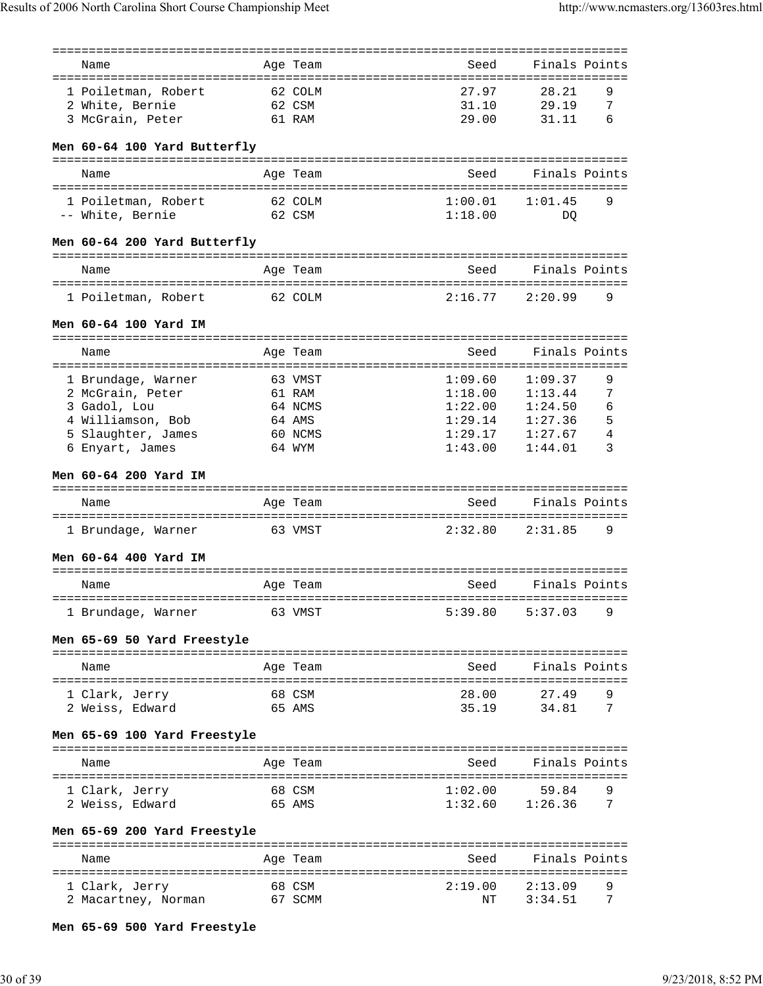| Name                              | Age Team         | Seed                           | Finals Points                       |
|-----------------------------------|------------------|--------------------------------|-------------------------------------|
| 1 Poiletman, Robert               | 62 COLM          | 27.97                          | 28.21<br>9                          |
|                                   | 62 CSM           | 31.10                          | 7<br>29.19                          |
| 2 White, Bernie                   | 61 RAM           | 29.00                          | 6                                   |
| 3 McGrain, Peter                  |                  |                                | 31.11                               |
| Men 60-64 100 Yard Butterfly      |                  |                                |                                     |
| Name                              | Age Team         | Seed                           | Finals Points                       |
|                                   |                  |                                |                                     |
| 1 Poiletman, Robert               | 62 COLM          | 1:00.01                        | 1:01.45<br>9                        |
| -- White, Bernie                  | 62 CSM           | 1:18.00                        | DO                                  |
| Men 60-64 200 Yard Butterfly      |                  |                                | .================================== |
| Name                              | Age Team         | Seed                           | Finals Points                       |
| 1 Poiletman, Robert               | 62 COLM          | 2:16.77                        | 2:20.99<br>9                        |
| Men 60-64 100 Yard IM             |                  |                                |                                     |
|                                   |                  |                                |                                     |
| Name                              | Age Team         | Seed                           | Finals Points                       |
| 1 Brundage, Warner                | 63 VMST          | 1:09.60                        | 1:09.37<br>9                        |
| 2 McGrain, Peter                  | 61 RAM           | 1:18.00                        | 7<br>1:13.44                        |
| 3 Gadol, Lou                      | 64 NCMS          | 1:22.00                        | 1:24.50<br>6                        |
| 4 Williamson, Bob                 | 64 AMS           | 1:29.14                        | 5<br>1:27.36                        |
| 5 Slaughter, James                | 60 NCMS          | 1:29.17                        | 4<br>1:27.67                        |
| 6 Enyart, James                   | 64 WYM           | 1:43.00                        | 3<br>1:44.01                        |
| Men 60-64 200 Yard IM             |                  |                                |                                     |
| Name                              | Age Team         | Seed                           | Finals Points                       |
|                                   |                  |                                |                                     |
| 1 Brundage, Warner                | 63 VMST          | 2:32.80                        | 2:31.85<br>9                        |
| Men 60-64 400 Yard IM             |                  |                                |                                     |
| Name                              | Age Team         | Seed                           | Finals Points                       |
| 1 Brundage, Warner                | 63 VMST          | 5:39.80                        | 5:37.03<br>9                        |
| Men 65-69 50 Yard Freestyle       |                  |                                |                                     |
| Name                              | Age Team         | Seed                           | Finals Points                       |
|                                   |                  |                                |                                     |
| 1 Clark, Jerry                    | 68 CSM           | 28.00                          | 27.49<br>9                          |
| 2 Weiss, Edward                   | 65 AMS           | 35.19                          | 34.81<br>7                          |
| Men 65-69 100 Yard Freestyle      |                  |                                |                                     |
| Name                              | Age Team         |                                | Seed Finals Points                  |
|                                   |                  |                                |                                     |
| 1 Clark, Jerry<br>2 Weiss, Edward | 68 CSM<br>65 AMS | 1:02.00<br>$1:32.60$ $1:26.36$ | 59.84<br>9<br>7                     |
| Men 65-69 200 Yard Freestyle      |                  |                                |                                     |
|                                   |                  |                                |                                     |
| Name                              | Age Team         | Seed                           | Finals Points                       |
| 1 Clark, Jerry                    | 68 CSM           | 2:19.00                        | 2:13.09<br>9                        |
| 2 Macartney, Norman               | 67 SCMM          | NΤ                             | 3:34.51<br>7                        |
|                                   |                  |                                |                                     |

**Men 65-69 500 Yard Freestyle**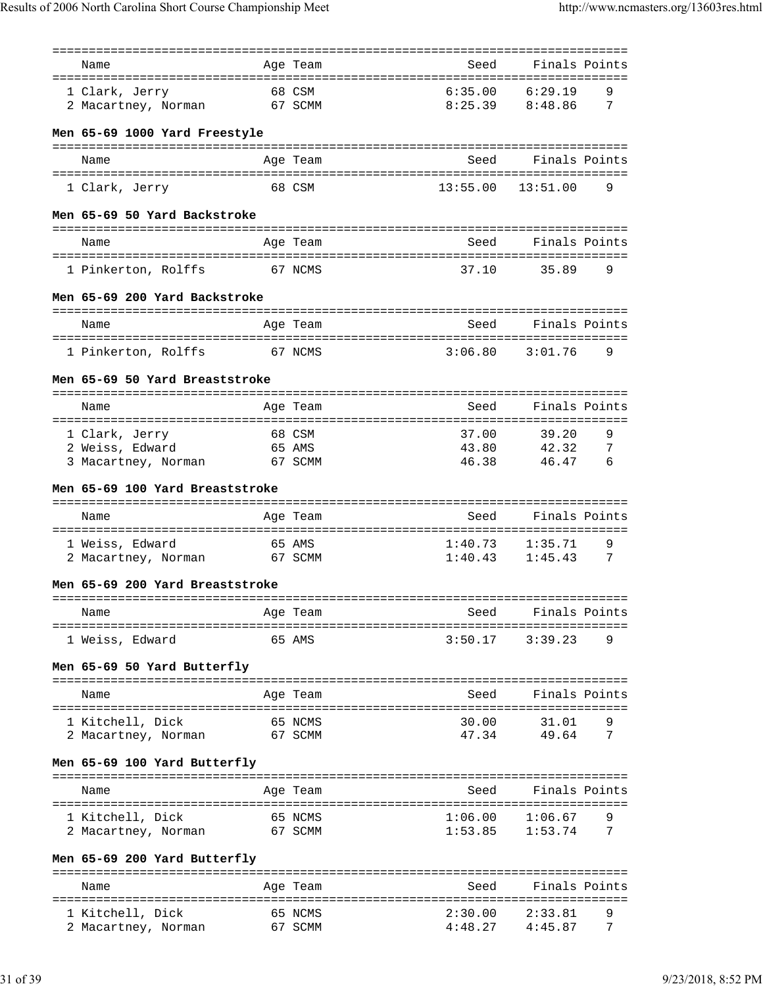|                                 | =============       |                       | ================================ |
|---------------------------------|---------------------|-----------------------|----------------------------------|
| Name                            | Age Team            | Seed                  | Finals Points                    |
| 1 Clark, Jerry                  | 68 CSM              | 6:35.00               | 6:29.19<br>9                     |
|                                 | 67 SCMM             | 8:25.39               | 8:48.86<br>7                     |
| 2 Macartney, Norman             |                     |                       |                                  |
| Men 65-69 1000 Yard Freestyle   |                     |                       |                                  |
|                                 |                     | Seed                  | Finals Points                    |
| Name                            | Age Team            |                       |                                  |
| 1 Clark, Jerry                  | 68 CSM              | $13:55.00$ $13:51.00$ | 9                                |
| Men 65-69 50 Yard Backstroke    |                     |                       |                                  |
| Name                            | Age Team            | Seed                  | Finals Points                    |
|                                 |                     |                       |                                  |
| 1 Pinkerton, Rolffs<br>67 NCMS  |                     | 37.10                 | 9<br>35.89                       |
| Men 65-69 200 Yard Backstroke   |                     |                       |                                  |
| Name                            | Age Team            | Seed                  | Finals Points                    |
|                                 |                     |                       |                                  |
| 1 Pinkerton, Rolffs             | 67 NCMS             | 3:06.80               | 3:01.76<br>9                     |
| Men 65-69 50 Yard Breaststroke  |                     |                       |                                  |
| Name                            | Age Team            | Seed                  | Finals Points                    |
|                                 | =================== | ===============       | ===============                  |
| 1 Clark, Jerry                  | 68 CSM              | 37.00                 | 9<br>39.20                       |
| 2 Weiss, Edward                 | 65 AMS              | 43.80                 | 42.32<br>7                       |
| 3 Macartney, Norman             | 67 SCMM             | 46.38                 | 6<br>46.47                       |
|                                 |                     |                       |                                  |
| Men 65-69 100 Yard Breaststroke |                     |                       |                                  |
| Name                            | Age Team            | Seed                  | Finals Points                    |
|                                 |                     |                       |                                  |
| 1 Weiss, Edward                 | 65 AMS              | 1:40.73               | 9<br>1:35.71                     |
| 2 Macartney, Norman             | 67 SCMM             | 1:40.43               | 1:45.43<br>7                     |
|                                 |                     |                       |                                  |
| Men 65-69 200 Yard Breaststroke |                     |                       | ---------------------------      |
| Name                            | Age Team            | Seed                  | Finals Points                    |
|                                 |                     |                       | ==========                       |
| 1 Weiss, Edward                 | 65 AMS              | 3:50.17               | 9<br>3:39.23                     |
| Men 65-69 50 Yard Butterfly     |                     |                       |                                  |
|                                 |                     |                       |                                  |
| Name                            | Age Team            | Seed                  | Finals Points                    |
|                                 |                     |                       |                                  |
| 1 Kitchell, Dick                | 65 NCMS             | 30.00                 | 9<br>31.01<br>7                  |
| 2 Macartney, Norman             | 67 SCMM             | 47.34                 | 49.64                            |
| Men 65-69 100 Yard Butterfly    |                     |                       |                                  |
| Name                            | Age Team            | Seed                  | Finals Points                    |
|                                 |                     |                       |                                  |
| 1 Kitchell, Dick                | 65 NCMS             | 1:06.00               | 1:06.67<br>9                     |
| 2 Macartney, Norman             | 67 SCMM             | 1:53.85               | 7<br>1:53.74                     |
| Men 65-69 200 Yard Butterfly    |                     |                       |                                  |
| Name                            | Age Team            | Seed                  | Finals Points                    |
|                                 |                     |                       |                                  |
| 1 Kitchell, Dick                | 65 NCMS             | 2:30.00               | 2:33.81<br>9                     |
| 2 Macartney, Norman             | 67 SCMM             | 4:48.27               | 4:45.87<br>7                     |
|                                 |                     |                       |                                  |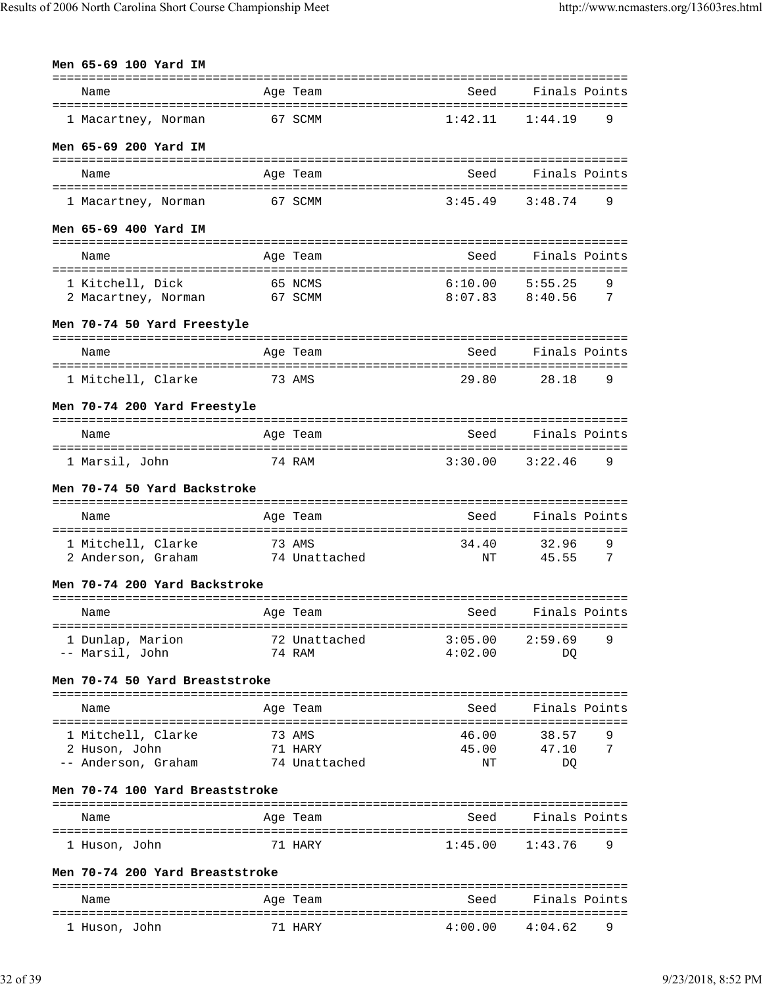| Men 65-69 100 Yard IM                           |                          |                     |                  |
|-------------------------------------------------|--------------------------|---------------------|------------------|
| Name                                            | Age Team                 | Seed                | Finals Points    |
| 1 Macartney, Norman                             | 67 SCMM                  | 1:42.11             | 1:44.19<br>9     |
| Men 65-69 200 Yard IM                           |                          |                     |                  |
| Name                                            | Age Team                 | Seed                | Finals Points    |
| 1 Macartney, Norman                             | 67 SCMM                  | 3:45.49             | 3:48.74<br>9     |
| Men 65-69 400 Yard IM                           |                          |                     |                  |
| Name                                            | Age Team                 | Seed                | Finals Points    |
|                                                 |                          | 6:10.00             | 5:55.25<br>9     |
| 1 Kitchell, Dick<br>2 Macartney, Norman 67 SCMM | 65 NCMS                  | $8:07.83$ $8:40.56$ | 7                |
| Men 70-74 50 Yard Freestyle                     |                          |                     |                  |
| Name                                            | Age Team                 | Seed                | Finals Points    |
| 1 Mitchell, Clarke                              | 73 AMS                   | 29.80               | 28.18<br>9       |
| Men 70-74 200 Yard Freestyle                    |                          |                     |                  |
| Name                                            | Age Team                 | Seed                | Finals Points    |
| 1 Marsil, John                                  | 74 RAM                   | 3:30.00             | 3:22.46<br>9     |
| Men 70-74 50 Yard Backstroke                    |                          |                     |                  |
| Name                                            | Age Team                 | Seed                | Finals Points    |
| 1 Mitchell, Clarke                              | 73 AMS                   | 34.40               | 9<br>32.96       |
| 2 Anderson, Graham                              | 74 Unattached            | NΤ                  | 45.55<br>7       |
| Men 70-74 200 Yard Backstroke                   |                          |                     |                  |
| Name                                            | Age Team                 | Seed                | Finals Points    |
| 1 Dunlap, Marion                                | 72 Unattached            | 3:05.00             | 2:59.69<br>9     |
| -- Marsil, John                                 | 74 RAM                   | 4:02.00             | DQ               |
| Men 70-74 50 Yard Breaststroke                  |                          |                     |                  |
| Name                                            | Age Team                 | Seed                | Finals Points    |
| 1 Mitchell, Clarke                              | 73 AMS                   | 46.00               | 38.57<br>9       |
| 2 Huson, John<br>-- Anderson, Graham            | 71 HARY<br>74 Unattached | 45.00<br>NΤ         | 47.10<br>7<br>DQ |
| Men 70-74 100 Yard Breaststroke                 |                          |                     |                  |
|                                                 |                          |                     |                  |
| Name                                            | Age Team                 | Seed                | Finals Points    |
| 1 Huson, John                                   | 71 HARY                  | 1:45.00             | 9<br>1:43.76     |
| Men 70-74 200 Yard Breaststroke                 |                          |                     |                  |
| Name                                            | Age Team                 | Seed                | Finals Points    |
|                                                 |                          |                     |                  |

1 Huson, John 71 HARY 4:00.00 4:04.62 9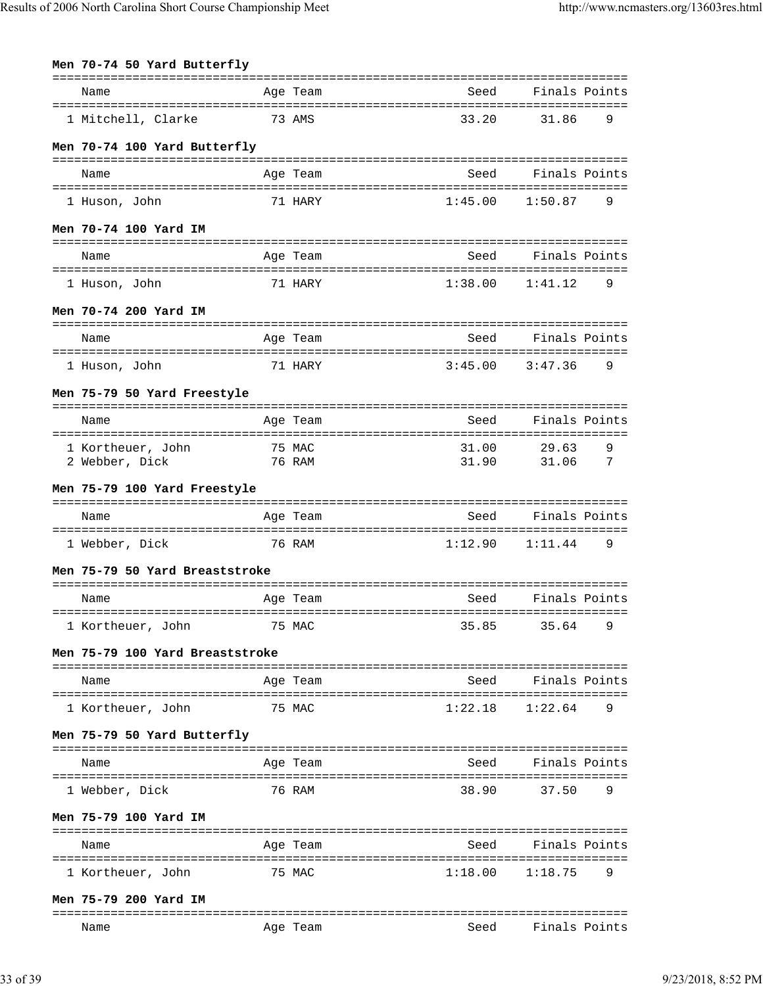| Men 70-74 50 Yard Butterfly     |          |         |               |
|---------------------------------|----------|---------|---------------|
| Name                            | Age Team | Seed    | Finals Points |
| 1 Mitchell, Clarke              | 73 AMS   | 33.20   | 31.86<br>9    |
| Men 70-74 100 Yard Butterfly    |          |         |               |
| Name                            | Age Team | Seed    | Finals Points |
| 1 Huson, John                   | 71 HARY  | 1:45.00 | 1:50.87<br>9  |
| Men 70-74 100 Yard IM           |          |         |               |
| Name                            | Age Team | Seed    | Finals Points |
| 1 Huson, John                   | 71 HARY  | 1:38.00 | 1:41.12<br>9  |
| Men 70-74 200 Yard IM           |          |         |               |
| Name                            | Age Team | Seed    | Finals Points |
| 1 Huson, John                   | 71 HARY  | 3:45.00 | 3:47.36<br>9  |
| Men 75-79 50 Yard Freestyle     |          |         |               |
| Name                            | Age Team | Seed    | Finals Points |
| 1 Kortheuer, John               | 75 MAC   | 31.00   | 29.63<br>9    |
| 2 Webber, Dick                  | 76 RAM   | 31.90   | 31.06<br>7    |
| Men 75-79 100 Yard Freestyle    |          |         |               |
| Name                            | Age Team | Seed    | Finals Points |
| 1 Webber, Dick                  | 76 RAM   | 1:12.90 | 9<br>1:11.44  |
| Men 75-79 50 Yard Breaststroke  |          |         |               |
| Name                            | Age Team | Seed    | Finals Points |
| 1 Kortheuer, John               | 75 MAC   | 35.85   | 35.64<br>9    |
| Men 75-79 100 Yard Breaststroke |          |         |               |
| Name                            | Age Team | Seed    | Finals Points |
| 1 Kortheuer, John               | 75 MAC   | 1:22.18 | 1:22.64<br>9  |
| Men 75-79 50 Yard Butterfly     |          |         |               |
| Name                            | Age Team | Seed    | Finals Points |
| 1 Webber, Dick                  | 76 RAM   | 38.90   | 9<br>37.50    |
| Men 75-79 100 Yard IM           |          |         |               |
| Name                            | Age Team | Seed    | Finals Points |
| 1 Kortheuer, John               | 75 MAC   | 1:18.00 | 9<br>1:18.75  |
| Men 75-79 200 Yard IM           |          |         |               |
| Name                            | Age Team | Seed    | Finals Points |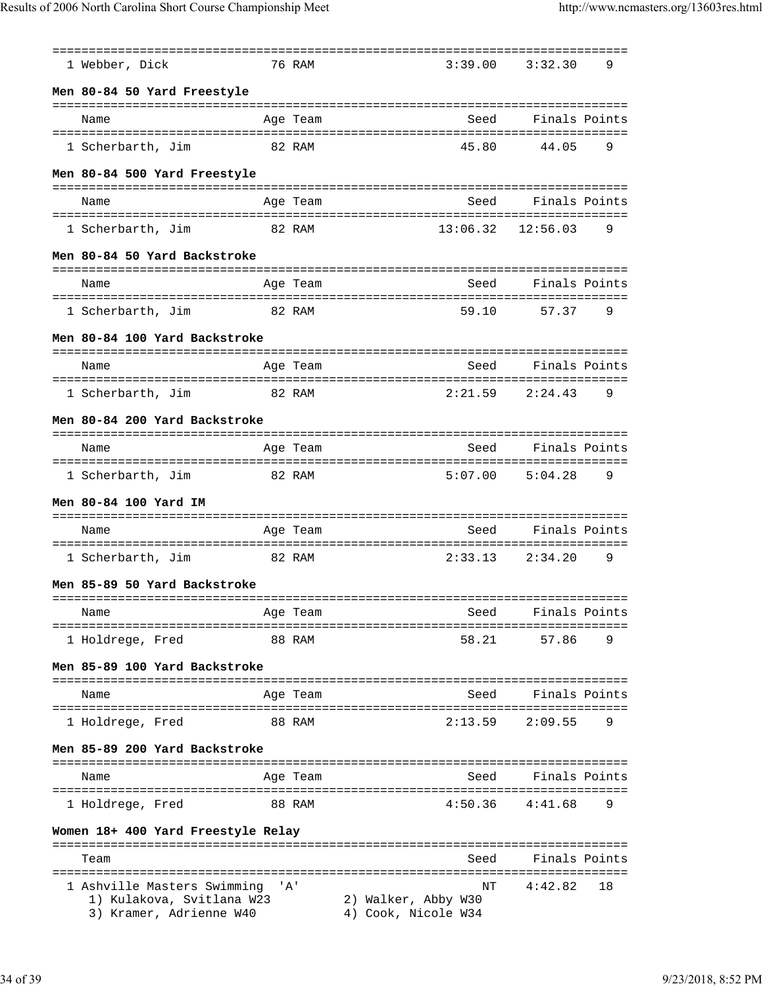| 1 Webber, Dick                                                                      |        | 76 RAM   | 3:39.00                                          | 3:32.30                               | 9  |
|-------------------------------------------------------------------------------------|--------|----------|--------------------------------------------------|---------------------------------------|----|
| Men 80-84 50 Yard Freestyle                                                         |        |          |                                                  |                                       |    |
| Name                                                                                |        | Age Team | Seed                                             | Finals Points                         |    |
| 1 Scherbarth, Jim                                                                   | 82 RAM |          | 45.80                                            | 44.05                                 | 9  |
| Men 80-84 500 Yard Freestyle                                                        |        |          |                                                  |                                       |    |
| Name                                                                                |        | Age Team | Seed                                             | Finals Points                         |    |
| 1 Scherbarth, Jim                                                                   | 82 RAM |          | 13:06.32                                         | =================<br>12:56.03         | 9  |
| Men 80-84 50 Yard Backstroke                                                        |        |          |                                                  |                                       |    |
| Name                                                                                |        | Age Team | Seed                                             | Finals Points                         |    |
| 1 Scherbarth, Jim                                                                   | 82 RAM |          | 59.10                                            | 57.37                                 | 9  |
| Men 80-84 100 Yard Backstroke                                                       |        |          |                                                  |                                       |    |
|                                                                                     |        |          |                                                  |                                       |    |
| Name                                                                                |        | Age Team | Seed                                             | Finals Points<br>==================== |    |
| 1 Scherbarth, Jim                                                                   |        | 82 RAM   | 2:21.59                                          | 2:24.43                               | 9  |
| Men 80-84 200 Yard Backstroke                                                       |        |          |                                                  |                                       |    |
| Name                                                                                |        | Age Team | Seed                                             | Finals Points                         |    |
| 1 Scherbarth, Jim                                                                   | 82 RAM |          | 5:07.00                                          | 5:04.28                               | 9  |
| Men 80-84 100 Yard IM                                                               |        |          |                                                  |                                       |    |
| Name                                                                                |        | Age Team | Seed                                             | Finals Points                         |    |
| 1 Scherbarth, Jim                                                                   |        | 82 RAM   | 2:33.13                                          | 2:34.20                               | 9  |
| Men 85-89 50 Yard Backstroke                                                        |        |          |                                                  |                                       |    |
| ===============================<br>Name                                             |        | Age Team | Seed                                             | ==================<br>Finals Points   |    |
| =====================<br>1 Holdrege, Fred                                           |        | 88 RAM   | 58.21                                            | 57.86                                 | 9  |
| Men 85-89 100 Yard Backstroke                                                       |        |          |                                                  |                                       |    |
|                                                                                     |        |          |                                                  |                                       |    |
| Name                                                                                |        | Age Team | Seed                                             | Finals Points                         |    |
| 1 Holdrege, Fred                                                                    |        | 88 RAM   | 2:13.59                                          | 2:09.55                               | 9  |
| Men 85-89 200 Yard Backstroke                                                       |        |          |                                                  |                                       |    |
| Name                                                                                |        | Age Team | Seed                                             | Finals Points                         |    |
| 1 Holdrege, Fred                                                                    |        | 88 RAM   | 4:50.36                                          | 4:41.68                               | 9  |
| Women 18+ 400 Yard Freestyle Relay                                                  |        |          |                                                  |                                       |    |
| Team                                                                                |        |          | Seed                                             | Finals Points                         |    |
| 1 Ashville Masters Swimming<br>1) Kulakova, Svitlana W23<br>3) Kramer, Adrienne W40 |        | ' A '    | NΤ<br>2) Walker, Abby W30<br>4) Cook, Nicole W34 | 4:42.82                               | 18 |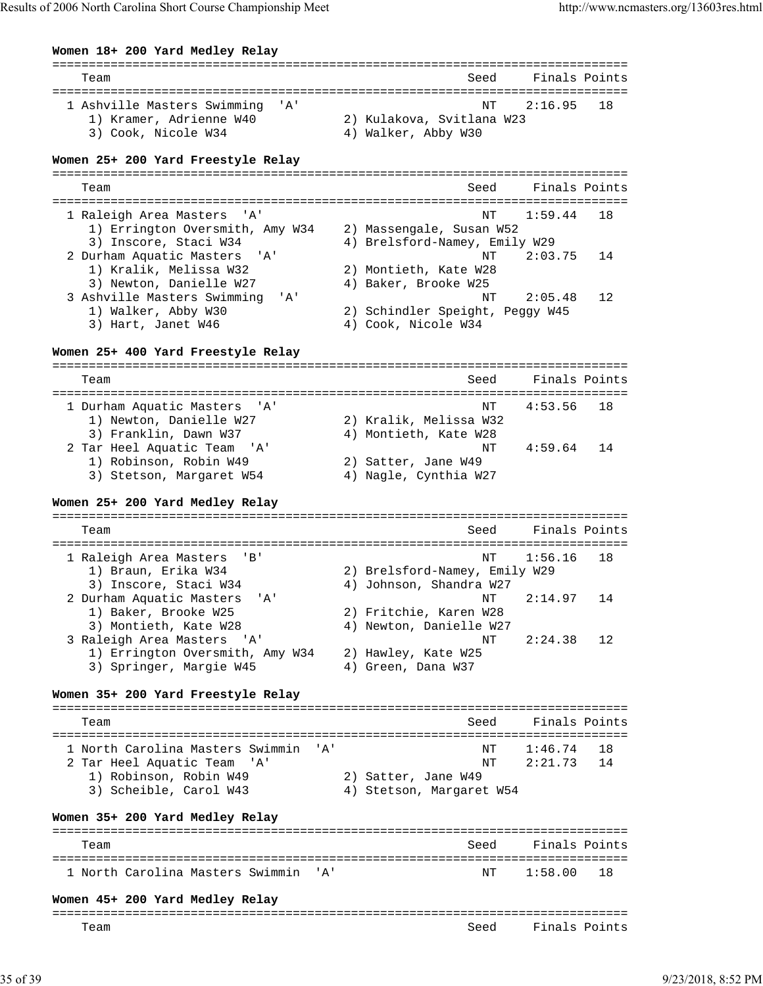**Women 18+ 200 Yard Medley Relay** =============================================================================== Team Seed Finals Points =============================================================================== 1 Ashville Masters Swimming 'A' NT 2:16.95 18 1) Kramer, Adrienne W40 2) Kulakova, Svitlana W23 3) Cook, Nicole W34 4) Walker, Abby W30 **Women 25+ 200 Yard Freestyle Relay** =============================================================================== Team Seed Finals Points =============================================================================== 1 Raleigh Area Masters 'A' NT 1:59.44 18 1) Errington Oversmith, Amy W34 2) Massengale, Susan W52 3) Inscore, Staci W34 4) Brelsford-Namey, Emily W29 2 Durham Aquatic Masters 'A' NT 2:03.75 14 1) Kralik, Melissa W32 2) Montieth, Kate W28 3) Newton, Danielle W27 4) Baker, Brooke W25 3 Ashville Masters Swimming 'A' and the Master's Swimming (and Allian Masters Swimming 'A' and Alliah Masters Swimming (and Allian Masters Swimming 'A' and Alliah Masters Swimming (and Alliah Masters Swimming (and Allian M 2) Schindler Speight, Peggy W45 3) Hart, Janet W46 4) Cook, Nicole W34 **Women 25+ 400 Yard Freestyle Relay** =============================================================================== Team Seed Finals Points =============================================================================== 1 Durham Aquatic Masters 'A' NT 4:53.56 18 1) Newton, Danielle W27 2) Kralik, Melissa W32 3) Franklin, Dawn W37 4) Montieth, Kate W28 2 Tar Heel Aquatic Team 'A' 1.01.0102011, Acce M20 NT 4:59.64 14 1) Robinson, Robin W49 2) Satter, Jane W49 3) Stetson, Margaret W54 4) Nagle, Cynthia W27 **Women 25+ 200 Yard Medley Relay** =============================================================================== Team Seed Finals Points =============================================================================== 1 Raleigh Area Masters 'B' 1) Braun, Erika W34 2) Brelsford-Namey, Emily W29 3) Inscore, Staci W34 4) Johnson, Shandra W27 2 Durham Aquatic Masters 'A' (2:14.97 14 1) Baker, Brooke W25 2) Fritchie, Karen W28 3) Montieth, Kate W28 4) Newton, Danielle W27 3 Raleigh Area Masters 'A' NT 2:24.38 12 1) Errington Oversmith, Amy W34 2) Hawley, Kate W25 3) Springer, Margie W45 **Women 35+ 200 Yard Freestyle Relay** =============================================================================== Team Seed Finals Points =============================================================================== 1 North Carolina Masters Swimmin 'A' NT 1:46.74 18 2 Tar Heel Aquatic Team 'A' NT 2:21.73 14 1) Robinson, Robin W49 2) Satter, Jane W49 3) Scheible, Carol W43 4) Stetson, Margaret W54 **Women 35+ 200 Yard Medley Relay** =============================================================================== Team Seed Finals Points =============================================================================== 1 North Carolina Masters Swimmin 'A' NT 1:58.00 18 **Women 45+ 200 Yard Medley Relay** =============================================================================== Team Seed Finals Points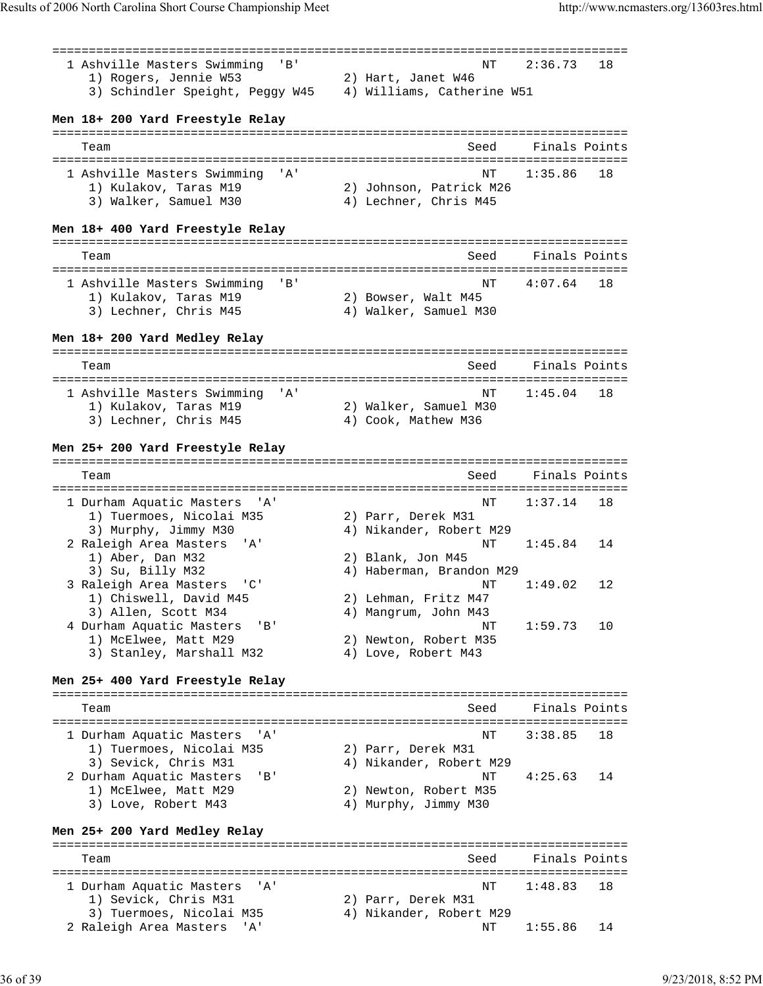=============================================================================== 1 Ashville Masters Swimming 'B' NT 2:36.73 18 1) Rogers, Jennie W53 2) Hart, Janet W46 3) Schindler Speight, Peggy W45 4) Williams, Catherine W51 **Men 18+ 200 Yard Freestyle Relay** =============================================================================== Team Seed Finals Points =============================================================================== 1 Ashville Masters Swimming 'A' NT 1:35.86 18 1) Kulakov, Taras M19 2) Johnson, Patrick M26 3) Walker, Samuel M30 4) Lechner, Chris M45 **Men 18+ 400 Yard Freestyle Relay** =============================================================================== Team Seed Finals Points =============================================================================== 1 Ashville Masters Swimming 'B' NT 4:07.64 18 1) Kulakov, Taras M19 2) Bowser, Walt M45 3) Lechner, Chris M45 4) Walker, Samuel M30 **Men 18+ 200 Yard Medley Relay** =============================================================================== Team Seed Finals Points =============================================================================== 1 Ashville Masters Swimming 'A' 1) Kulakov, Taras M19 2) Walker, Samuel M30 3) Lechner, Chris M45 4) Cook, Mathew M36 **Men 25+ 200 Yard Freestyle Relay** =============================================================================== Team Seed Finals Points =============================================================================== 1 Durham Aquatic Masters 'A' NT 1:37.14 18 1) Tuermoes, Nicolai M35 2) Parr, Derek M31 3) Murphy, Jimmy M30 4) Nikander, Robert M29 2 Raleigh Area Masters 'A' (a) Allender, Robert M29<br>2 Raleigh Area Masters 'A' (a) Nikander, Robert M29<br>2 Blank, Jon M45<br>2 Blank, Jon M45 1) Aber, Dan M32 2) Blank, Jon M45 3) Su, Billy M32 4) Haberman, Brandon M29 3 Raleigh Area Masters 'C' NT 1:49.02 12 2) Lehman, Fritz M47 3) Allen, Scott M34<br>3) Allen, Scott M34 4) Mangrum, John M43<br>2) Allen, Scott M34 4) Mangrum, John M43<br>2) NT 1:59.73 10 4 Durham Aquatic Masters 'B' 1.<br>1) McElwee, Matt M29. 2. Newton, Robert M35. 1) McElwee, Matt M29 3) Stanley, Marshall M32 4) Love, Robert M43 **Men 25+ 400 Yard Freestyle Relay** =============================================================================== Team Seed Finals Points =============================================================================== 1 Durham Aquatic Masters 'A' NT 3:38.85 18 1) Tuermoes, Nicolai M35 2) Parr, Derek M31 3) Sevick, Chris M31 4) Nikander, Robert M29 2 Durham Aquatic Masters 'B' NT 4:25.63 14 1) McElwee, Matt M29 2) Newton, Robert M35 3) Love, Robert M43 4) Murphy, Jimmy M30 **Men 25+ 200 Yard Medley Relay** =============================================================================== Team Seed Finals Points =============================================================================== 1 Durham Aquatic Masters 'A'<br>1) Sevick, Chris M31 1) Sevick, Chris M31 2) Parr, Derek M31 3) Tuermoes, Nicolai M35 4) Nikander, Robert M29 2 Raleigh Area Masters 'A' National Article Research Research Research Research Research Research Research Res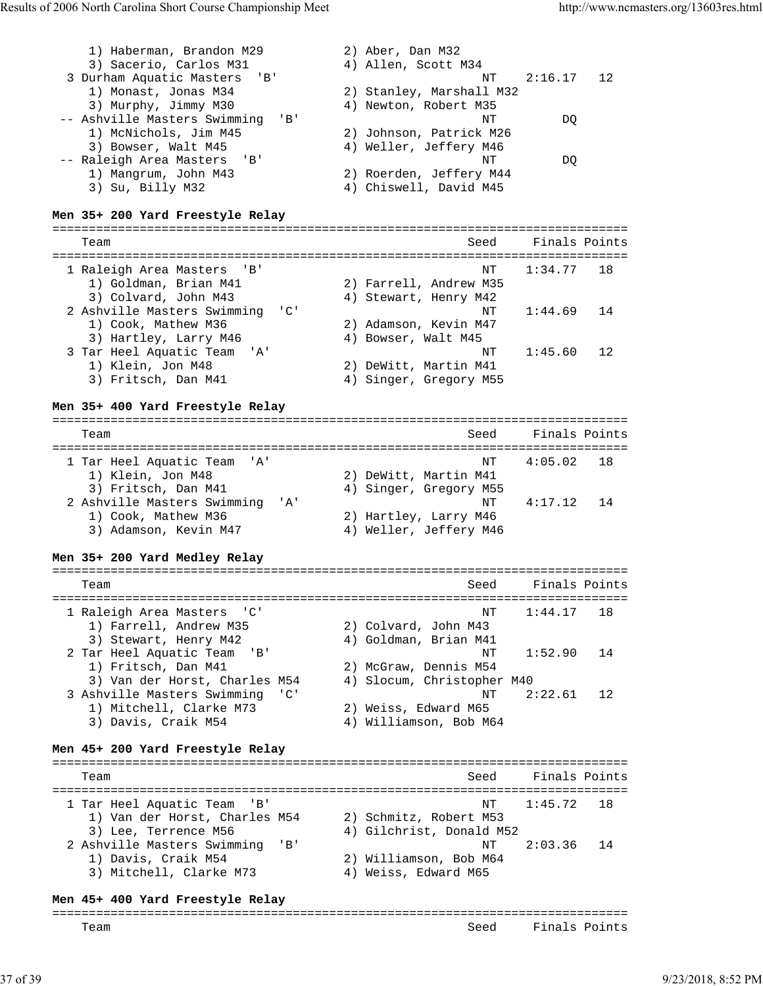| 1) Haberman, Brandon M29<br>3) Sacerio, Carlos M31<br>3 Durham Aquatic Masters<br>$'$ B $'$<br>1) Monast, Jonas M34<br>3) Murphy, Jimmy M30<br>-- Ashville Masters Swimming<br>1) McNichols, Jim M45<br>3) Bowser, Walt M45<br>-- Raleigh Area Masters<br>'B'<br>1) Mangrum, John M43<br>3) Su, Billy M32 | $'$ B $'$                                         | 2) Aber, Dan M32<br>4) Allen, Scott M34<br>NΤ<br>2) Stanley, Marshall M32<br>4) Newton, Robert M35<br>NΤ<br>2) Johnson, Patrick M26<br>4) Weller, Jeffery M46<br>ΝT<br>2) Roerden, Jeffery M44<br>4) Chiswell, David M45 | 2:16.17<br>12<br>DQ<br>DQ |
|-----------------------------------------------------------------------------------------------------------------------------------------------------------------------------------------------------------------------------------------------------------------------------------------------------------|---------------------------------------------------|--------------------------------------------------------------------------------------------------------------------------------------------------------------------------------------------------------------------------|---------------------------|
| Men 35+ 200 Yard Freestyle Relay                                                                                                                                                                                                                                                                          |                                                   |                                                                                                                                                                                                                          |                           |
| Team                                                                                                                                                                                                                                                                                                      |                                                   | Seed                                                                                                                                                                                                                     | Finals Points             |
|                                                                                                                                                                                                                                                                                                           |                                                   |                                                                                                                                                                                                                          |                           |
| 1 Raleigh Area Masters<br>' B '<br>1) Goldman, Brian M41                                                                                                                                                                                                                                                  |                                                   | NT<br>2) Farrell, Andrew M35                                                                                                                                                                                             | 1:34.77<br>18             |
| 3) Colvard, John M43                                                                                                                                                                                                                                                                                      |                                                   | 4) Stewart, Henry M42                                                                                                                                                                                                    |                           |
| 2 Ashville Masters Swimming                                                                                                                                                                                                                                                                               | $\overline{\phantom{a}}$ $\overline{\phantom{a}}$ | NΤ                                                                                                                                                                                                                       | 1:44.69<br>14             |
| 1) Cook, Mathew M36                                                                                                                                                                                                                                                                                       |                                                   | 2) Adamson, Kevin M47                                                                                                                                                                                                    |                           |
| 3) Hartley, Larry M46<br>3 Tar Heel Aquatic Team<br>'A'                                                                                                                                                                                                                                                   |                                                   | 4) Bowser, Walt M45<br>NΤ                                                                                                                                                                                                | 1:45.60<br>12             |
| 1) Klein, Jon M48                                                                                                                                                                                                                                                                                         |                                                   | 2) DeWitt, Martin M41                                                                                                                                                                                                    |                           |
| 3) Fritsch, Dan M41                                                                                                                                                                                                                                                                                       |                                                   | 4) Singer, Gregory M55                                                                                                                                                                                                   |                           |
| Men 35+ 400 Yard Freestyle Relay                                                                                                                                                                                                                                                                          |                                                   |                                                                                                                                                                                                                          |                           |
|                                                                                                                                                                                                                                                                                                           |                                                   |                                                                                                                                                                                                                          |                           |
| Team                                                                                                                                                                                                                                                                                                      |                                                   | Seed                                                                                                                                                                                                                     | Finals Points             |
| 1 Tar Heel Aquatic Team<br>' A '                                                                                                                                                                                                                                                                          |                                                   | NΤ                                                                                                                                                                                                                       | 4:05.02<br>18             |
| 1) Klein, Jon M48                                                                                                                                                                                                                                                                                         |                                                   | 2) DeWitt, Martin M41                                                                                                                                                                                                    |                           |
| 3) Fritsch, Dan M41<br>2 Ashville Masters Swimming                                                                                                                                                                                                                                                        | '' A '                                            | 4) Singer, Gregory M55<br>ΝT                                                                                                                                                                                             | 4:17.12<br>14             |
| 1) Cook, Mathew M36                                                                                                                                                                                                                                                                                       |                                                   | 2) Hartley, Larry M46                                                                                                                                                                                                    |                           |
| 3) Adamson, Kevin M47                                                                                                                                                                                                                                                                                     |                                                   | 4) Weller, Jeffery M46                                                                                                                                                                                                   |                           |
| Men 35+ 200 Yard Medley Relay                                                                                                                                                                                                                                                                             |                                                   |                                                                                                                                                                                                                          |                           |
|                                                                                                                                                                                                                                                                                                           |                                                   |                                                                                                                                                                                                                          |                           |
| Team                                                                                                                                                                                                                                                                                                      |                                                   | Seed                                                                                                                                                                                                                     | Finals Points             |
| 1 Raleigh Area Masters<br>$^{\prime}$ C $^{\prime}$                                                                                                                                                                                                                                                       |                                                   | ΝT                                                                                                                                                                                                                       | 1:44.17<br>18             |
| 1) Farrell, Andrew M35                                                                                                                                                                                                                                                                                    |                                                   | 2) Colvard, John M43                                                                                                                                                                                                     |                           |
| 3) Stewart, Henry M42<br>2 Tar Heel Aquatic Team<br>' B '                                                                                                                                                                                                                                                 |                                                   | 4) Goldman, Brian M41<br>NΤ                                                                                                                                                                                              | 1:52.90<br>14             |
| 1) Fritsch, Dan M41                                                                                                                                                                                                                                                                                       |                                                   | 2) McGraw, Dennis M54                                                                                                                                                                                                    |                           |
| 3) Van der Horst, Charles M54                                                                                                                                                                                                                                                                             |                                                   | 4) Slocum, Christopher M40                                                                                                                                                                                               |                           |
| 3 Ashville Masters Swimming<br>1) Mitchell, Clarke M73                                                                                                                                                                                                                                                    | $^{\prime}$ C $^{\prime}$                         | NΤ<br>2) Weiss, Edward M65                                                                                                                                                                                               | 2:22.61<br>12             |
| 3) Davis, Craik M54                                                                                                                                                                                                                                                                                       |                                                   | 4) Williamson, Bob M64                                                                                                                                                                                                   |                           |
|                                                                                                                                                                                                                                                                                                           |                                                   |                                                                                                                                                                                                                          |                           |
| Men 45+ 200 Yard Freestyle Relay                                                                                                                                                                                                                                                                          |                                                   |                                                                                                                                                                                                                          |                           |
| Team                                                                                                                                                                                                                                                                                                      |                                                   | Seed                                                                                                                                                                                                                     | Finals Points             |
| 1 Tar Heel Aquatic Team 'B'                                                                                                                                                                                                                                                                               |                                                   | NΤ                                                                                                                                                                                                                       | 1:45.72<br>18             |
| 1) Van der Horst, Charles M54                                                                                                                                                                                                                                                                             |                                                   | 2) Schmitz, Robert M53                                                                                                                                                                                                   |                           |
| 3) Lee, Terrence M56                                                                                                                                                                                                                                                                                      |                                                   | 4) Gilchrist, Donald M52                                                                                                                                                                                                 |                           |
| 2 Ashville Masters Swimming<br>1) Davis, Craik M54                                                                                                                                                                                                                                                        | 'B'                                               | NΤ<br>2) Williamson, Bob M64                                                                                                                                                                                             | 2:03.36<br>14             |
| 3) Mitchell, Clarke M73                                                                                                                                                                                                                                                                                   |                                                   | 4) Weiss, Edward M65                                                                                                                                                                                                     |                           |
|                                                                                                                                                                                                                                                                                                           |                                                   |                                                                                                                                                                                                                          |                           |
| Men 45+ 400 Yard Freestyle Relay<br>=================                                                                                                                                                                                                                                                     |                                                   |                                                                                                                                                                                                                          |                           |

Team Seed Finals Points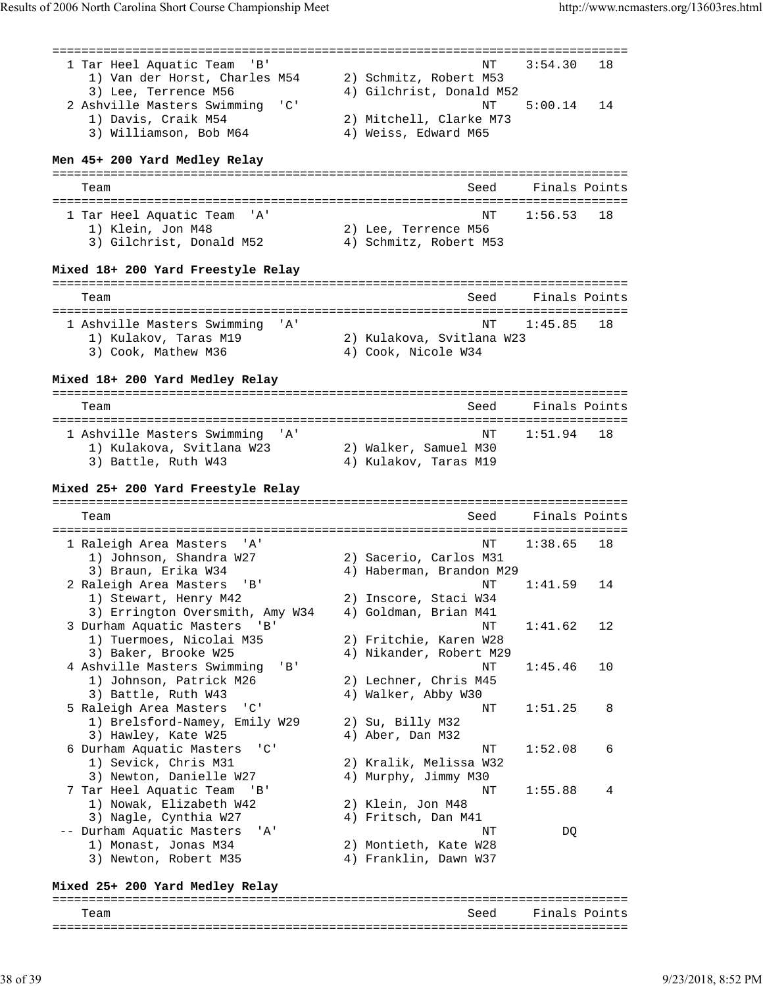| 1 Tar Heel Aquatic Team<br>'B'<br>1) Van der Horst, Charles M54<br>3) Lee, Terrence M56                          | 18<br>NΤ<br>3:54.30<br>2) Schmitz, Robert M53<br>4) Gilchrist, Donald M52                         |
|------------------------------------------------------------------------------------------------------------------|---------------------------------------------------------------------------------------------------|
| 2 Ashville Masters Swimming<br>$^{\prime}$ C $^{\prime}$<br>1) Davis, Craik M54<br>3) Williamson, Bob M64        | NΤ<br>5:00.14<br>14<br>2) Mitchell, Clarke M73<br>4) Weiss, Edward M65                            |
| Men 45+ 200 Yard Medley Relay                                                                                    | ====================================                                                              |
| Team                                                                                                             | Finals Points<br>Seed                                                                             |
| 1 Tar Heel Aquatic Team<br>' A'<br>1) Klein, Jon M48<br>3) Gilchrist, Donald M52                                 | 18<br>NΤ<br>1:56.53<br>2) Lee, Terrence M56<br>4) Schmitz, Robert M53                             |
| Mixed 18+ 200 Yard Freestyle Relay                                                                               |                                                                                                   |
| Team                                                                                                             | Finals Points<br>Seed                                                                             |
| 1 Ashville Masters Swimming<br>' A'<br>1) Kulakov, Taras M19<br>3) Cook, Mathew M36                              | 1:45.85<br>18<br>NΤ<br>2) Kulakova, Svitlana W23<br>4) Cook, Nicole W34                           |
| Mixed 18+ 200 Yard Medley Relay                                                                                  | ===============================                                                                   |
| Team                                                                                                             | Finals Points<br>Seed                                                                             |
| 1 Ashville Masters Swimming 'A'<br>1) Kulakova, Svitlana W23<br>3) Battle, Ruth W43                              | 1:51.94<br>18<br>NΤ<br>2) Walker, Samuel M30<br>4) Kulakov, Taras M19                             |
| Mixed 25+ 200 Yard Freestyle Relay                                                                               |                                                                                                   |
| Team                                                                                                             | Finals Points<br>Seed                                                                             |
| 1 Raleigh Area Masters<br>' A '<br>1) Johnson, Shandra W27                                                       | 1:38.65<br>18<br>NΤ<br>2) Sacerio, Carlos M31                                                     |
| 3) Braun, Erika W34<br>2 Raleigh Area Masters<br>'B'<br>1) Stewart, Henry M42<br>3) Errington Oversmith, Amy W34 | 4) Haberman, Brandon M29<br>1:41.59<br>NΤ<br>14<br>2) Inscore, Staci W34<br>4) Goldman, Brian M41 |
| 3 Durham Aquatic Masters<br>'B'<br>1) Tuermoes, Nicolai M35<br>3) Baker, Brooke W25                              | 1:41.62<br>12<br>ΝT<br>2) Fritchie, Karen W28<br>4) Nikander, Robert M29                          |
| 4 Ashville Masters Swimming<br>$'$ B $'$<br>1) Johnson, Patrick M26<br>3) Battle, Ruth W43                       | 1:45.46<br>10<br>ΝT<br>2) Lechner, Chris M45<br>4) Walker, Abby W30                               |
| $^{\prime}$ C $^{\prime}$<br>5 Raleigh Area Masters<br>1) Brelsford-Namey,<br>Emily W29<br>3) Hawley, Kate W25   | 1:51.25<br>8<br>ΝT<br>2) Su, Billy M32<br>4) Aber, Dan M32                                        |
| $^{\prime}$ C $^{\prime}$<br>6 Durham Aquatic Masters<br>1) Sevick, Chris M31<br>3) Newton, Danielle W27         | 1:52.08<br>6<br>ΝT<br>2) Kralik, Melissa W32<br>4) Murphy, Jimmy M30                              |
| 7 Tar Heel Aquatic Team<br>' B '<br>1) Nowak, Elizabeth W42<br>3) Nagle, Cynthia W27                             | 1:55.88<br>4<br>ΝT<br>2) Klein, Jon M48<br>4) Fritsch, Dan M41                                    |
| -- Durham Aquatic Masters<br>' A '<br>1) Monast, Jonas M34<br>3) Newton, Robert M35                              | DQ<br>ΝT<br>2) Montieth, Kate W28<br>4) Franklin, Dawn W37                                        |
| Mixed 25+ 200 Yard Medley Relay                                                                                  |                                                                                                   |

## =============================================================================== Team Seed Finals Points ===============================================================================